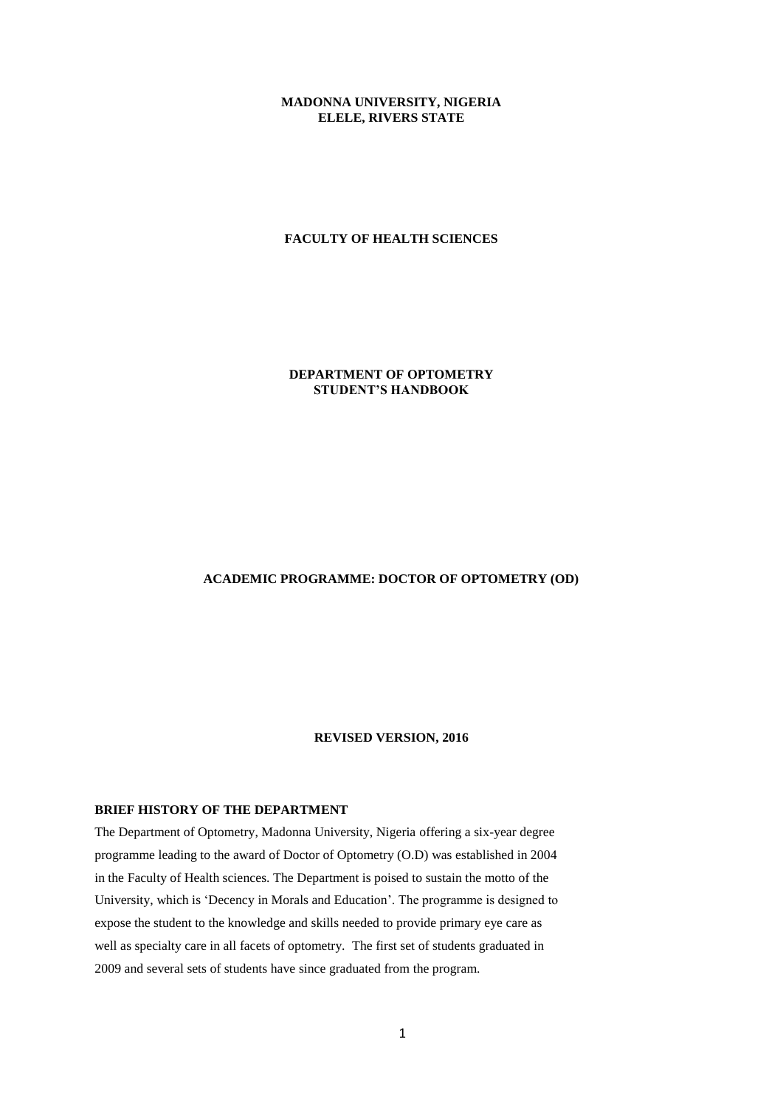# **MADONNA UNIVERSITY, NIGERIA ELELE, RIVERS STATE**

# **FACULTY OF HEALTH SCIENCES**

# **DEPARTMENT OF OPTOMETRY STUDENT'S HANDBOOK**

# **ACADEMIC PROGRAMME: DOCTOR OF OPTOMETRY (OD)**

### **REVISED VERSION, 2016**

# **BRIEF HISTORY OF THE DEPARTMENT**

The Department of Optometry, Madonna University, Nigeria offering a six-year degree programme leading to the award of Doctor of Optometry (O.D) was established in 2004 in the Faculty of Health sciences. The Department is poised to sustain the motto of the University, which is 'Decency in Morals and Education'. The programme is designed to expose the student to the knowledge and skills needed to provide primary eye care as well as specialty care in all facets of optometry. The first set of students graduated in 2009 and several sets of students have since graduated from the program.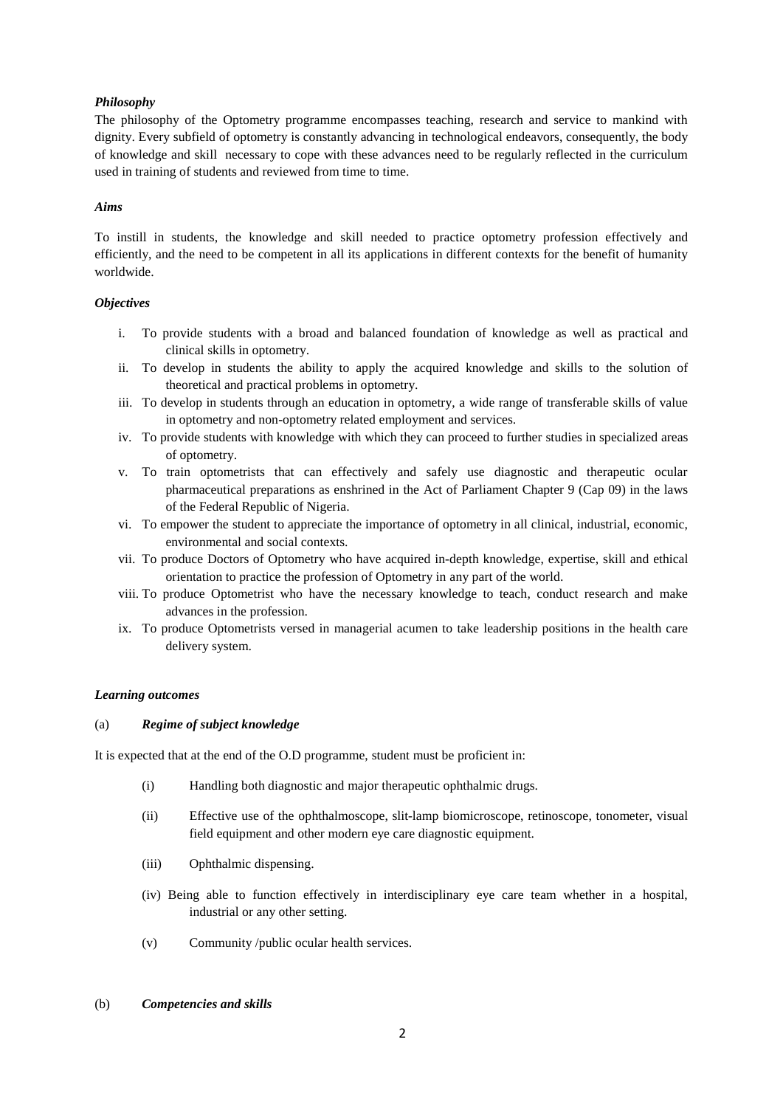# *Philosophy*

The philosophy of the Optometry programme encompasses teaching, research and service to mankind with dignity. Every subfield of optometry is constantly advancing in technological endeavors, consequently, the body of knowledge and skill necessary to cope with these advances need to be regularly reflected in the curriculum used in training of students and reviewed from time to time.

# *Aims*

To instill in students, the knowledge and skill needed to practice optometry profession effectively and efficiently, and the need to be competent in all its applications in different contexts for the benefit of humanity worldwide.

# *Objectives*

- i. To provide students with a broad and balanced foundation of knowledge as well as practical and clinical skills in optometry.
- ii. To develop in students the ability to apply the acquired knowledge and skills to the solution of theoretical and practical problems in optometry.
- iii. To develop in students through an education in optometry, a wide range of transferable skills of value in optometry and non-optometry related employment and services.
- iv. To provide students with knowledge with which they can proceed to further studies in specialized areas of optometry.
- v. To train optometrists that can effectively and safely use diagnostic and therapeutic ocular pharmaceutical preparations as enshrined in the Act of Parliament Chapter 9 (Cap 09) in the laws of the Federal Republic of Nigeria.
- vi. To empower the student to appreciate the importance of optometry in all clinical, industrial, economic, environmental and social contexts.
- vii. To produce Doctors of Optometry who have acquired in-depth knowledge, expertise, skill and ethical orientation to practice the profession of Optometry in any part of the world.
- viii. To produce Optometrist who have the necessary knowledge to teach, conduct research and make advances in the profession.
- ix. To produce Optometrists versed in managerial acumen to take leadership positions in the health care delivery system.

# *Learning outcomes*

### (a) *Regime of subject knowledge*

It is expected that at the end of the O.D programme, student must be proficient in:

- (i) Handling both diagnostic and major therapeutic ophthalmic drugs.
- (ii) Effective use of the ophthalmoscope, slit-lamp biomicroscope, retinoscope, tonometer, visual field equipment and other modern eye care diagnostic equipment.
- (iii) Ophthalmic dispensing.
- (iv) Being able to function effectively in interdisciplinary eye care team whether in a hospital, industrial or any other setting.
- (v) Community /public ocular health services.
- (b) *Competencies and skills*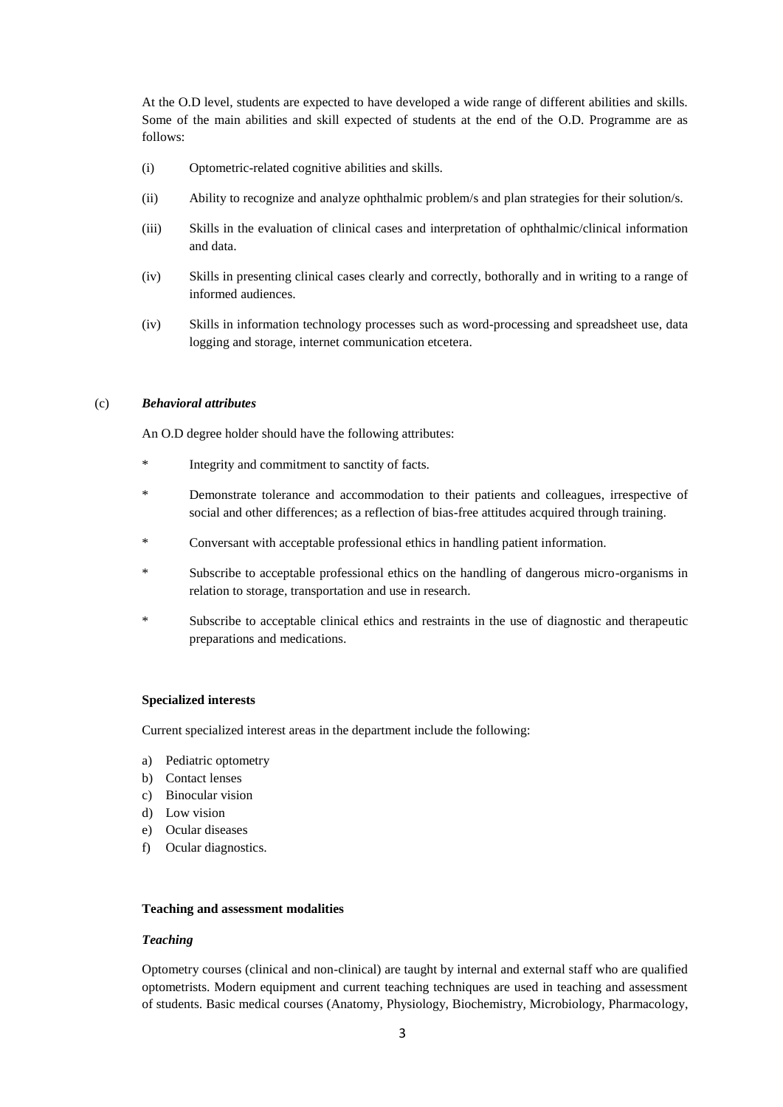At the O.D level, students are expected to have developed a wide range of different abilities and skills. Some of the main abilities and skill expected of students at the end of the O.D. Programme are as follows:

- (i) Optometric-related cognitive abilities and skills.
- (ii) Ability to recognize and analyze ophthalmic problem/s and plan strategies for their solution/s.
- (iii) Skills in the evaluation of clinical cases and interpretation of ophthalmic/clinical information and data.
- (iv) Skills in presenting clinical cases clearly and correctly, bothorally and in writing to a range of informed audiences.
- (iv) Skills in information technology processes such as word-processing and spreadsheet use, data logging and storage, internet communication etcetera.

# (c) *Behavioral attributes*

An O.D degree holder should have the following attributes:

- Integrity and commitment to sanctity of facts.
- Demonstrate tolerance and accommodation to their patients and colleagues, irrespective of social and other differences; as a reflection of bias-free attitudes acquired through training.
- \* Conversant with acceptable professional ethics in handling patient information.
- Subscribe to acceptable professional ethics on the handling of dangerous micro-organisms in relation to storage, transportation and use in research.
- \* Subscribe to acceptable clinical ethics and restraints in the use of diagnostic and therapeutic preparations and medications.

### **Specialized interests**

Current specialized interest areas in the department include the following:

- a) Pediatric optometry
- b) Contact lenses
- c) Binocular vision
- d) Low vision
- e) Ocular diseases
- f) Ocular diagnostics.

### **Teaching and assessment modalities**

### *Teaching*

Optometry courses (clinical and non-clinical) are taught by internal and external staff who are qualified optometrists. Modern equipment and current teaching techniques are used in teaching and assessment of students. Basic medical courses (Anatomy, Physiology, Biochemistry, Microbiology, Pharmacology,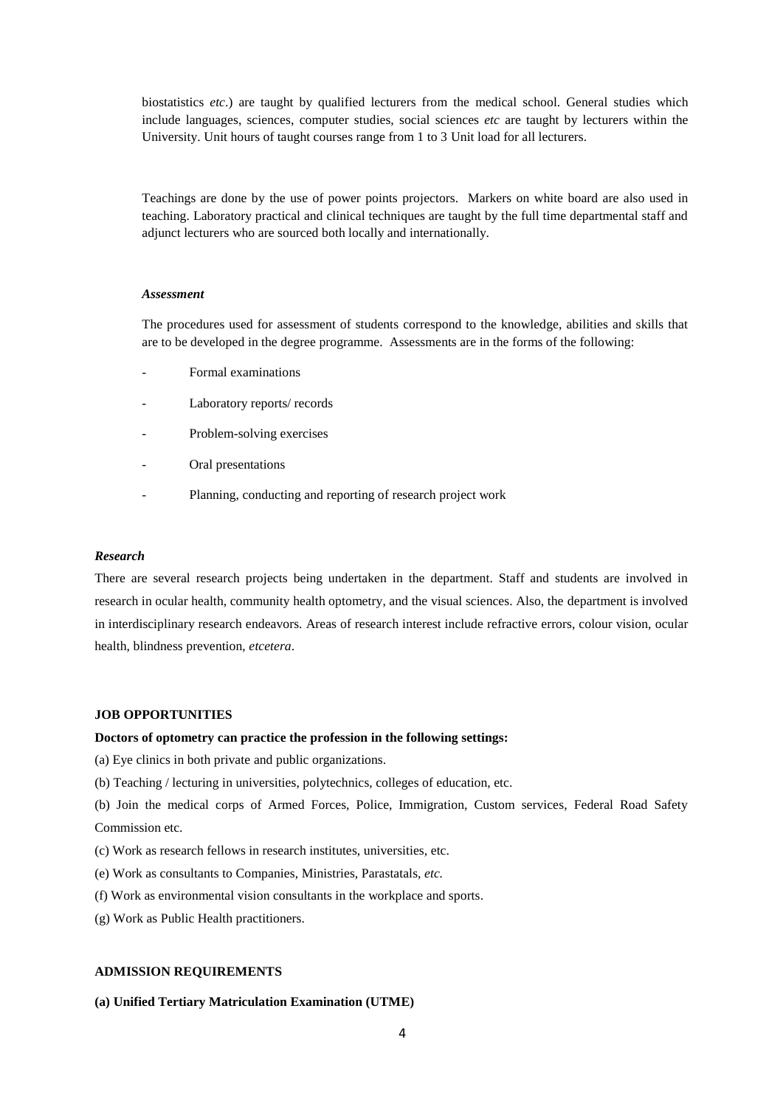biostatistics *etc*.) are taught by qualified lecturers from the medical school. General studies which include languages, sciences, computer studies, social sciences *etc* are taught by lecturers within the University. Unit hours of taught courses range from 1 to 3 Unit load for all lecturers.

Teachings are done by the use of power points projectors. Markers on white board are also used in teaching. Laboratory practical and clinical techniques are taught by the full time departmental staff and adjunct lecturers who are sourced both locally and internationally.

### *Assessment*

The procedures used for assessment of students correspond to the knowledge, abilities and skills that are to be developed in the degree programme. Assessments are in the forms of the following:

- Formal examinations
- Laboratory reports/ records
- Problem-solving exercises
- Oral presentations
- Planning, conducting and reporting of research project work

### *Research*

There are several research projects being undertaken in the department. Staff and students are involved in research in ocular health, community health optometry, and the visual sciences. Also, the department is involved in interdisciplinary research endeavors. Areas of research interest include refractive errors, colour vision, ocular health, blindness prevention, *etcetera*.

## **JOB OPPORTUNITIES**

### **Doctors of optometry can practice the profession in the following settings:**

(a) Eye clinics in both private and public organizations.

- (b) Teaching / lecturing in universities, polytechnics, colleges of education, etc.
- (b) Join the medical corps of Armed Forces, Police, Immigration, Custom services, Federal Road Safety Commission etc.
- (c) Work as research fellows in research institutes, universities, etc.
- (e) Work as consultants to Companies, Ministries, Parastatals, *etc.*
- (f) Work as environmental vision consultants in the workplace and sports.
- (g) Work as Public Health practitioners.

# **ADMISSION REQUIREMENTS**

### **(a) Unified Tertiary Matriculation Examination (UTME)**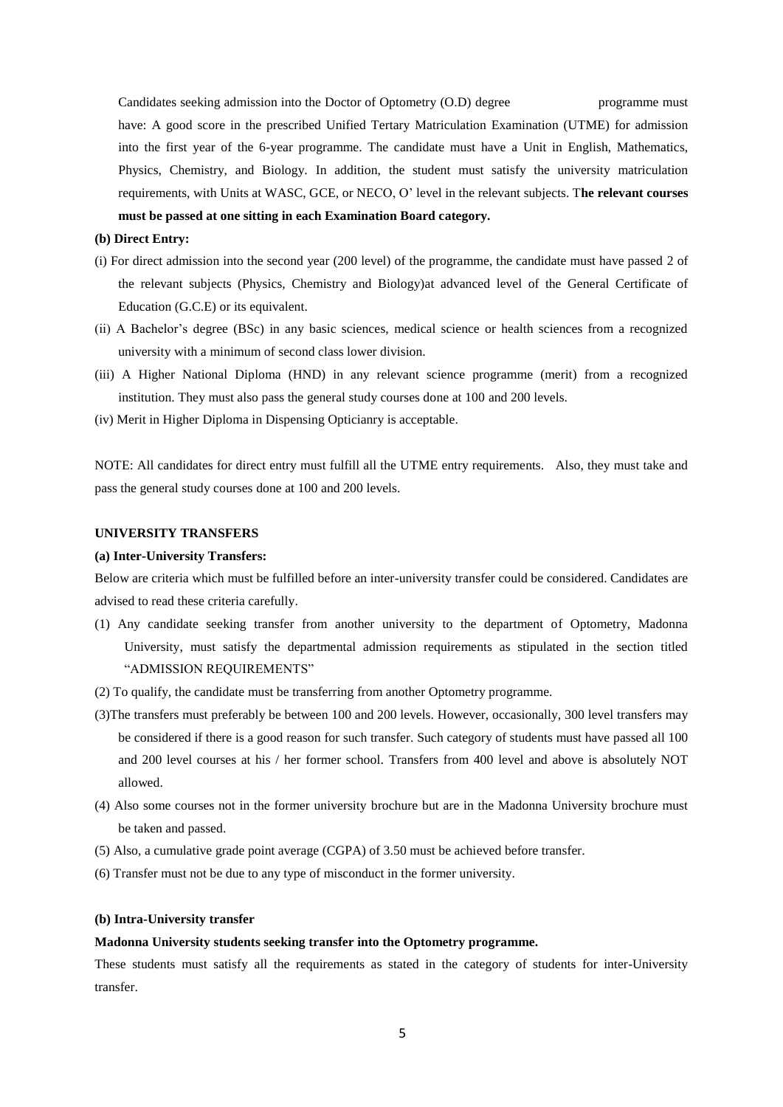Candidates seeking admission into the Doctor of Optometry (O.D) degree programme must have: A good score in the prescribed Unified Tertary Matriculation Examination (UTME) for admission into the first year of the 6-year programme. The candidate must have a Unit in English, Mathematics, Physics, Chemistry, and Biology. In addition, the student must satisfy the university matriculation requirements, with Units at WASC, GCE, or NECO, O' level in the relevant subjects. T**he relevant courses must be passed at one sitting in each Examination Board category.** 

### **(b) Direct Entry:**

- (i) For direct admission into the second year (200 level) of the programme, the candidate must have passed 2 of the relevant subjects (Physics, Chemistry and Biology)at advanced level of the General Certificate of Education (G.C.E) or its equivalent.
- (ii) A Bachelor's degree (BSc) in any basic sciences, medical science or health sciences from a recognized university with a minimum of second class lower division.
- (iii) A Higher National Diploma (HND) in any relevant science programme (merit) from a recognized institution. They must also pass the general study courses done at 100 and 200 levels.
- (iv) Merit in Higher Diploma in Dispensing Opticianry is acceptable.

NOTE: All candidates for direct entry must fulfill all the UTME entry requirements. Also, they must take and pass the general study courses done at 100 and 200 levels.

## **UNIVERSITY TRANSFERS**

### **(a) Inter-University Transfers:**

Below are criteria which must be fulfilled before an inter-university transfer could be considered. Candidates are advised to read these criteria carefully.

- (1) Any candidate seeking transfer from another university to the department of Optometry, Madonna University, must satisfy the departmental admission requirements as stipulated in the section titled "ADMISSION REQUIREMENTS"
- (2) To qualify, the candidate must be transferring from another Optometry programme.
- (3)The transfers must preferably be between 100 and 200 levels. However, occasionally, 300 level transfers may be considered if there is a good reason for such transfer. Such category of students must have passed all 100 and 200 level courses at his / her former school. Transfers from 400 level and above is absolutely NOT allowed.
- (4) Also some courses not in the former university brochure but are in the Madonna University brochure must be taken and passed.
- (5) Also, a cumulative grade point average (CGPA) of 3.50 must be achieved before transfer.
- (6) Transfer must not be due to any type of misconduct in the former university.

# **(b) Intra-University transfer**

# **Madonna University students seeking transfer into the Optometry programme.**

These students must satisfy all the requirements as stated in the category of students for inter-University transfer.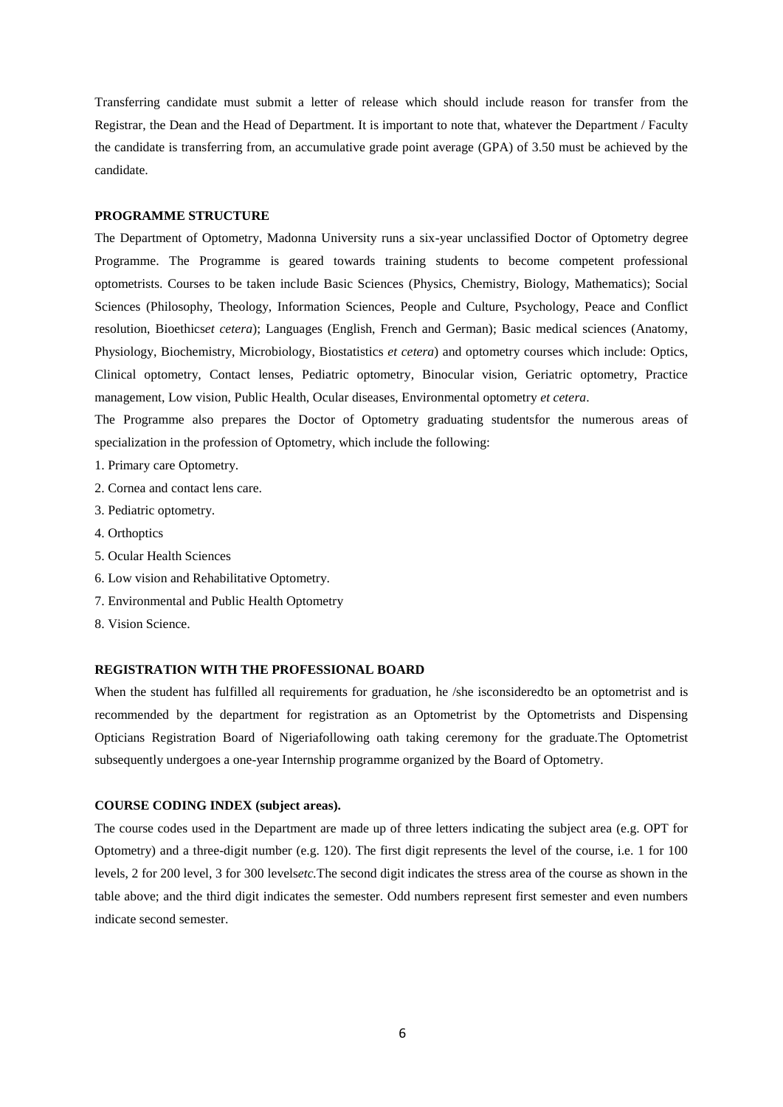Transferring candidate must submit a letter of release which should include reason for transfer from the Registrar, the Dean and the Head of Department. It is important to note that, whatever the Department / Faculty the candidate is transferring from, an accumulative grade point average (GPA) of 3.50 must be achieved by the candidate.

### **PROGRAMME STRUCTURE**

The Department of Optometry, Madonna University runs a six-year unclassified Doctor of Optometry degree Programme. The Programme is geared towards training students to become competent professional optometrists. Courses to be taken include Basic Sciences (Physics, Chemistry, Biology, Mathematics); Social Sciences (Philosophy, Theology, Information Sciences, People and Culture, Psychology, Peace and Conflict resolution, Bioethics*et cetera*); Languages (English, French and German); Basic medical sciences (Anatomy, Physiology, Biochemistry, Microbiology, Biostatistics *et cetera*) and optometry courses which include: Optics, Clinical optometry, Contact lenses, Pediatric optometry, Binocular vision, Geriatric optometry, Practice management, Low vision, Public Health, Ocular diseases, Environmental optometry *et cetera*.

The Programme also prepares the Doctor of Optometry graduating studentsfor the numerous areas of specialization in the profession of Optometry, which include the following:

- 1. Primary care Optometry.
- 2. Cornea and contact lens care.
- 3. Pediatric optometry.
- 4. Orthoptics
- 5. Ocular Health Sciences
- 6. Low vision and Rehabilitative Optometry.
- 7. Environmental and Public Health Optometry
- 8. Vision Science.

# **REGISTRATION WITH THE PROFESSIONAL BOARD**

When the student has fulfilled all requirements for graduation, he /she isconsideredto be an optometrist and is recommended by the department for registration as an Optometrist by the Optometrists and Dispensing Opticians Registration Board of Nigeriafollowing oath taking ceremony for the graduate.The Optometrist subsequently undergoes a one-year Internship programme organized by the Board of Optometry.

### **COURSE CODING INDEX (subject areas).**

The course codes used in the Department are made up of three letters indicating the subject area (e.g. OPT for Optometry) and a three-digit number (e.g. 120). The first digit represents the level of the course, i.e. 1 for 100 levels, 2 for 200 level, 3 for 300 levels*etc.*The second digit indicates the stress area of the course as shown in the table above; and the third digit indicates the semester. Odd numbers represent first semester and even numbers indicate second semester.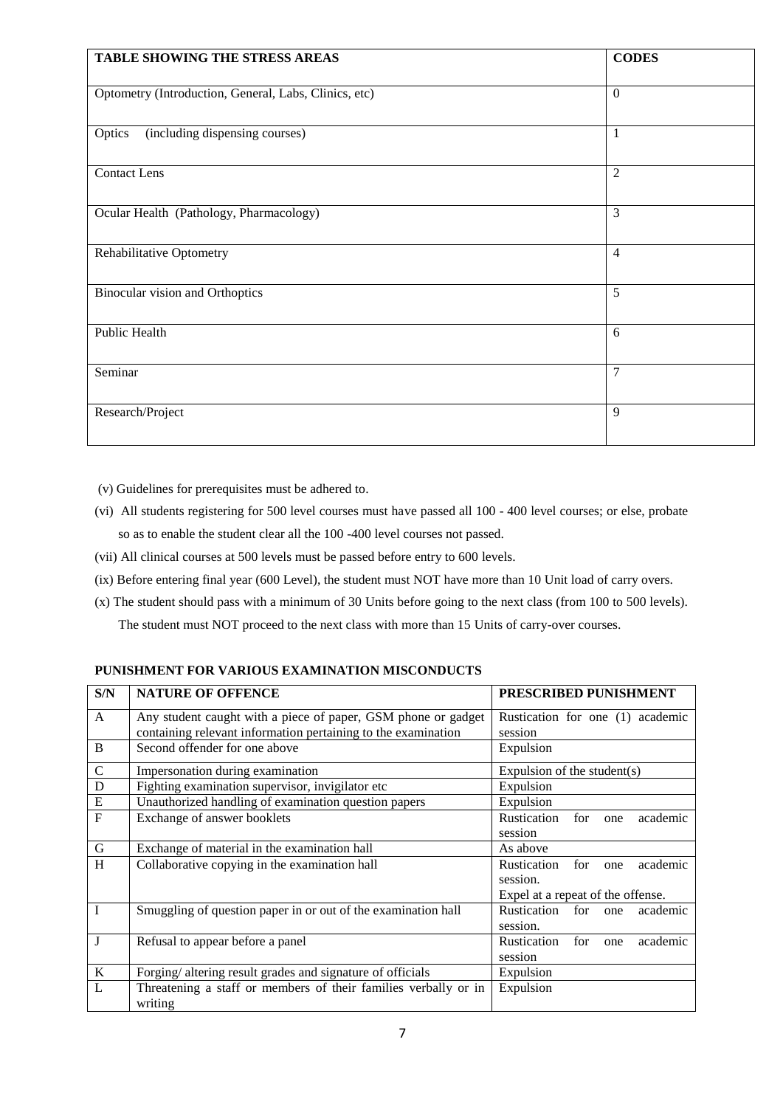| <b>TABLE SHOWING THE STRESS AREAS</b>                 | <b>CODES</b>   |
|-------------------------------------------------------|----------------|
| Optometry (Introduction, General, Labs, Clinics, etc) | $\mathbf{0}$   |
| Optics<br>(including dispensing courses)              | 1              |
| <b>Contact Lens</b>                                   | $\overline{2}$ |
| Ocular Health (Pathology, Pharmacology)               | 3              |
| Rehabilitative Optometry                              | $\overline{4}$ |
| <b>Binocular vision and Orthoptics</b>                | 5              |
| Public Health                                         | 6              |
| Seminar                                               | 7              |
| Research/Project                                      | 9              |

(v) Guidelines for prerequisites must be adhered to.

- (vi) All students registering for 500 level courses must have passed all 100 400 level courses; or else, probate so as to enable the student clear all the 100 -400 level courses not passed.
- (vii) All clinical courses at 500 levels must be passed before entry to 600 levels.
- (ix) Before entering final year (600 Level), the student must NOT have more than 10 Unit load of carry overs.
- (x) The student should pass with a minimum of 30 Units before going to the next class (from 100 to 500 levels). The student must NOT proceed to the next class with more than 15 Units of carry-over courses.

# **PUNISHMENT FOR VARIOUS EXAMINATION MISCONDUCTS**

| S/N            | <b>NATURE OF OFFENCE</b>                                        | PRESCRIBED PUNISHMENT                 |  |
|----------------|-----------------------------------------------------------------|---------------------------------------|--|
| A              | Any student caught with a piece of paper, GSM phone or gadget   | Rustication for one (1) academic      |  |
|                | containing relevant information pertaining to the examination   | session                               |  |
| B              | Second offender for one above                                   | Expulsion                             |  |
| $\mathsf{C}$   | Impersonation during examination                                | Expulsion of the student(s)           |  |
| D              | Fighting examination supervisor, invigilator etc                | Expulsion                             |  |
| ${\bf E}$      | Unauthorized handling of examination question papers            | Expulsion                             |  |
| $\overline{F}$ | Exchange of answer booklets                                     | Rustication<br>for<br>academic<br>one |  |
|                |                                                                 | session                               |  |
| $\mathbf G$    | Exchange of material in the examination hall                    | As above                              |  |
| H              | Collaborative copying in the examination hall                   | Rustication<br>for<br>academic<br>one |  |
|                |                                                                 | session.                              |  |
|                |                                                                 | Expel at a repeat of the offense.     |  |
|                | Smuggling of question paper in or out of the examination hall   | Rustication<br>for<br>academic<br>one |  |
|                |                                                                 | session.                              |  |
| J              | Refusal to appear before a panel                                | Rustication<br>for<br>academic<br>one |  |
|                |                                                                 | session                               |  |
| K              | Forging/altering result grades and signature of officials       | Expulsion                             |  |
| L              | Threatening a staff or members of their families verbally or in | Expulsion                             |  |
|                | writing                                                         |                                       |  |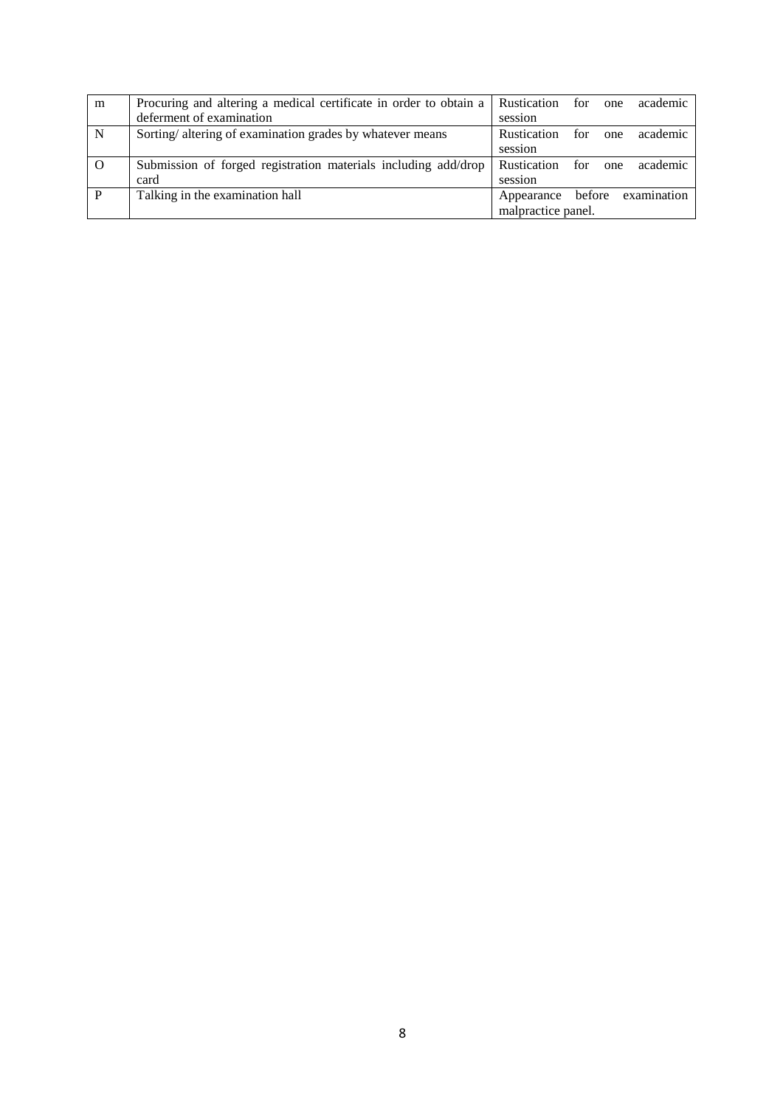| m        | Procuring and altering a medical certificate in order to obtain a | Rustication for    |     | one | academic    |
|----------|-------------------------------------------------------------------|--------------------|-----|-----|-------------|
|          | deferment of examination                                          | session            |     |     |             |
| N        | Sorting/altering of examination grades by whatever means          | <b>Rustication</b> | for | one | academic    |
|          |                                                                   | session            |     |     |             |
| $\Omega$ | Submission of forged registration materials including add/drop    | Rustication for    |     | one | academic    |
|          | card                                                              | session            |     |     |             |
| P        | Talking in the examination hall                                   | Appearance before  |     |     | examination |
|          |                                                                   | malpractice panel. |     |     |             |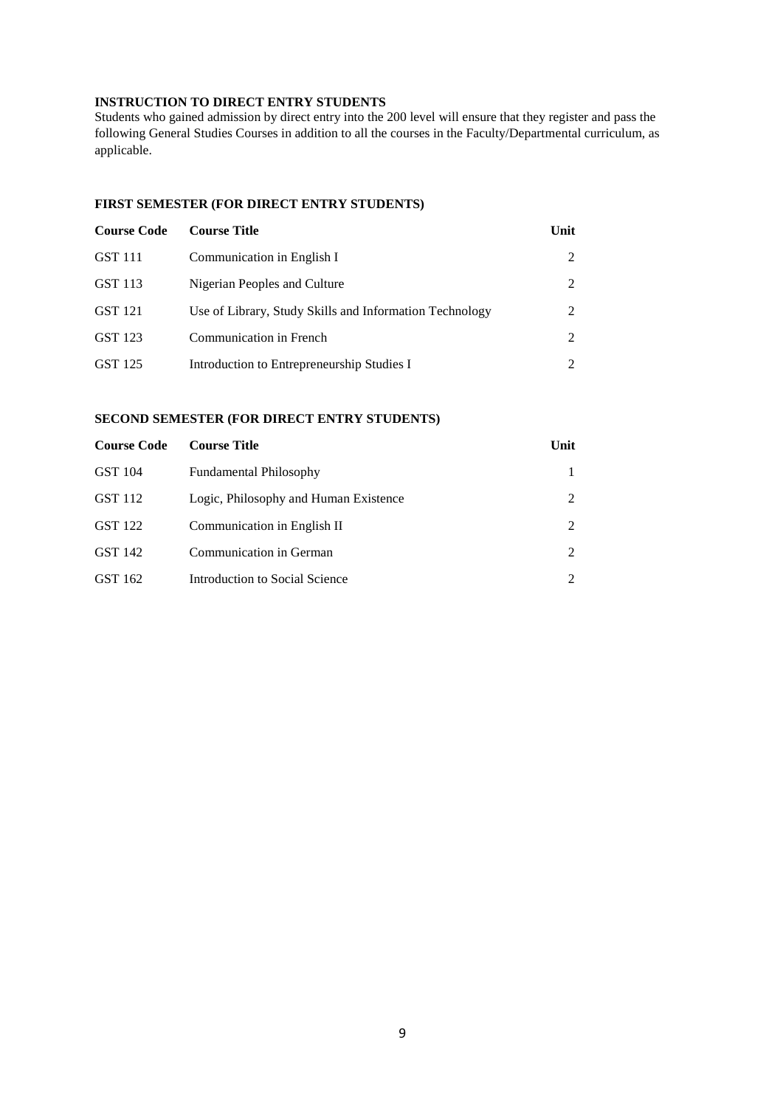# **INSTRUCTION TO DIRECT ENTRY STUDENTS**

Students who gained admission by direct entry into the 200 level will ensure that they register and pass the following General Studies Courses in addition to all the courses in the Faculty/Departmental curriculum, as applicable.

# **FIRST SEMESTER (FOR DIRECT ENTRY STUDENTS)**

| <b>Course Code</b> | <b>Course Title</b>                                     | Unit |
|--------------------|---------------------------------------------------------|------|
| GST 111            | Communication in English I                              | 2    |
| GST 113            | Nigerian Peoples and Culture                            | 2    |
| GST 121            | Use of Library, Study Skills and Information Technology | 2    |
| GST 123            | Communication in French                                 | 2    |
| GST 125            | Introduction to Entrepreneurship Studies I              | 2    |

# **SECOND SEMESTER (FOR DIRECT ENTRY STUDENTS)**

| <b>Course Code</b> | <b>Course Title</b>                   | Unit          |
|--------------------|---------------------------------------|---------------|
| GST 104            | <b>Fundamental Philosophy</b>         |               |
| GST 112            | Logic, Philosophy and Human Existence |               |
| GST 122            | Communication in English II           |               |
| GST 142            | Communication in German               | $\mathcal{L}$ |
| GST 162            | Introduction to Social Science        |               |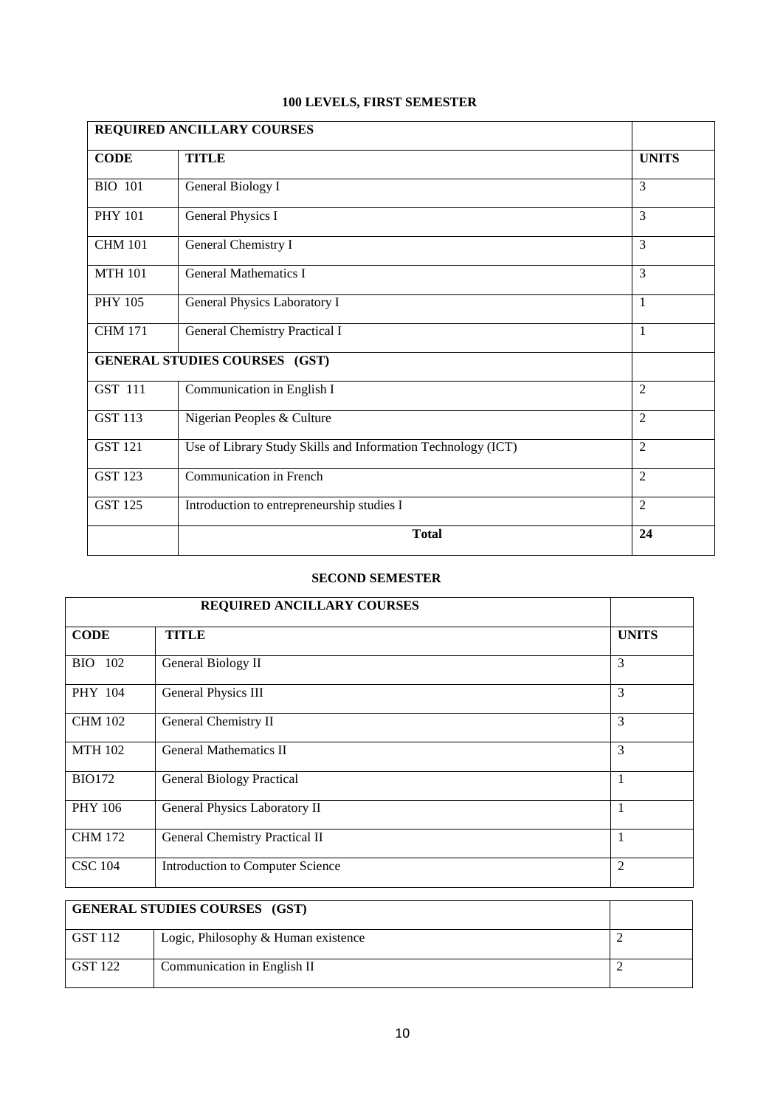# **100 LEVELS, FIRST SEMESTER**

| REQUIRED ANCILLARY COURSES |                                                              |                |
|----------------------------|--------------------------------------------------------------|----------------|
| <b>CODE</b>                | <b>TITLE</b>                                                 | <b>UNITS</b>   |
| <b>BIO 101</b>             | General Biology I                                            | $\overline{3}$ |
| <b>PHY 101</b>             | General Physics I                                            | 3              |
| <b>CHM 101</b>             | General Chemistry I                                          | $\overline{3}$ |
| <b>MTH 101</b>             | <b>General Mathematics I</b>                                 | 3              |
| <b>PHY 105</b>             | General Physics Laboratory I                                 | 1              |
| <b>CHM 171</b>             | General Chemistry Practical I                                | 1              |
|                            | <b>GENERAL STUDIES COURSES (GST)</b>                         |                |
| GST 111                    | Communication in English I                                   | $\overline{2}$ |
| <b>GST 113</b>             | Nigerian Peoples & Culture                                   | $\overline{2}$ |
| <b>GST 121</b>             | Use of Library Study Skills and Information Technology (ICT) | $\overline{2}$ |
| <b>GST 123</b>             | Communication in French                                      | $\overline{2}$ |
| <b>GST 125</b>             | Introduction to entrepreneurship studies I                   | 2              |
|                            | <b>Total</b>                                                 | 24             |

|                | REQUIRED ANCILLARY COURSES       |                |
|----------------|----------------------------------|----------------|
| <b>CODE</b>    | <b>TITLE</b>                     | <b>UNITS</b>   |
| <b>BIO</b> 102 | General Biology II               | 3              |
| PHY 104        | General Physics III              | 3              |
| <b>CHM 102</b> | General Chemistry II             | $\overline{3}$ |
| <b>MTH 102</b> | <b>General Mathematics II</b>    | 3              |
| <b>BIO172</b>  | <b>General Biology Practical</b> | 1              |
| <b>PHY 106</b> | General Physics Laboratory II    | 1              |
| <b>CHM 172</b> | General Chemistry Practical II   | 1              |
| <b>CSC 104</b> | Introduction to Computer Science | $\overline{2}$ |

| <b>GENERAL STUDIES COURSES</b> (GST) |                                     |  |
|--------------------------------------|-------------------------------------|--|
| GST 112                              | Logic, Philosophy & Human existence |  |
| GST 122                              | Communication in English II         |  |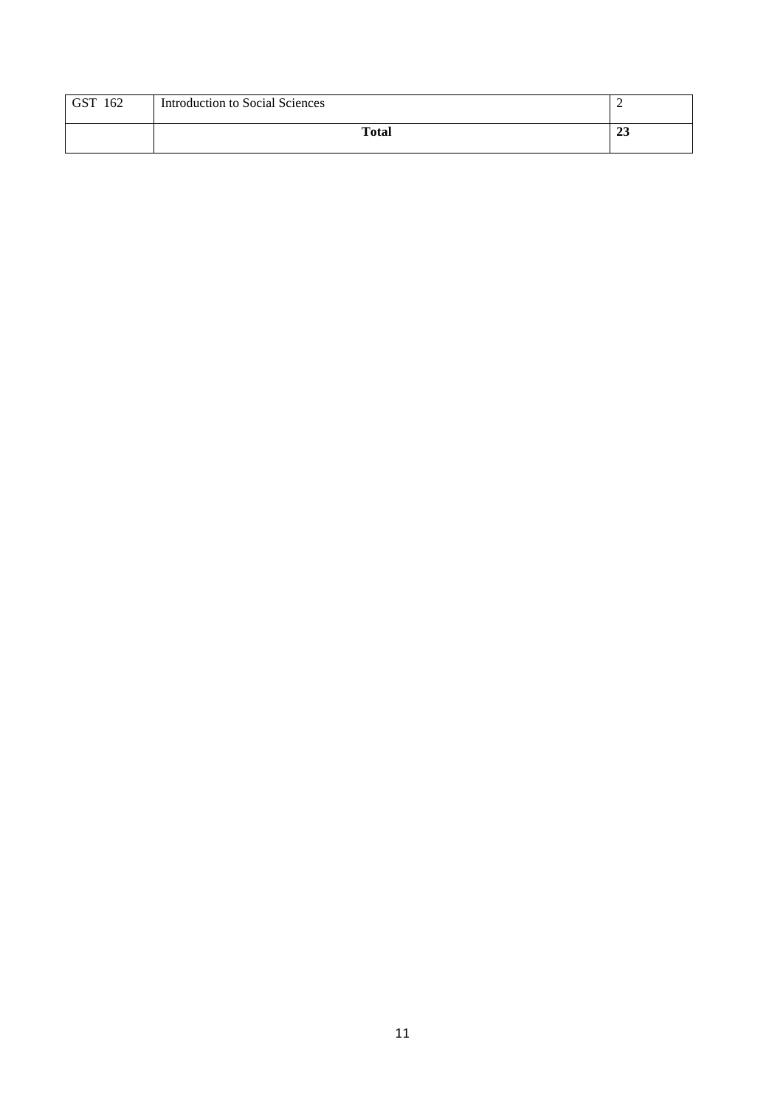| <b>GST</b><br>162 | <b>Introduction to Social Sciences</b> | -  |
|-------------------|----------------------------------------|----|
|                   | <b>Total</b>                           | د⊿ |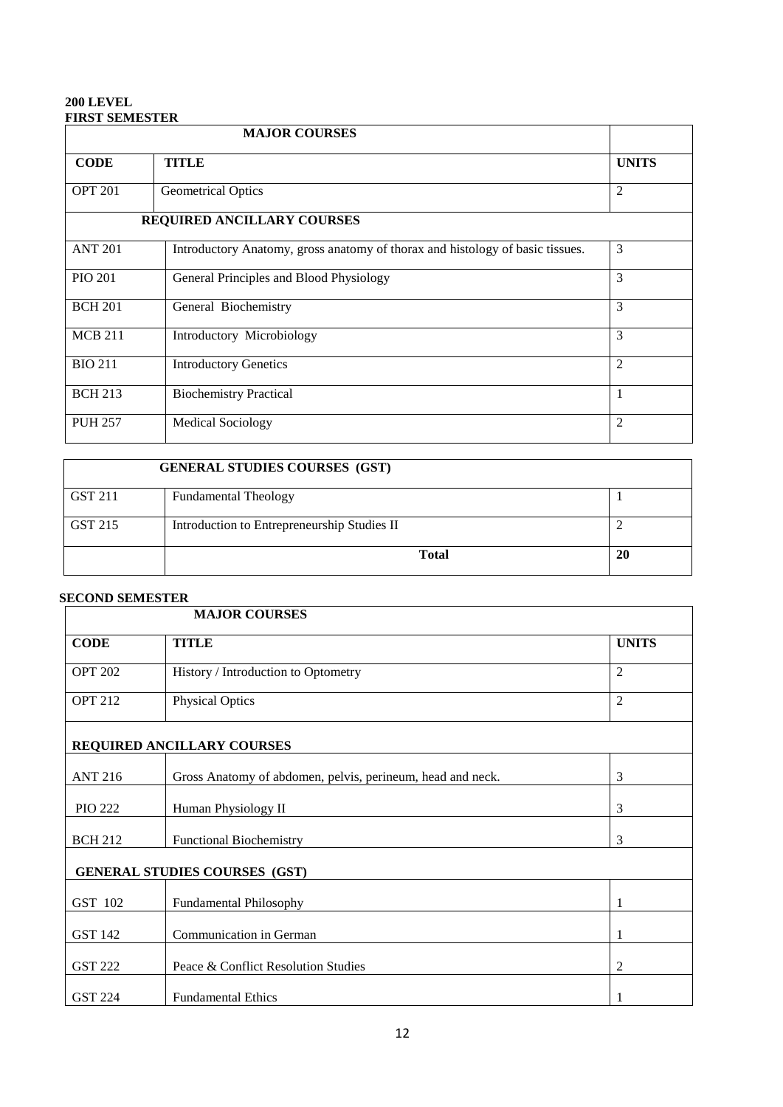# **200 LEVEL FIRST SEMESTER**

|                | <b>MAJOR COURSES</b>                                                          |                |
|----------------|-------------------------------------------------------------------------------|----------------|
| <b>CODE</b>    | <b>TITLE</b>                                                                  | <b>UNITS</b>   |
| <b>OPT 201</b> | <b>Geometrical Optics</b>                                                     | $\overline{2}$ |
|                | <b>REQUIRED ANCILLARY COURSES</b>                                             |                |
| <b>ANT 201</b> | Introductory Anatomy, gross anatomy of thorax and histology of basic tissues. | 3              |
| <b>PIO 201</b> | General Principles and Blood Physiology                                       | 3              |
| <b>BCH 201</b> | General Biochemistry                                                          | 3              |
| <b>MCB 211</b> | Introductory Microbiology                                                     | 3              |
| <b>BIO 211</b> | <b>Introductory Genetics</b>                                                  | $\overline{2}$ |
| <b>BCH 213</b> | <b>Biochemistry Practical</b>                                                 | 1              |
| <b>PUH 257</b> | <b>Medical Sociology</b>                                                      | $\overline{2}$ |

|         | <b>GENERAL STUDIES COURSES (GST)</b>        |    |
|---------|---------------------------------------------|----|
| GST 211 | <b>Fundamental Theology</b>                 |    |
| GST 215 | Introduction to Entrepreneurship Studies II |    |
|         | <b>Total</b>                                | 20 |

|                | <b>MAJOR COURSES</b>                                       |                |
|----------------|------------------------------------------------------------|----------------|
| <b>CODE</b>    | <b>TITLE</b>                                               | <b>UNITS</b>   |
| <b>OPT 202</b> | History / Introduction to Optometry                        | $\overline{2}$ |
| <b>OPT 212</b> | <b>Physical Optics</b>                                     | $\overline{2}$ |
|                | REQUIRED ANCILLARY COURSES                                 |                |
| <b>ANT 216</b> | Gross Anatomy of abdomen, pelvis, perineum, head and neck. | 3              |
| <b>PIO 222</b> | Human Physiology II                                        | 3              |
| <b>BCH 212</b> | <b>Functional Biochemistry</b>                             | 3              |
|                | <b>GENERAL STUDIES COURSES (GST)</b>                       |                |
| GST 102        | <b>Fundamental Philosophy</b>                              |                |
| GST 142        | Communication in German                                    | 1              |
| <b>GST 222</b> | Peace & Conflict Resolution Studies                        | 2              |
| <b>GST 224</b> | <b>Fundamental Ethics</b>                                  |                |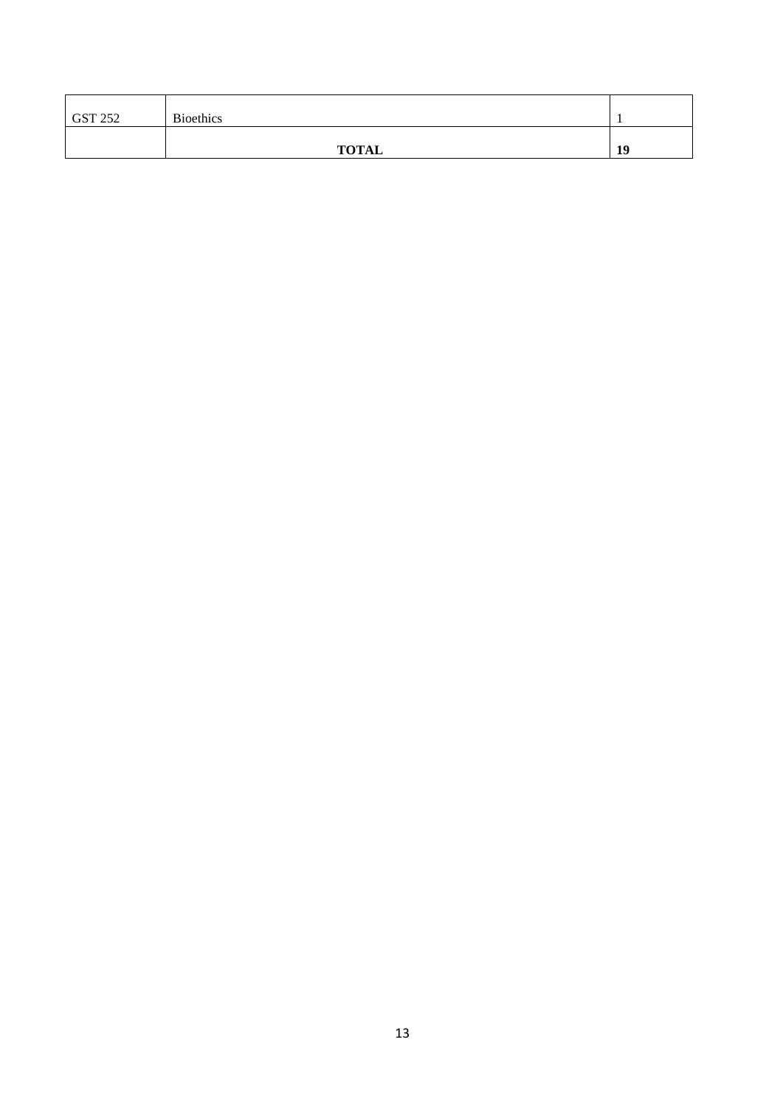| <b>GST 252</b> | <b>Bioethics</b> |    |
|----------------|------------------|----|
|                | <b>TOTAL</b>     | 19 |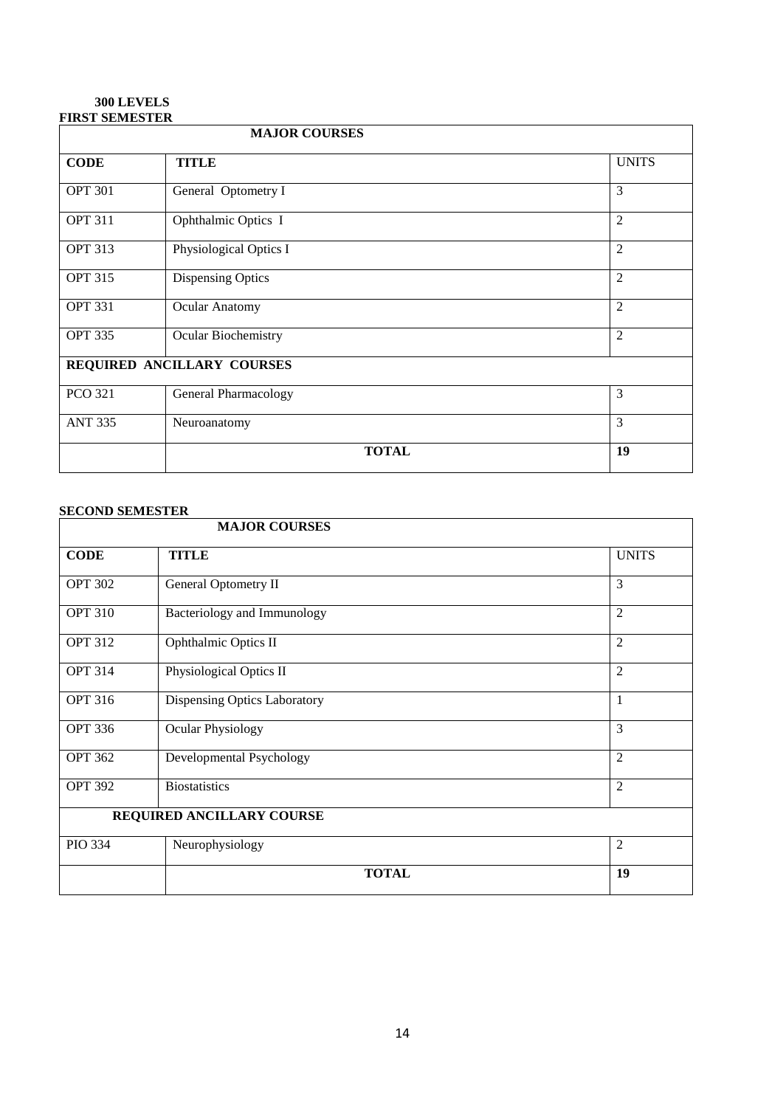# **300 LEVELS FIRST SEMESTER**

| <b>MAJOR COURSES</b> |                             |                |
|----------------------|-----------------------------|----------------|
| <b>CODE</b>          | <b>TITLE</b>                | <b>UNITS</b>   |
| <b>OPT 301</b>       | General Optometry I         | 3              |
| <b>OPT 311</b>       | Ophthalmic Optics I         | $\overline{2}$ |
| <b>OPT 313</b>       | Physiological Optics I      | $\overline{2}$ |
| <b>OPT 315</b>       | Dispensing Optics           | $\overline{2}$ |
| <b>OPT 331</b>       | Ocular Anatomy              | $\overline{2}$ |
| <b>OPT 335</b>       | <b>Ocular Biochemistry</b>  | $\overline{2}$ |
|                      | REQUIRED ANCILLARY COURSES  |                |
| <b>PCO 321</b>       | <b>General Pharmacology</b> | 3              |
| <b>ANT 335</b>       | Neuroanatomy                | 3              |
|                      | <b>TOTAL</b>                | 19             |

| <b>MAJOR COURSES</b> |                              |                |
|----------------------|------------------------------|----------------|
| <b>CODE</b>          | <b>TITLE</b>                 | <b>UNITS</b>   |
| <b>OPT 302</b>       | General Optometry II         | 3              |
| <b>OPT 310</b>       | Bacteriology and Immunology  | $\overline{2}$ |
| <b>OPT 312</b>       | Ophthalmic Optics II         | $\overline{2}$ |
| <b>OPT 314</b>       | Physiological Optics II      | $\overline{2}$ |
| <b>OPT 316</b>       | Dispensing Optics Laboratory | $\mathbf{1}$   |
| <b>OPT 336</b>       | <b>Ocular Physiology</b>     | 3              |
| <b>OPT 362</b>       | Developmental Psychology     | $\overline{2}$ |
| <b>OPT 392</b>       | <b>Biostatistics</b>         | $\overline{2}$ |
|                      | REQUIRED ANCILLARY COURSE    |                |
| <b>PIO 334</b>       | Neurophysiology              | $\mathfrak{2}$ |
|                      | <b>TOTAL</b>                 | 19             |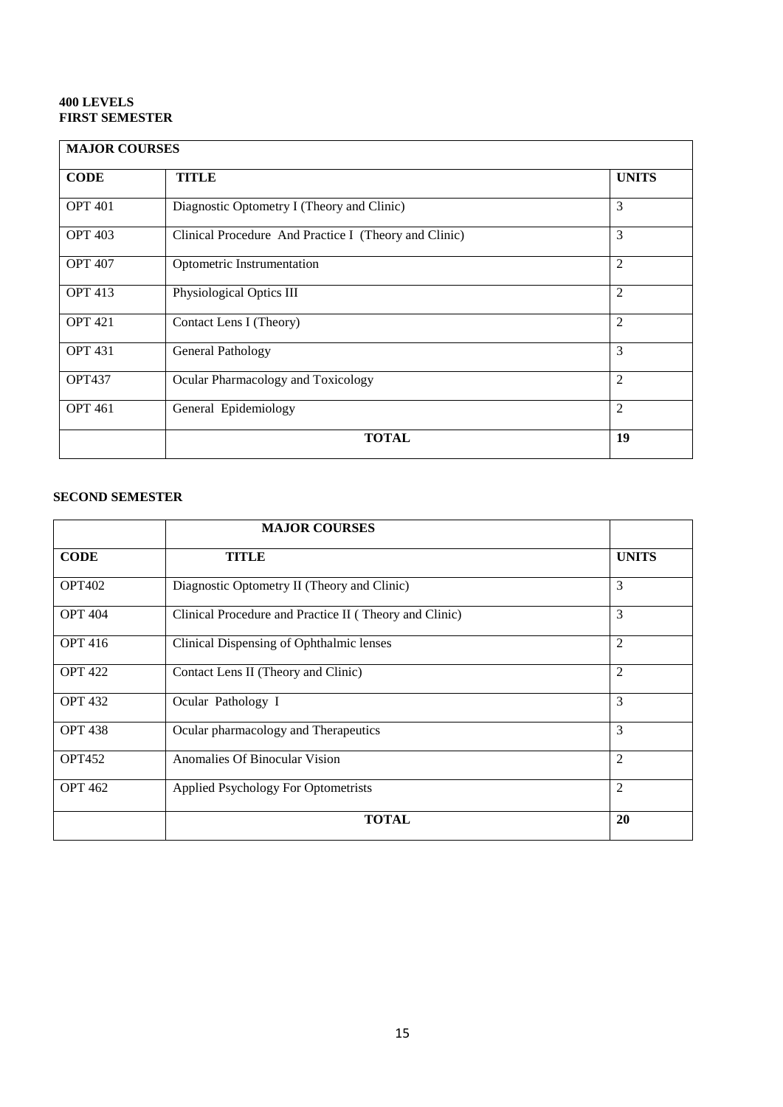# **400 LEVELS FIRST SEMESTER**

| <b>MAJOR COURSES</b> |                                                       |                |
|----------------------|-------------------------------------------------------|----------------|
| <b>CODE</b>          | <b>TITLE</b>                                          | <b>UNITS</b>   |
| <b>OPT 401</b>       | Diagnostic Optometry I (Theory and Clinic)            | 3              |
| <b>OPT 403</b>       | Clinical Procedure And Practice I (Theory and Clinic) | 3              |
| <b>OPT 407</b>       | Optometric Instrumentation                            | $\overline{2}$ |
| <b>OPT 413</b>       | Physiological Optics III                              | $\overline{2}$ |
| <b>OPT 421</b>       | Contact Lens I (Theory)                               | $\overline{2}$ |
| <b>OPT 431</b>       | General Pathology                                     | 3              |
| <b>OPT437</b>        | Ocular Pharmacology and Toxicology                    | $\overline{2}$ |
| <b>OPT 461</b>       | General Epidemiology                                  | $\overline{2}$ |
|                      | <b>TOTAL</b>                                          | 19             |

|                | <b>MAJOR COURSES</b>                                   |                |
|----------------|--------------------------------------------------------|----------------|
| <b>CODE</b>    | TITLE                                                  | <b>UNITS</b>   |
| <b>OPT402</b>  | Diagnostic Optometry II (Theory and Clinic)            | 3              |
| <b>OPT 404</b> | Clinical Procedure and Practice II (Theory and Clinic) | 3              |
| <b>OPT</b> 416 | Clinical Dispensing of Ophthalmic lenses               | $\overline{2}$ |
| <b>OPT 422</b> | Contact Lens II (Theory and Clinic)                    | $\overline{2}$ |
| <b>OPT 432</b> | Ocular Pathology I                                     | 3              |
| <b>OPT 438</b> | Ocular pharmacology and Therapeutics                   | 3              |
| <b>OPT452</b>  | Anomalies Of Binocular Vision                          | $\overline{2}$ |
| <b>OPT 462</b> | Applied Psychology For Optometrists                    | 2              |
|                | <b>TOTAL</b>                                           | 20             |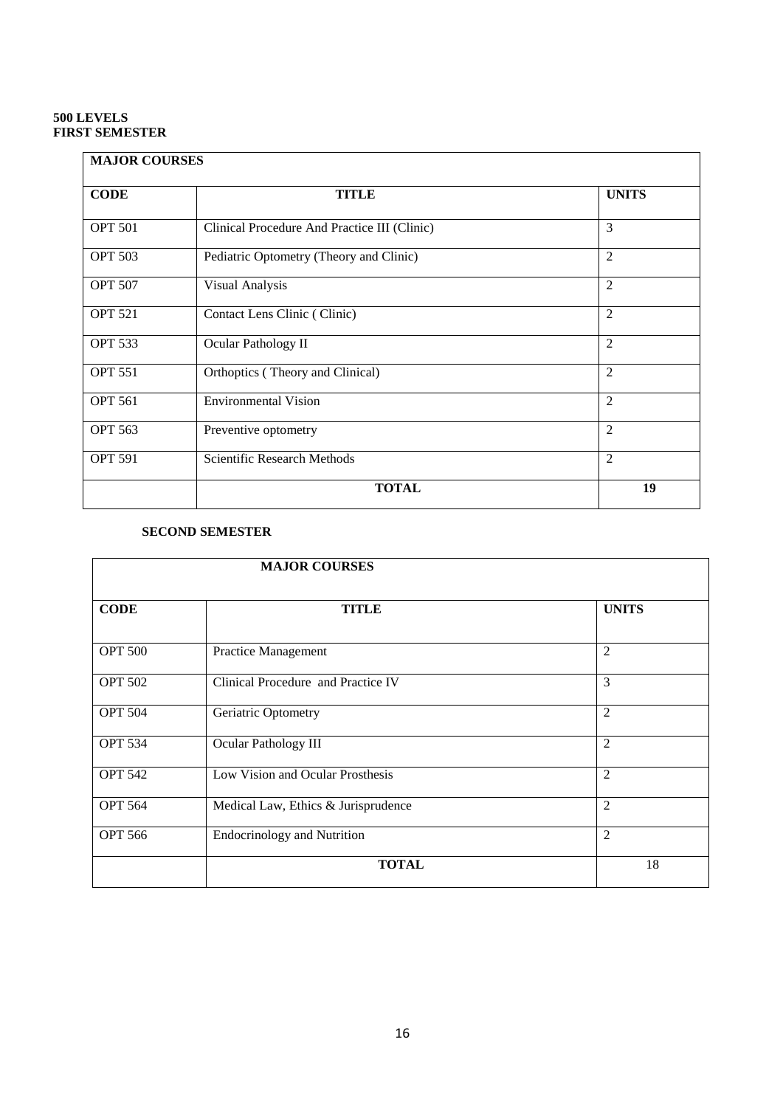# **500 LEVELS FIRST SEMESTER**

| <b>MAJOR COURSES</b> |                                              |                |
|----------------------|----------------------------------------------|----------------|
| <b>CODE</b>          | <b>TITLE</b>                                 | <b>UNITS</b>   |
| <b>OPT 501</b>       | Clinical Procedure And Practice III (Clinic) | 3              |
| <b>OPT 503</b>       | Pediatric Optometry (Theory and Clinic)      | $\overline{2}$ |
| <b>OPT 507</b>       | Visual Analysis                              | $\overline{2}$ |
| <b>OPT 521</b>       | Contact Lens Clinic (Clinic)                 | $\overline{2}$ |
| <b>OPT 533</b>       | Ocular Pathology II                          | $\overline{2}$ |
| <b>OPT 551</b>       | Orthoptics (Theory and Clinical)             | $\overline{2}$ |
| <b>OPT 561</b>       | <b>Environmental Vision</b>                  | $\mathfrak{D}$ |
| <b>OPT 563</b>       | Preventive optometry                         | $\overline{2}$ |
| <b>OPT 591</b>       | Scientific Research Methods                  | $\overline{2}$ |
|                      | <b>TOTAL</b>                                 | 19             |

| <b>MAJOR COURSES</b> |                                     |                |
|----------------------|-------------------------------------|----------------|
| <b>CODE</b>          | <b>TITLE</b>                        | <b>UNITS</b>   |
| <b>OPT 500</b>       | <b>Practice Management</b>          | $\overline{2}$ |
| <b>OPT 502</b>       | Clinical Procedure and Practice IV  | 3              |
| <b>OPT 504</b>       | Geriatric Optometry                 | $\overline{2}$ |
| <b>OPT 534</b>       | Ocular Pathology III                | $\overline{2}$ |
| <b>OPT 542</b>       | Low Vision and Ocular Prosthesis    | $\overline{2}$ |
| <b>OPT 564</b>       | Medical Law, Ethics & Jurisprudence | $\overline{2}$ |
| <b>OPT 566</b>       | <b>Endocrinology and Nutrition</b>  | $\overline{2}$ |
|                      | <b>TOTAL</b>                        | 18             |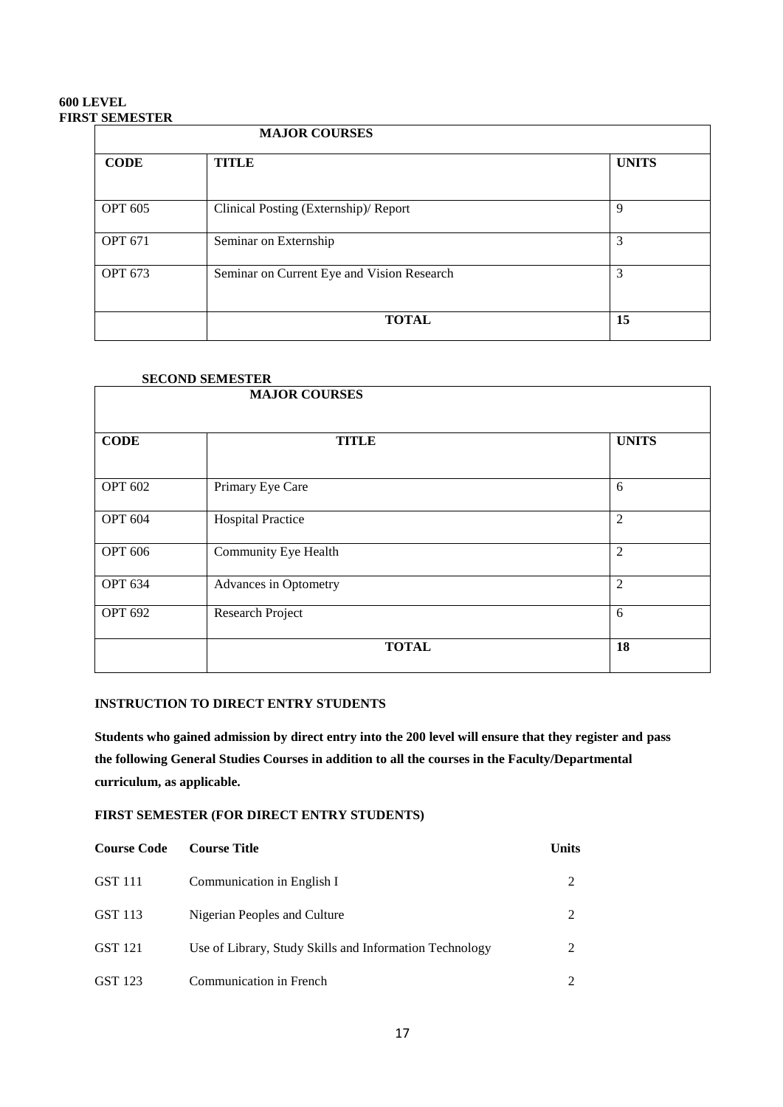# **600 LEVEL FIRST SEMESTER**

| <b>MAJOR COURSES</b> |                                            |              |
|----------------------|--------------------------------------------|--------------|
| <b>CODE</b>          | <b>TITLE</b>                               | <b>UNITS</b> |
| <b>OPT 605</b>       | Clinical Posting (Externship)/ Report      | 9            |
| <b>OPT 671</b>       | Seminar on Externship                      | 3            |
| <b>OPT 673</b>       | Seminar on Current Eye and Vision Research | 3            |
|                      | <b>TOTAL</b>                               | 15           |

| <b>SECOND SEMESTER</b> |                          |                |
|------------------------|--------------------------|----------------|
| <b>MAJOR COURSES</b>   |                          |                |
|                        |                          |                |
| <b>CODE</b>            | <b>TITLE</b>             | <b>UNITS</b>   |
|                        |                          |                |
| <b>OPT 602</b>         | Primary Eye Care         | 6              |
| <b>OPT 604</b>         | <b>Hospital Practice</b> | $\overline{2}$ |
| <b>OPT 606</b>         | Community Eye Health     | $\overline{2}$ |
| <b>OPT 634</b>         | Advances in Optometry    | $\overline{2}$ |
| <b>OPT 692</b>         | Research Project         | 6              |
|                        | <b>TOTAL</b>             | 18             |

# **INSTRUCTION TO DIRECT ENTRY STUDENTS**

**Students who gained admission by direct entry into the 200 level will ensure that they register and pass the following General Studies Courses in addition to all the courses in the Faculty/Departmental curriculum, as applicable.**

# **FIRST SEMESTER (FOR DIRECT ENTRY STUDENTS)**

| <b>Course Code</b> | <b>Course Title</b>                                     | <b>Units</b> |
|--------------------|---------------------------------------------------------|--------------|
| GST 111            | Communication in English I                              |              |
| GST 113            | Nigerian Peoples and Culture                            |              |
| GST 121            | Use of Library, Study Skills and Information Technology |              |
| GST 123            | Communication in French                                 |              |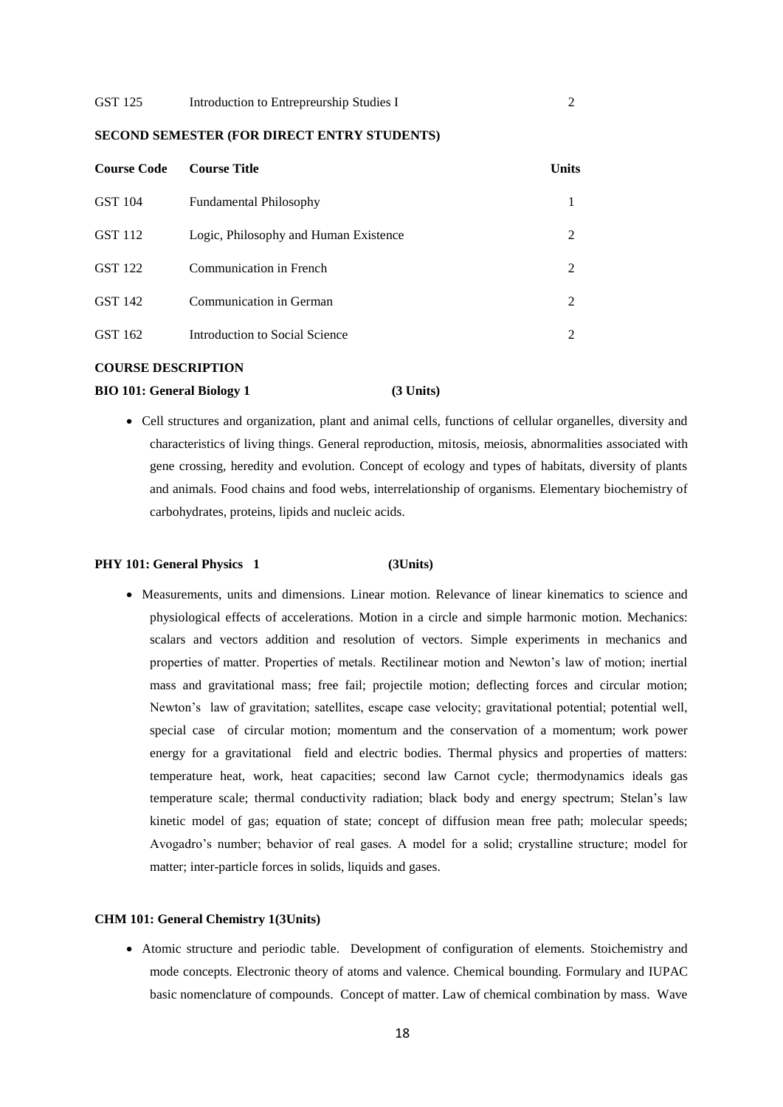# **SECOND SEMESTER (FOR DIRECT ENTRY STUDENTS)**

| <b>Course Code</b> | <b>Course Title</b>                   | <b>Units</b> |
|--------------------|---------------------------------------|--------------|
| GST 104            | <b>Fundamental Philosophy</b>         |              |
| GST 112            | Logic, Philosophy and Human Existence | 2            |
| GST 122            | Communication in French               | 2            |
| GST 142            | Communication in German               | 2            |
| GST 162            | Introduction to Social Science        |              |

### **COURSE DESCRIPTION**

### **BIO 101: General Biology 1 (3 Units)**

 Cell structures and organization, plant and animal cells, functions of cellular organelles, diversity and characteristics of living things. General reproduction, mitosis, meiosis, abnormalities associated with gene crossing, heredity and evolution. Concept of ecology and types of habitats, diversity of plants and animals. Food chains and food webs, interrelationship of organisms. Elementary biochemistry of carbohydrates, proteins, lipids and nucleic acids.

### PHY 101: General Physics 1 (3Units)

 Measurements, units and dimensions. Linear motion. Relevance of linear kinematics to science and physiological effects of accelerations. Motion in a circle and simple harmonic motion. Mechanics: scalars and vectors addition and resolution of vectors. Simple experiments in mechanics and properties of matter. Properties of metals. Rectilinear motion and Newton's law of motion; inertial mass and gravitational mass; free fail; projectile motion; deflecting forces and circular motion; Newton's law of gravitation; satellites, escape case velocity; gravitational potential; potential well, special case of circular motion; momentum and the conservation of a momentum; work power energy for a gravitational field and electric bodies. Thermal physics and properties of matters: temperature heat, work, heat capacities; second law Carnot cycle; thermodynamics ideals gas temperature scale; thermal conductivity radiation; black body and energy spectrum; Stelan's law kinetic model of gas; equation of state; concept of diffusion mean free path; molecular speeds; Avogadro's number; behavior of real gases. A model for a solid; crystalline structure; model for matter; inter-particle forces in solids, liquids and gases.

# **CHM 101: General Chemistry 1(3Units)**

 Atomic structure and periodic table. Development of configuration of elements. Stoichemistry and mode concepts. Electronic theory of atoms and valence. Chemical bounding. Formulary and IUPAC basic nomenclature of compounds. Concept of matter. Law of chemical combination by mass. Wave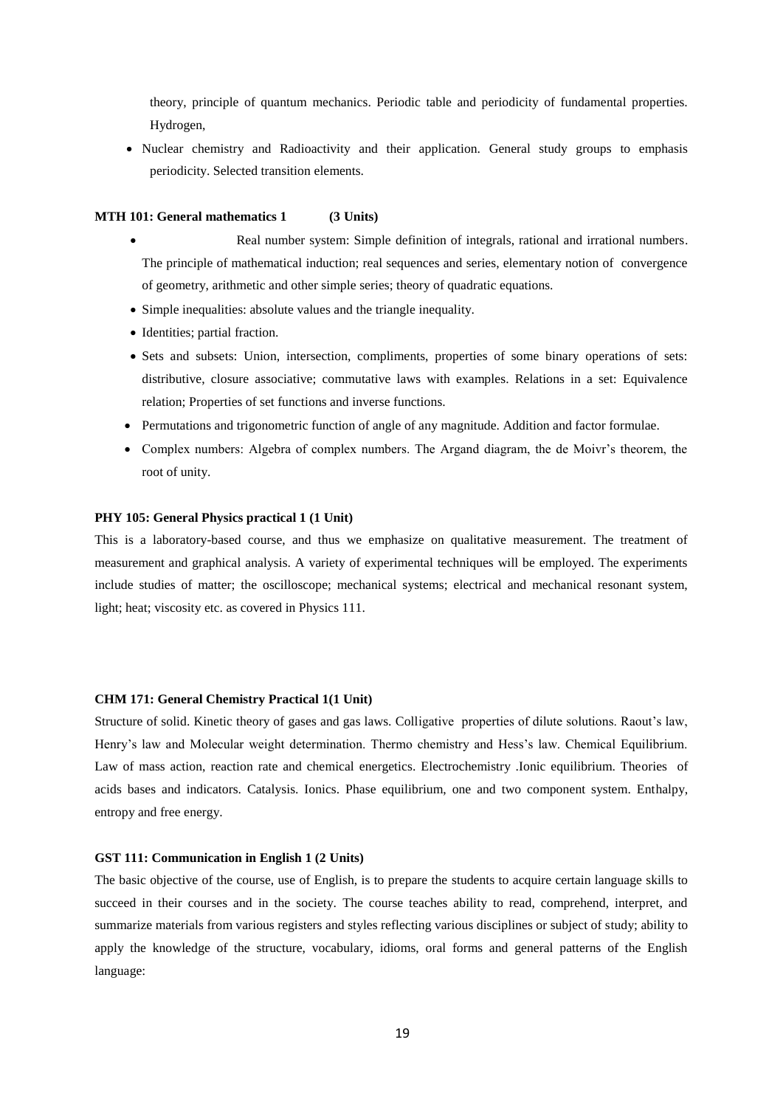theory, principle of quantum mechanics. Periodic table and periodicity of fundamental properties. Hydrogen,

 Nuclear chemistry and Radioactivity and their application. General study groups to emphasis periodicity. Selected transition elements.

### **MTH 101: General mathematics 1 (3 Units)**

- Real number system: Simple definition of integrals, rational and irrational numbers. The principle of mathematical induction; real sequences and series, elementary notion of convergence of geometry, arithmetic and other simple series; theory of quadratic equations.
- Simple inequalities: absolute values and the triangle inequality.
- Identities; partial fraction.
- Sets and subsets: Union, intersection, compliments, properties of some binary operations of sets: distributive, closure associative; commutative laws with examples. Relations in a set: Equivalence relation; Properties of set functions and inverse functions.
- Permutations and trigonometric function of angle of any magnitude. Addition and factor formulae.
- Complex numbers: Algebra of complex numbers. The Argand diagram, the de Moivr's theorem, the root of unity.

# **PHY 105: General Physics practical 1 (1 Unit)**

This is a laboratory-based course, and thus we emphasize on qualitative measurement. The treatment of measurement and graphical analysis. A variety of experimental techniques will be employed. The experiments include studies of matter; the oscilloscope; mechanical systems; electrical and mechanical resonant system, light; heat; viscosity etc. as covered in Physics 111.

# **CHM 171: General Chemistry Practical 1(1 Unit)**

Structure of solid. Kinetic theory of gases and gas laws. Colligative properties of dilute solutions. Raout's law, Henry's law and Molecular weight determination. Thermo chemistry and Hess's law. Chemical Equilibrium. Law of mass action, reaction rate and chemical energetics. Electrochemistry .Ionic equilibrium. Theories of acids bases and indicators. Catalysis. Ionics. Phase equilibrium, one and two component system. Enthalpy, entropy and free energy.

# **GST 111: Communication in English 1 (2 Units)**

The basic objective of the course, use of English, is to prepare the students to acquire certain language skills to succeed in their courses and in the society. The course teaches ability to read, comprehend, interpret, and summarize materials from various registers and styles reflecting various disciplines or subject of study; ability to apply the knowledge of the structure, vocabulary, idioms, oral forms and general patterns of the English language: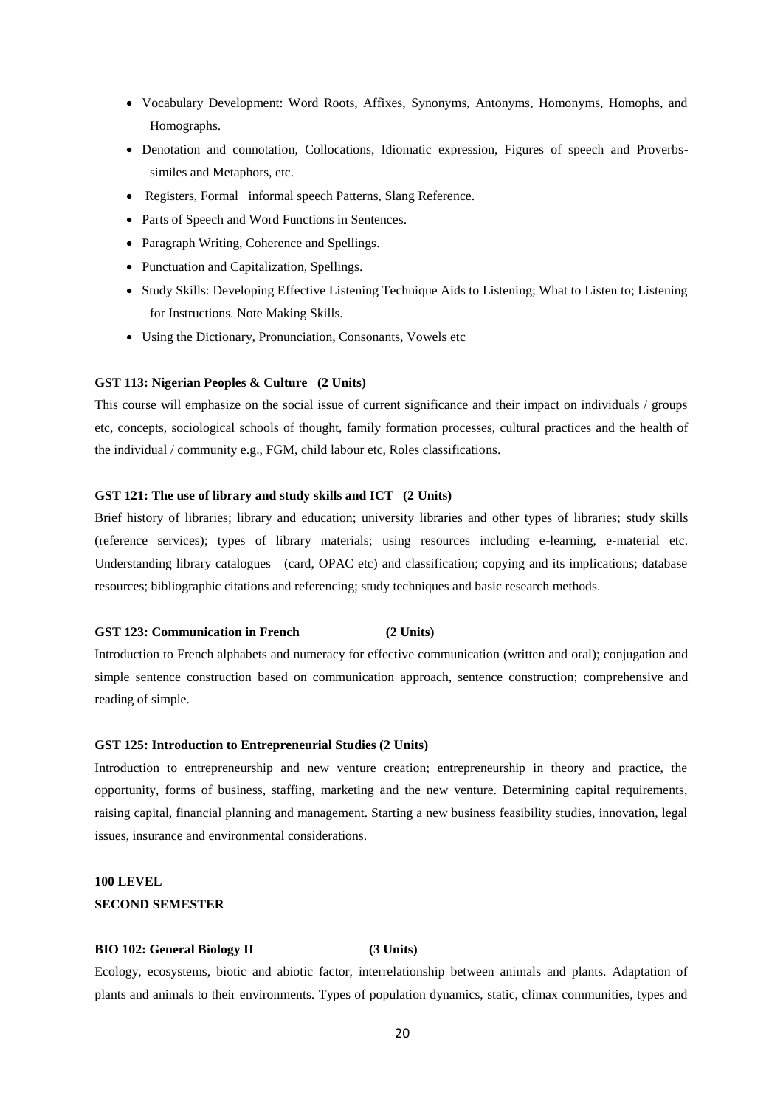- Vocabulary Development: Word Roots, Affixes, Synonyms, Antonyms, Homonyms, Homophs, and Homographs.
- Denotation and connotation, Collocations, Idiomatic expression, Figures of speech and Proverbssimiles and Metaphors, etc.
- Registers, Formal informal speech Patterns, Slang Reference.
- Parts of Speech and Word Functions in Sentences.
- Paragraph Writing, Coherence and Spellings.
- Punctuation and Capitalization, Spellings.
- Study Skills: Developing Effective Listening Technique Aids to Listening; What to Listen to; Listening for Instructions. Note Making Skills.
- Using the Dictionary, Pronunciation, Consonants, Vowels etc

### **GST 113: Nigerian Peoples & Culture (2 Units)**

This course will emphasize on the social issue of current significance and their impact on individuals / groups etc, concepts, sociological schools of thought, family formation processes, cultural practices and the health of the individual / community e.g., FGM, child labour etc, Roles classifications.

# **GST 121: The use of library and study skills and ICT (2 Units)**

Brief history of libraries; library and education; university libraries and other types of libraries; study skills (reference services); types of library materials; using resources including e-learning, e-material etc. Understanding library catalogues (card, OPAC etc) and classification; copying and its implications; database resources; bibliographic citations and referencing; study techniques and basic research methods.

# **GST 123: Communication in French (2 Units)**

Introduction to French alphabets and numeracy for effective communication (written and oral); conjugation and simple sentence construction based on communication approach, sentence construction; comprehensive and reading of simple.

# **GST 125: Introduction to Entrepreneurial Studies (2 Units)**

Introduction to entrepreneurship and new venture creation; entrepreneurship in theory and practice, the opportunity, forms of business, staffing, marketing and the new venture. Determining capital requirements, raising capital, financial planning and management. Starting a new business feasibility studies, innovation, legal issues, insurance and environmental considerations.

# **100 LEVEL SECOND SEMESTER**

### **BIO 102: General Biology II (3 Units)**

Ecology, ecosystems, biotic and abiotic factor, interrelationship between animals and plants. Adaptation of plants and animals to their environments. Types of population dynamics, static, climax communities, types and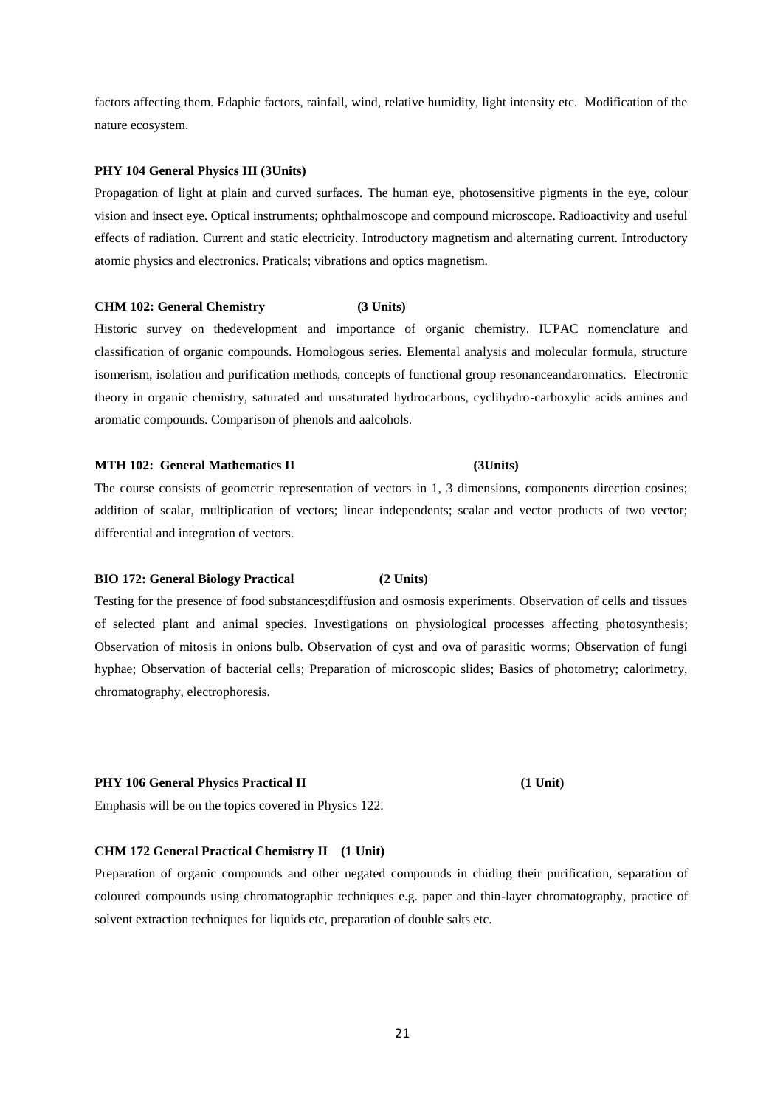factors affecting them. Edaphic factors, rainfall, wind, relative humidity, light intensity etc. Modification of the nature ecosystem.

# **PHY 104 General Physics III (3Units)**

Propagation of light at plain and curved surfaces**.** The human eye, photosensitive pigments in the eye, colour vision and insect eye. Optical instruments; ophthalmoscope and compound microscope. Radioactivity and useful effects of radiation. Current and static electricity. Introductory magnetism and alternating current. Introductory atomic physics and electronics. Praticals; vibrations and optics magnetism.

# **CHM 102: General Chemistry (3 Units)**

Historic survey on thedevelopment and importance of organic chemistry. IUPAC nomenclature and classification of organic compounds. Homologous series. Elemental analysis and molecular formula, structure isomerism, isolation and purification methods, concepts of functional group resonanceandaromatics. Electronic theory in organic chemistry, saturated and unsaturated hydrocarbons, cyclihydro-carboxylic acids amines and aromatic compounds. Comparison of phenols and aalcohols.

### **MTH 102: General Mathematics II (3Units)**

The course consists of geometric representation of vectors in 1, 3 dimensions, components direction cosines; addition of scalar, multiplication of vectors; linear independents; scalar and vector products of two vector; differential and integration of vectors.

### **BIO 172: General Biology Practical (2 Units)**

Testing for the presence of food substances;diffusion and osmosis experiments. Observation of cells and tissues of selected plant and animal species. Investigations on physiological processes affecting photosynthesis; Observation of mitosis in onions bulb. Observation of cyst and ova of parasitic worms; Observation of fungi hyphae; Observation of bacterial cells; Preparation of microscopic slides; Basics of photometry; calorimetry, chromatography, electrophoresis.

### **PHY 106 General Physics Practical II (1 Unit)**

Emphasis will be on the topics covered in Physics 122.

### **CHM 172 General Practical Chemistry II (1 Unit)**

Preparation of organic compounds and other negated compounds in chiding their purification, separation of coloured compounds using chromatographic techniques e.g. paper and thin-layer chromatography, practice of solvent extraction techniques for liquids etc, preparation of double salts etc.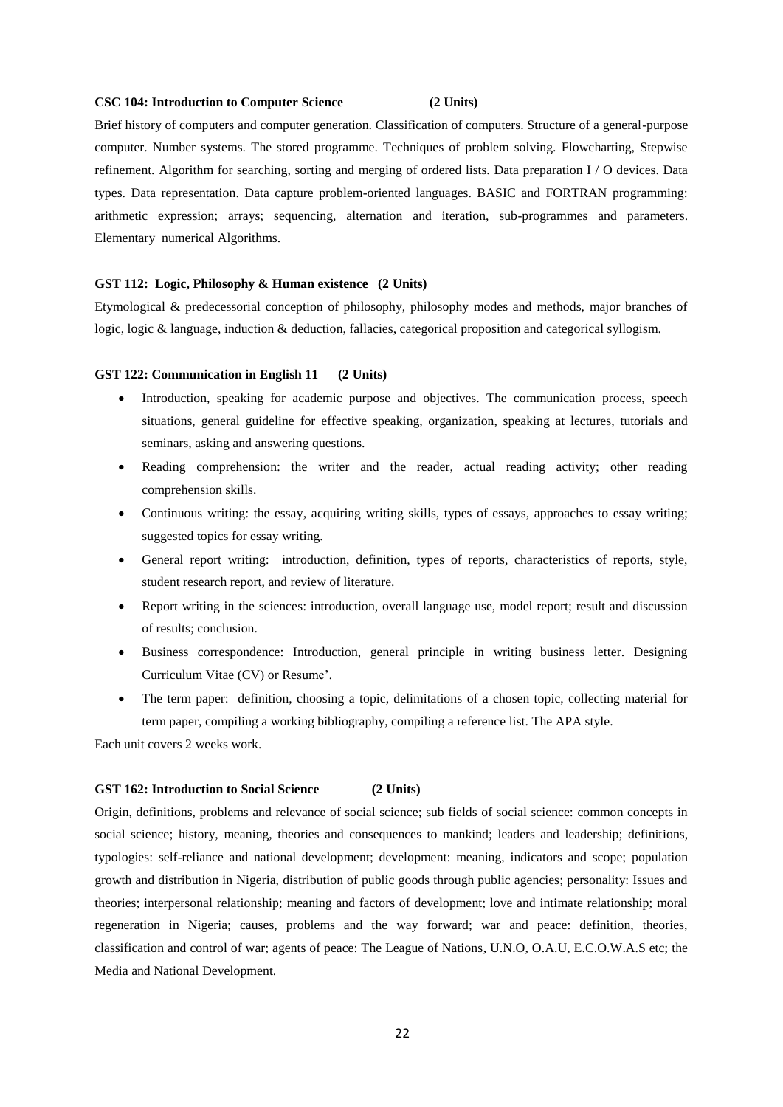### **CSC 104: Introduction to Computer Science (2 Units)**

Brief history of computers and computer generation. Classification of computers. Structure of a general-purpose computer. Number systems. The stored programme. Techniques of problem solving. Flowcharting, Stepwise refinement. Algorithm for searching, sorting and merging of ordered lists. Data preparation I / O devices. Data types. Data representation. Data capture problem-oriented languages. BASIC and FORTRAN programming: arithmetic expression; arrays; sequencing, alternation and iteration, sub-programmes and parameters. Elementary numerical Algorithms.

### **GST 112: Logic, Philosophy & Human existence (2 Units)**

Etymological & predecessorial conception of philosophy, philosophy modes and methods, major branches of logic, logic & language, induction & deduction, fallacies, categorical proposition and categorical syllogism.

### **GST 122: Communication in English 11 (2 Units)**

- Introduction, speaking for academic purpose and objectives. The communication process, speech situations, general guideline for effective speaking, organization, speaking at lectures, tutorials and seminars, asking and answering questions.
- Reading comprehension: the writer and the reader, actual reading activity; other reading comprehension skills.
- Continuous writing: the essay, acquiring writing skills, types of essays, approaches to essay writing; suggested topics for essay writing.
- General report writing: introduction, definition, types of reports, characteristics of reports, style, student research report, and review of literature.
- Report writing in the sciences: introduction, overall language use, model report; result and discussion of results; conclusion.
- Business correspondence: Introduction, general principle in writing business letter. Designing Curriculum Vitae (CV) or Resume'.
- The term paper: definition, choosing a topic, delimitations of a chosen topic, collecting material for term paper, compiling a working bibliography, compiling a reference list. The APA style.

Each unit covers 2 weeks work.

### **GST 162: Introduction to Social Science (2 Units)**

Origin, definitions, problems and relevance of social science; sub fields of social science: common concepts in social science; history, meaning, theories and consequences to mankind; leaders and leadership; definitions, typologies: self-reliance and national development; development: meaning, indicators and scope; population growth and distribution in Nigeria, distribution of public goods through public agencies; personality: Issues and theories; interpersonal relationship; meaning and factors of development; love and intimate relationship; moral regeneration in Nigeria; causes, problems and the way forward; war and peace: definition, theories, classification and control of war; agents of peace: The League of Nations, U.N.O, O.A.U, E.C.O.W.A.S etc; the Media and National Development.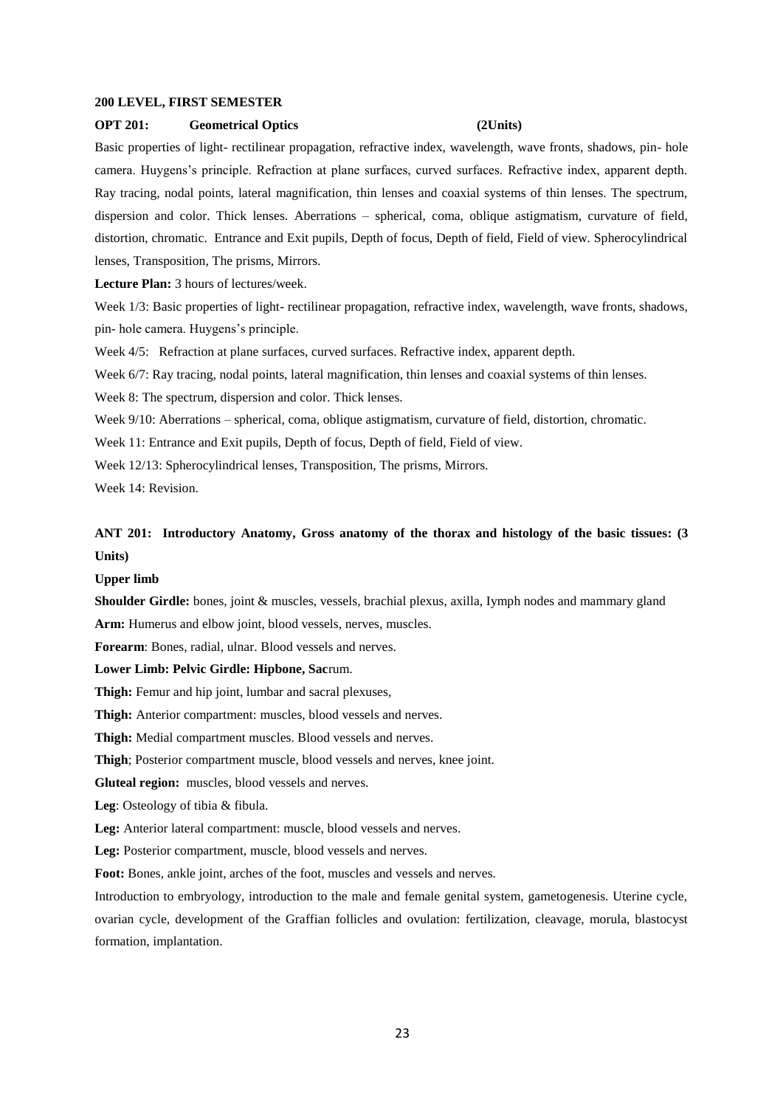### **200 LEVEL, FIRST SEMESTER**

### **OPT 201: Geometrical Optics (2Units)**

Basic properties of light- rectilinear propagation, refractive index, wavelength, wave fronts, shadows, pin- hole camera. Huygens's principle. Refraction at plane surfaces, curved surfaces. Refractive index, apparent depth. Ray tracing, nodal points, lateral magnification, thin lenses and coaxial systems of thin lenses. The spectrum, dispersion and color. Thick lenses. Aberrations – spherical, coma, oblique astigmatism, curvature of field, distortion, chromatic. Entrance and Exit pupils, Depth of focus, Depth of field, Field of view. Spherocylindrical lenses, Transposition, The prisms, Mirrors.

**Lecture Plan:** 3 hours of lectures/week.

Week 1/3: Basic properties of light- rectilinear propagation, refractive index, wavelength, wave fronts, shadows, pin- hole camera. Huygens's principle.

Week 4/5: Refraction at plane surfaces, curved surfaces. Refractive index, apparent depth.

Week 6/7: Ray tracing, nodal points, lateral magnification, thin lenses and coaxial systems of thin lenses.

Week 8: The spectrum, dispersion and color. Thick lenses.

Week 9/10: Aberrations – spherical, coma, oblique astigmatism, curvature of field, distortion, chromatic.

Week 11: Entrance and Exit pupils, Depth of focus, Depth of field, Field of view.

Week 12/13: Spherocylindrical lenses, Transposition, The prisms, Mirrors.

Week 14: Revision.

# **ANT 201: Introductory Anatomy, Gross anatomy of the thorax and histology of the basic tissues: (3 Units)**

### **Upper limb**

**Shoulder Girdle:** bones, joint & muscles, vessels, brachial plexus, axilla, Iymph nodes and mammary gland Arm: Humerus and elbow joint, blood vessels, nerves, muscles.

**Forearm**: Bones, radial, ulnar. Blood vessels and nerves.

### **Lower Limb: Pelvic Girdle: Hipbone, Sac**rum.

**Thigh:** Femur and hip joint, lumbar and sacral plexuses,

**Thigh:** Anterior compartment: muscles, blood vessels and nerves.

**Thigh:** Medial compartment muscles. Blood vessels and nerves.

**Thigh**; Posterior compartment muscle, blood vessels and nerves, knee joint.

**Gluteal region:** muscles, blood vessels and nerves.

**Leg**: Osteology of tibia & fibula.

**Leg:** Anterior lateral compartment: muscle, blood vessels and nerves.

**Leg:** Posterior compartment, muscle, blood vessels and nerves.

**Foot:** Bones, ankle joint, arches of the foot, muscles and vessels and nerves.

Introduction to embryology, introduction to the male and female genital system, gametogenesis. Uterine cycle, ovarian cycle, development of the Graffian follicles and ovulation: fertilization, cleavage, morula, blastocyst formation, implantation.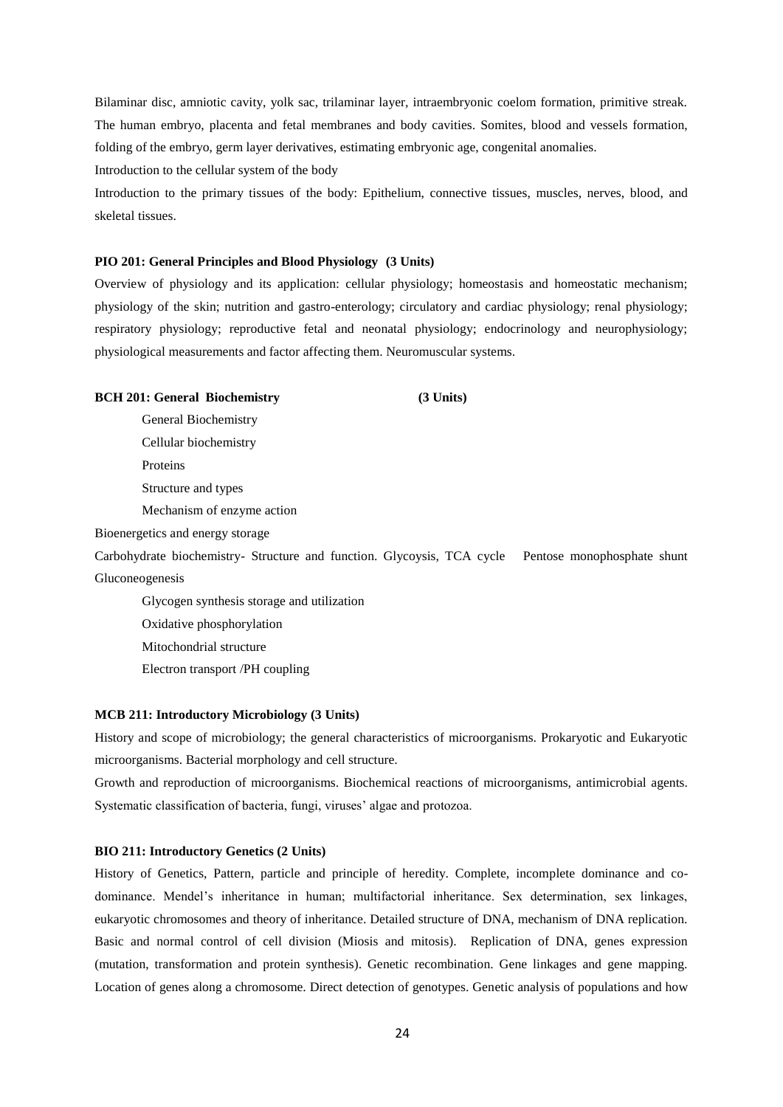Bilaminar disc, amniotic cavity, yolk sac, trilaminar layer, intraembryonic coelom formation, primitive streak. The human embryo, placenta and fetal membranes and body cavities. Somites, blood and vessels formation, folding of the embryo, germ layer derivatives, estimating embryonic age, congenital anomalies.

Introduction to the cellular system of the body

Introduction to the primary tissues of the body: Epithelium, connective tissues, muscles, nerves, blood, and skeletal tissues.

### **PIO 201: General Principles and Blood Physiology (3 Units)**

Overview of physiology and its application: cellular physiology; homeostasis and homeostatic mechanism; physiology of the skin; nutrition and gastro-enterology; circulatory and cardiac physiology; renal physiology; respiratory physiology; reproductive fetal and neonatal physiology; endocrinology and neurophysiology; physiological measurements and factor affecting them. Neuromuscular systems.

### **BCH 201: General Biochemistry (3 Units)**

General Biochemistry Cellular biochemistry Proteins Structure and types Mechanism of enzyme action

Bioenergetics and energy storage

Carbohydrate biochemistry- Structure and function. Glycoysis, TCA cycle Pentose monophosphate shunt Gluconeogenesis

Glycogen synthesis storage and utilization

Oxidative phosphorylation

Mitochondrial structure

Electron transport /PH coupling

## **MCB 211: Introductory Microbiology (3 Units)**

History and scope of microbiology; the general characteristics of microorganisms. Prokaryotic and Eukaryotic microorganisms. Bacterial morphology and cell structure.

Growth and reproduction of microorganisms. Biochemical reactions of microorganisms, antimicrobial agents. Systematic classification of bacteria, fungi, viruses' algae and protozoa.

### **BIO 211: Introductory Genetics (2 Units)**

History of Genetics, Pattern, particle and principle of heredity. Complete, incomplete dominance and codominance. Mendel's inheritance in human; multifactorial inheritance. Sex determination, sex linkages, eukaryotic chromosomes and theory of inheritance. Detailed structure of DNA, mechanism of DNA replication. Basic and normal control of cell division (Miosis and mitosis). Replication of DNA, genes expression (mutation, transformation and protein synthesis). Genetic recombination. Gene linkages and gene mapping. Location of genes along a chromosome. Direct detection of genotypes. Genetic analysis of populations and how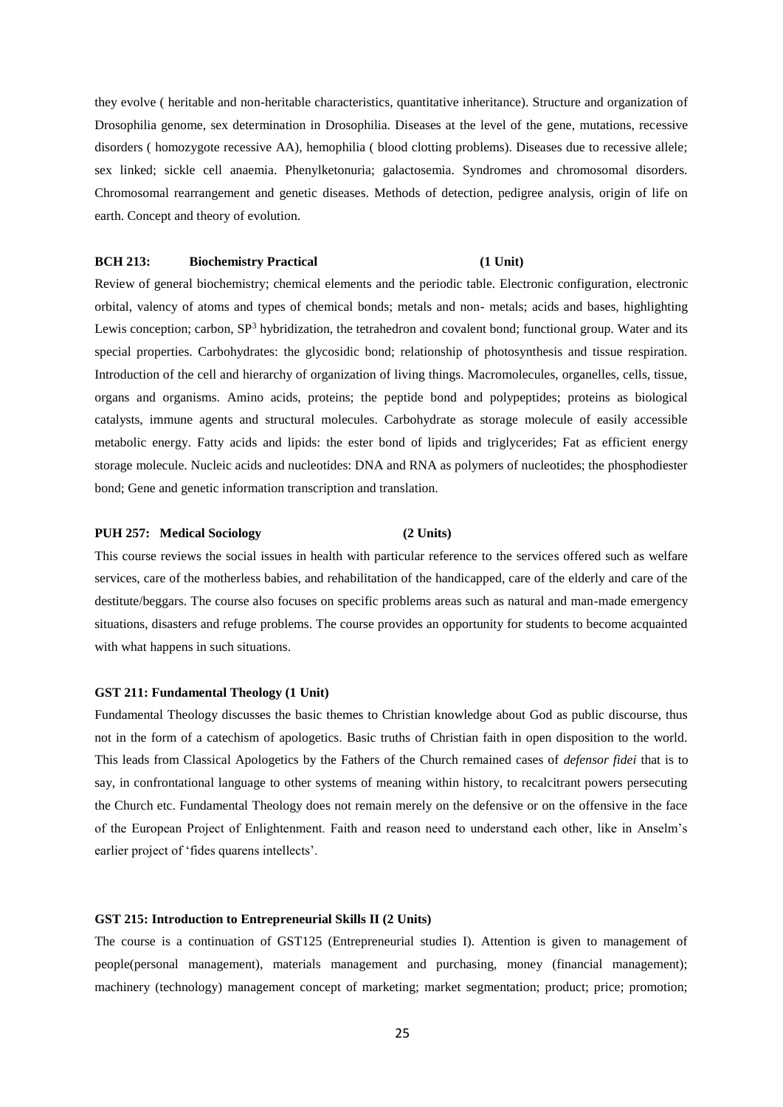they evolve ( heritable and non-heritable characteristics, quantitative inheritance). Structure and organization of Drosophilia genome, sex determination in Drosophilia. Diseases at the level of the gene, mutations, recessive disorders ( homozygote recessive AA), hemophilia ( blood clotting problems). Diseases due to recessive allele; sex linked; sickle cell anaemia. Phenylketonuria; galactosemia. Syndromes and chromosomal disorders. Chromosomal rearrangement and genetic diseases. Methods of detection, pedigree analysis, origin of life on earth. Concept and theory of evolution.

# **BCH 213:** Biochemistry Practical (1 Unit)

Review of general biochemistry; chemical elements and the periodic table. Electronic configuration, electronic orbital, valency of atoms and types of chemical bonds; metals and non- metals; acids and bases, highlighting Lewis conception; carbon, SP<sup>3</sup> hybridization, the tetrahedron and covalent bond; functional group. Water and its special properties. Carbohydrates: the glycosidic bond; relationship of photosynthesis and tissue respiration. Introduction of the cell and hierarchy of organization of living things. Macromolecules, organelles, cells, tissue, organs and organisms. Amino acids, proteins; the peptide bond and polypeptides; proteins as biological catalysts, immune agents and structural molecules. Carbohydrate as storage molecule of easily accessible metabolic energy. Fatty acids and lipids: the ester bond of lipids and triglycerides; Fat as efficient energy storage molecule. Nucleic acids and nucleotides: DNA and RNA as polymers of nucleotides; the phosphodiester bond; Gene and genetic information transcription and translation.

# **PUH 257: Medical Sociology (2 Units)**

This course reviews the social issues in health with particular reference to the services offered such as welfare services, care of the motherless babies, and rehabilitation of the handicapped, care of the elderly and care of the destitute/beggars. The course also focuses on specific problems areas such as natural and man-made emergency situations, disasters and refuge problems. The course provides an opportunity for students to become acquainted with what happens in such situations.

### **GST 211: Fundamental Theology (1 Unit)**

Fundamental Theology discusses the basic themes to Christian knowledge about God as public discourse, thus not in the form of a catechism of apologetics. Basic truths of Christian faith in open disposition to the world. This leads from Classical Apologetics by the Fathers of the Church remained cases of *defensor fidei* that is to say, in confrontational language to other systems of meaning within history, to recalcitrant powers persecuting the Church etc. Fundamental Theology does not remain merely on the defensive or on the offensive in the face of the European Project of Enlightenment. Faith and reason need to understand each other, like in Anselm's earlier project of 'fides quarens intellects'.

### **GST 215: Introduction to Entrepreneurial Skills II (2 Units)**

The course is a continuation of GST125 (Entrepreneurial studies I). Attention is given to management of people(personal management), materials management and purchasing, money (financial management); machinery (technology) management concept of marketing; market segmentation; product; price; promotion;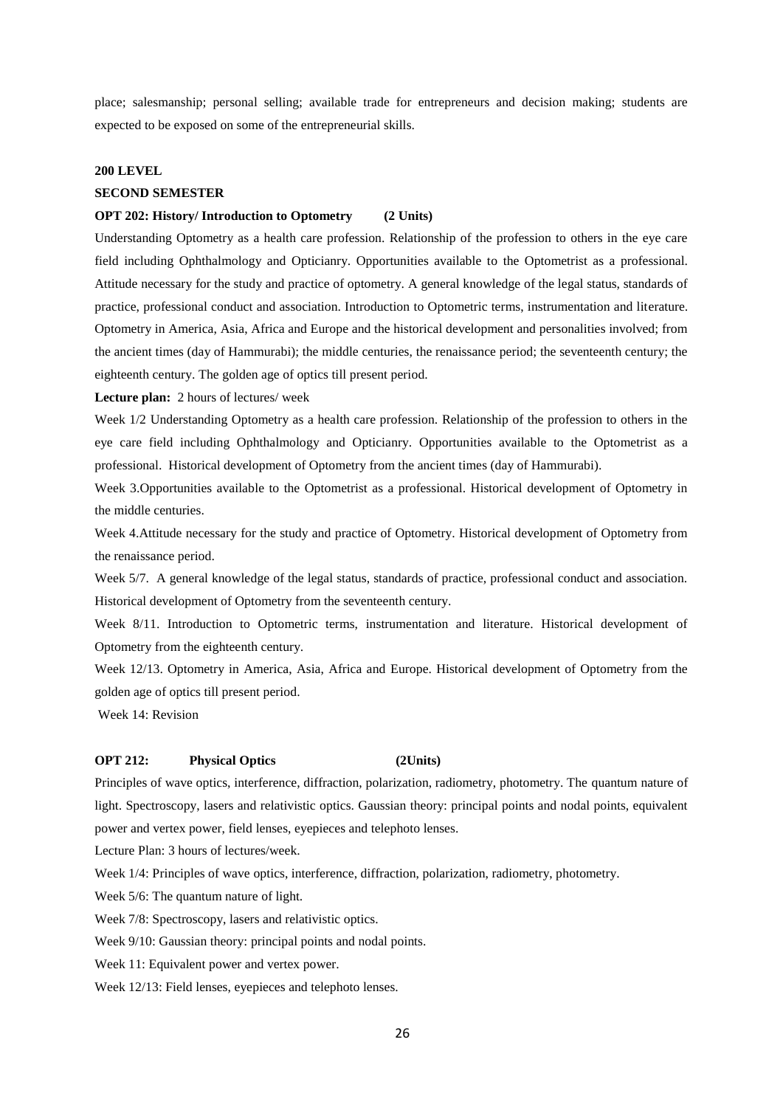place; salesmanship; personal selling; available trade for entrepreneurs and decision making; students are expected to be exposed on some of the entrepreneurial skills.

### **200 LEVEL**

## **SECOND SEMESTER**

### **OPT 202: History/ Introduction to Optometry (2 Units)**

Understanding Optometry as a health care profession. Relationship of the profession to others in the eye care field including Ophthalmology and Opticianry. Opportunities available to the Optometrist as a professional. Attitude necessary for the study and practice of optometry. A general knowledge of the legal status, standards of practice, professional conduct and association. Introduction to Optometric terms, instrumentation and literature. Optometry in America, Asia, Africa and Europe and the historical development and personalities involved; from the ancient times (day of Hammurabi); the middle centuries, the renaissance period; the seventeenth century; the eighteenth century. The golden age of optics till present period.

**Lecture plan:** 2 hours of lectures/ week

Week 1/2 Understanding Optometry as a health care profession. Relationship of the profession to others in the eye care field including Ophthalmology and Opticianry. Opportunities available to the Optometrist as a professional. Historical development of Optometry from the ancient times (day of Hammurabi).

Week 3.Opportunities available to the Optometrist as a professional. Historical development of Optometry in the middle centuries.

Week 4.Attitude necessary for the study and practice of Optometry. Historical development of Optometry from the renaissance period.

Week 5/7. A general knowledge of the legal status, standards of practice, professional conduct and association. Historical development of Optometry from the seventeenth century.

Week 8/11. Introduction to Optometric terms, instrumentation and literature. Historical development of Optometry from the eighteenth century.

Week 12/13. Optometry in America, Asia, Africa and Europe. Historical development of Optometry from the golden age of optics till present period.

Week 14: Revision

### **OPT 212: Physical Optics (2Units)**

Principles of wave optics, interference, diffraction, polarization, radiometry, photometry. The quantum nature of light. Spectroscopy, lasers and relativistic optics. Gaussian theory: principal points and nodal points, equivalent power and vertex power, field lenses, eyepieces and telephoto lenses.

Lecture Plan: 3 hours of lectures/week.

Week 1/4: Principles of wave optics, interference, diffraction, polarization, radiometry, photometry.

Week 5/6: The quantum nature of light.

Week 7/8: Spectroscopy, lasers and relativistic optics.

Week 9/10: Gaussian theory: principal points and nodal points.

Week 11: Equivalent power and vertex power.

Week 12/13: Field lenses, eyepieces and telephoto lenses.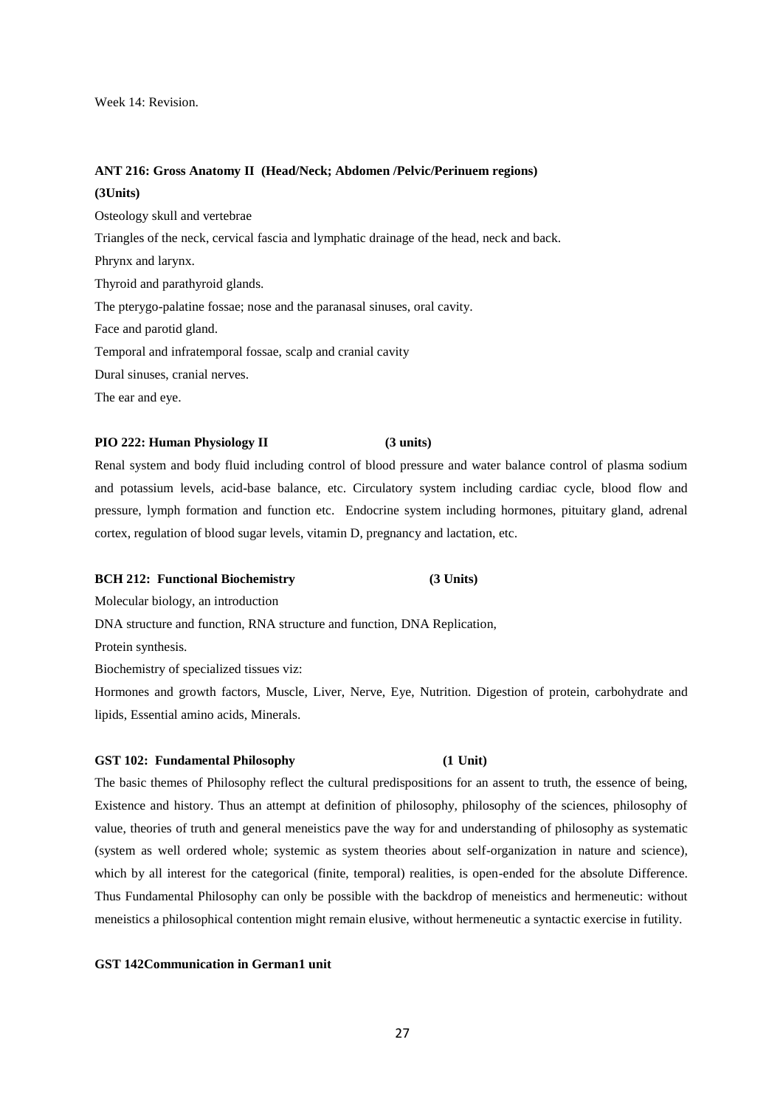Week 14: Revision.

# **ANT 216: Gross Anatomy II (Head/Neck; Abdomen /Pelvic/Perinuem regions) (3Units)**

Osteology skull and vertebrae Triangles of the neck, cervical fascia and lymphatic drainage of the head, neck and back. Phrynx and larynx. Thyroid and parathyroid glands. The pterygo-palatine fossae; nose and the paranasal sinuses, oral cavity. Face and parotid gland. Temporal and infratemporal fossae, scalp and cranial cavity Dural sinuses, cranial nerves. The ear and eye.

# **PIO 222: Human Physiology II (3 units)**

Renal system and body fluid including control of blood pressure and water balance control of plasma sodium and potassium levels, acid-base balance, etc. Circulatory system including cardiac cycle, blood flow and pressure, lymph formation and function etc. Endocrine system including hormones, pituitary gland, adrenal cortex, regulation of blood sugar levels, vitamin D, pregnancy and lactation, etc.

### **BCH 212: Functional Biochemistry (3 Units)**

Molecular biology, an introduction

DNA structure and function, RNA structure and function, DNA Replication,

Protein synthesis.

Biochemistry of specialized tissues viz:

Hormones and growth factors, Muscle, Liver, Nerve, Eye, Nutrition. Digestion of protein, carbohydrate and lipids, Essential amino acids, Minerals.

# **GST 102: Fundamental Philosophy (1 Unit)**

The basic themes of Philosophy reflect the cultural predispositions for an assent to truth, the essence of being, Existence and history. Thus an attempt at definition of philosophy, philosophy of the sciences, philosophy of value, theories of truth and general meneistics pave the way for and understanding of philosophy as systematic (system as well ordered whole; systemic as system theories about self-organization in nature and science), which by all interest for the categorical (finite, temporal) realities, is open-ended for the absolute Difference. Thus Fundamental Philosophy can only be possible with the backdrop of meneistics and hermeneutic: without meneistics a philosophical contention might remain elusive, without hermeneutic a syntactic exercise in futility.

# **GST 142Communication in German1 unit**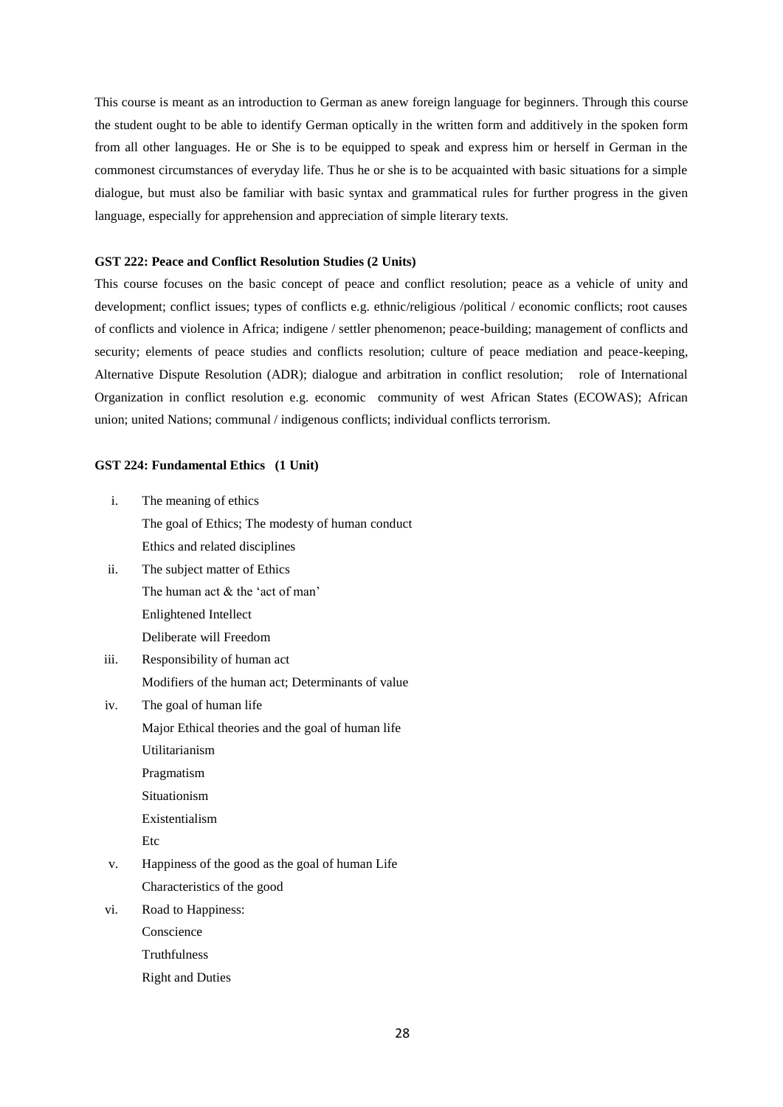This course is meant as an introduction to German as anew foreign language for beginners. Through this course the student ought to be able to identify German optically in the written form and additively in the spoken form from all other languages. He or She is to be equipped to speak and express him or herself in German in the commonest circumstances of everyday life. Thus he or she is to be acquainted with basic situations for a simple dialogue, but must also be familiar with basic syntax and grammatical rules for further progress in the given language, especially for apprehension and appreciation of simple literary texts.

### **GST 222: Peace and Conflict Resolution Studies (2 Units)**

This course focuses on the basic concept of peace and conflict resolution; peace as a vehicle of unity and development; conflict issues; types of conflicts e.g. ethnic/religious /political / economic conflicts; root causes of conflicts and violence in Africa; indigene / settler phenomenon; peace-building; management of conflicts and security; elements of peace studies and conflicts resolution; culture of peace mediation and peace-keeping, Alternative Dispute Resolution (ADR); dialogue and arbitration in conflict resolution; role of International Organization in conflict resolution e.g. economic community of west African States (ECOWAS); African union; united Nations; communal / indigenous conflicts; individual conflicts terrorism.

### **GST 224: Fundamental Ethics (1 Unit)**

- i. The meaning of ethics The goal of Ethics; The modesty of human conduct Ethics and related disciplines
- ii. The subject matter of Ethics The human act & the 'act of man' Enlightened Intellect Deliberate will Freedom
- iii. Responsibility of human act Modifiers of the human act; Determinants of value
- iv. The goal of human life Major Ethical theories and the goal of human life Utilitarianism Pragmatism Situationism

Existentialism

Etc

- v. Happiness of the good as the goal of human Life Characteristics of the good
- vi. Road to Happiness:

Conscience

- Truthfulness
- Right and Duties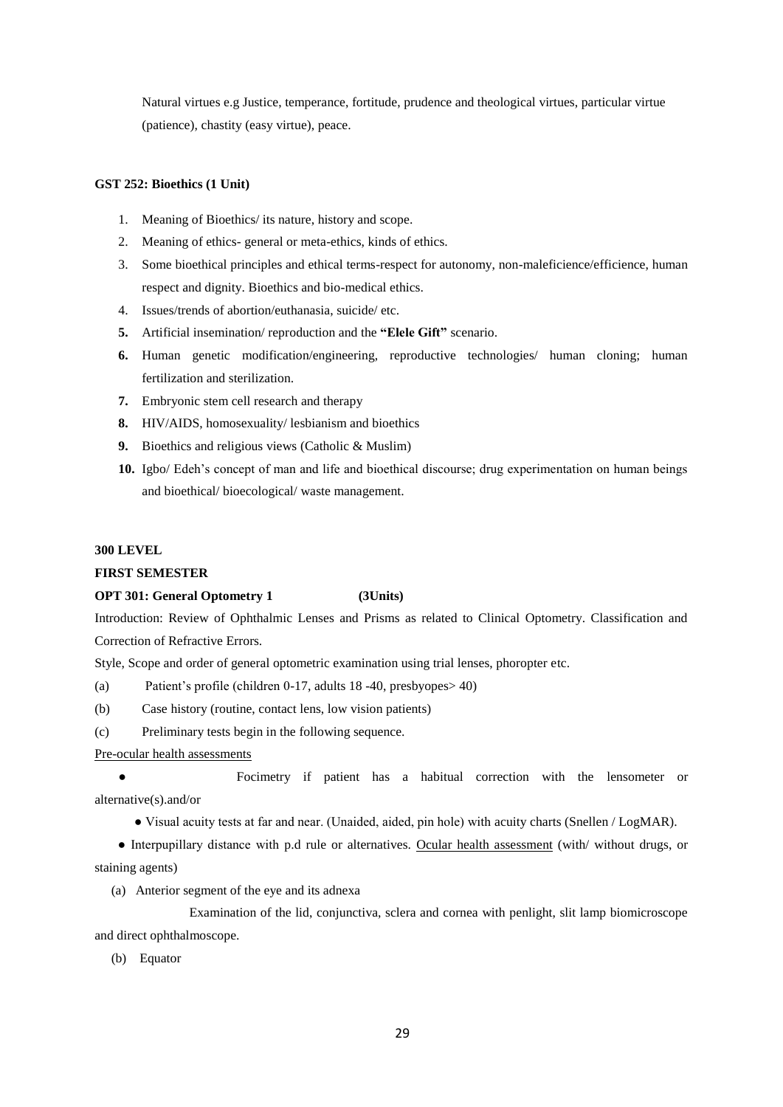Natural virtues e.g Justice, temperance, fortitude, prudence and theological virtues, particular virtue (patience), chastity (easy virtue), peace.

### **GST 252: Bioethics (1 Unit)**

- 1. Meaning of Bioethics/ its nature, history and scope.
- 2. Meaning of ethics- general or meta-ethics, kinds of ethics.
- 3. Some bioethical principles and ethical terms-respect for autonomy, non-maleficience/efficience, human respect and dignity. Bioethics and bio-medical ethics.
- 4. Issues/trends of abortion/euthanasia, suicide/ etc.
- **5.** Artificial insemination/ reproduction and the **"Elele Gift"** scenario.
- **6.** Human genetic modification/engineering, reproductive technologies/ human cloning; human fertilization and sterilization.
- **7.** Embryonic stem cell research and therapy
- **8.** HIV/AIDS, homosexuality/ lesbianism and bioethics
- **9.** Bioethics and religious views (Catholic & Muslim)
- **10.** Igbo/ Edeh's concept of man and life and bioethical discourse; drug experimentation on human beings and bioethical/ bioecological/ waste management.

### **300 LEVEL**

# **FIRST SEMESTER**

# **OPT 301: General Optometry 1 (3Units)**

Introduction: Review of Ophthalmic Lenses and Prisms as related to Clinical Optometry. Classification and Correction of Refractive Errors.

Style, Scope and order of general optometric examination using trial lenses, phoropter etc.

(a) Patient's profile (children 0-17, adults 18 -40, presbyopes> 40)

(b) Case history (routine, contact lens, low vision patients)

(c) Preliminary tests begin in the following sequence.

Pre-ocular health assessments

● Focimetry if patient has a habitual correction with the lensometer or alternative(s).and/or

● Visual acuity tests at far and near. (Unaided, aided, pin hole) with acuity charts (Snellen / LogMAR).

 ● Interpupillary distance with p.d rule or alternatives. Ocular health assessment (with/ without drugs, or staining agents)

(a) Anterior segment of the eye and its adnexa

Examination of the lid, conjunctiva, sclera and cornea with penlight, slit lamp biomicroscope and direct ophthalmoscope.

(b) Equator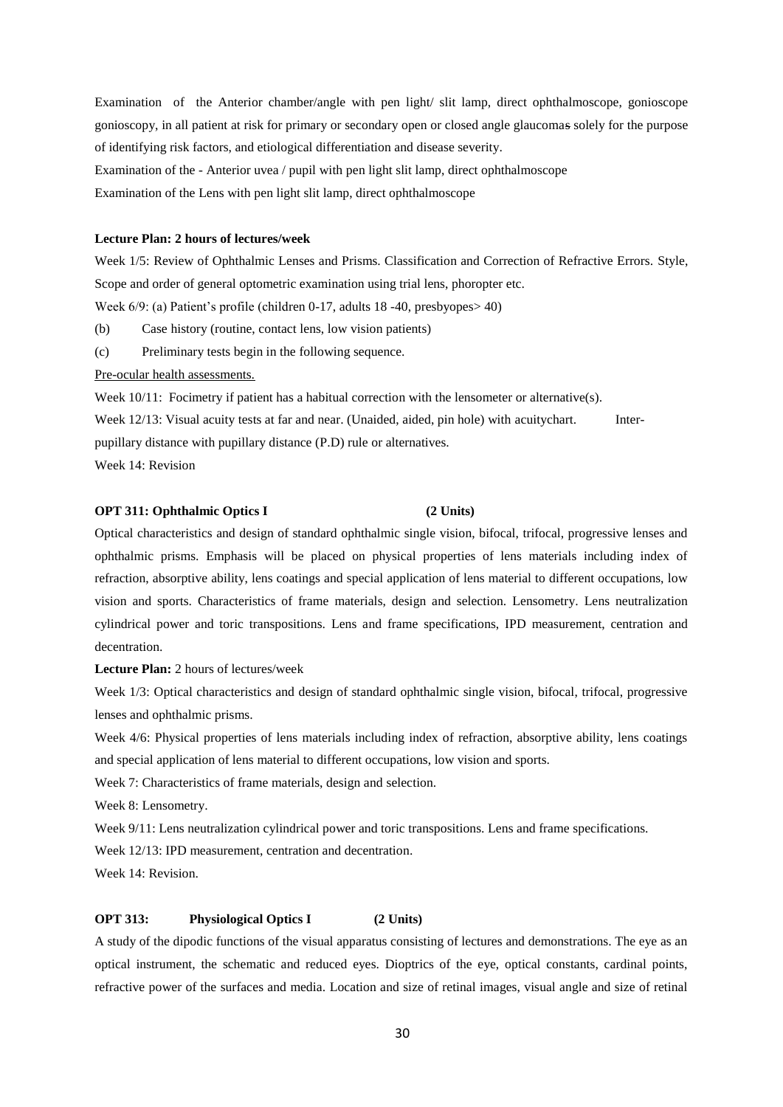Examination of the Anterior chamber/angle with pen light/ slit lamp, direct ophthalmoscope, gonioscope gonioscopy, in all patient at risk for primary or secondary open or closed angle glaucomas solely for the purpose of identifying risk factors, and etiological differentiation and disease severity.

Examination of the - Anterior uvea / pupil with pen light slit lamp, direct ophthalmoscope

Examination of the Lens with pen light slit lamp, direct ophthalmoscope

# **Lecture Plan: 2 hours of lectures/week**

Week 1/5: Review of Ophthalmic Lenses and Prisms. Classification and Correction of Refractive Errors. Style, Scope and order of general optometric examination using trial lens, phoropter etc.

Week 6/9: (a) Patient's profile (children 0-17, adults 18 -40, presbyopes> 40)

(b) Case history (routine, contact lens, low vision patients)

(c) Preliminary tests begin in the following sequence.

Pre-ocular health assessments.

Week  $10/11$ : Focimetry if patient has a habitual correction with the lensometer or alternative(s).

Week 12/13: Visual acuity tests at far and near. (Unaided, aided, pin hole) with acuitychart. Interpupillary distance with pupillary distance (P.D) rule or alternatives.

Week 14: Revision

# **OPT 311: Ophthalmic Optics I (2 Units)**

Optical characteristics and design of standard ophthalmic single vision, bifocal, trifocal, progressive lenses and ophthalmic prisms. Emphasis will be placed on physical properties of lens materials including index of refraction, absorptive ability, lens coatings and special application of lens material to different occupations, low vision and sports. Characteristics of frame materials, design and selection. Lensometry. Lens neutralization cylindrical power and toric transpositions. Lens and frame specifications, IPD measurement, centration and decentration.

**Lecture Plan:** 2 hours of lectures/week

Week 1/3: Optical characteristics and design of standard ophthalmic single vision, bifocal, trifocal, progressive lenses and ophthalmic prisms.

Week 4/6: Physical properties of lens materials including index of refraction, absorptive ability, lens coatings and special application of lens material to different occupations, low vision and sports.

Week 7: Characteristics of frame materials, design and selection.

Week 8: Lensometry.

Week 9/11: Lens neutralization cylindrical power and toric transpositions. Lens and frame specifications.

Week 12/13: IPD measurement, centration and decentration.

Week 14: Revision.

### **OPT 313:** Physiological Optics I (2 Units)

A study of the dipodic functions of the visual apparatus consisting of lectures and demonstrations. The eye as an optical instrument, the schematic and reduced eyes. Dioptrics of the eye, optical constants, cardinal points, refractive power of the surfaces and media. Location and size of retinal images, visual angle and size of retinal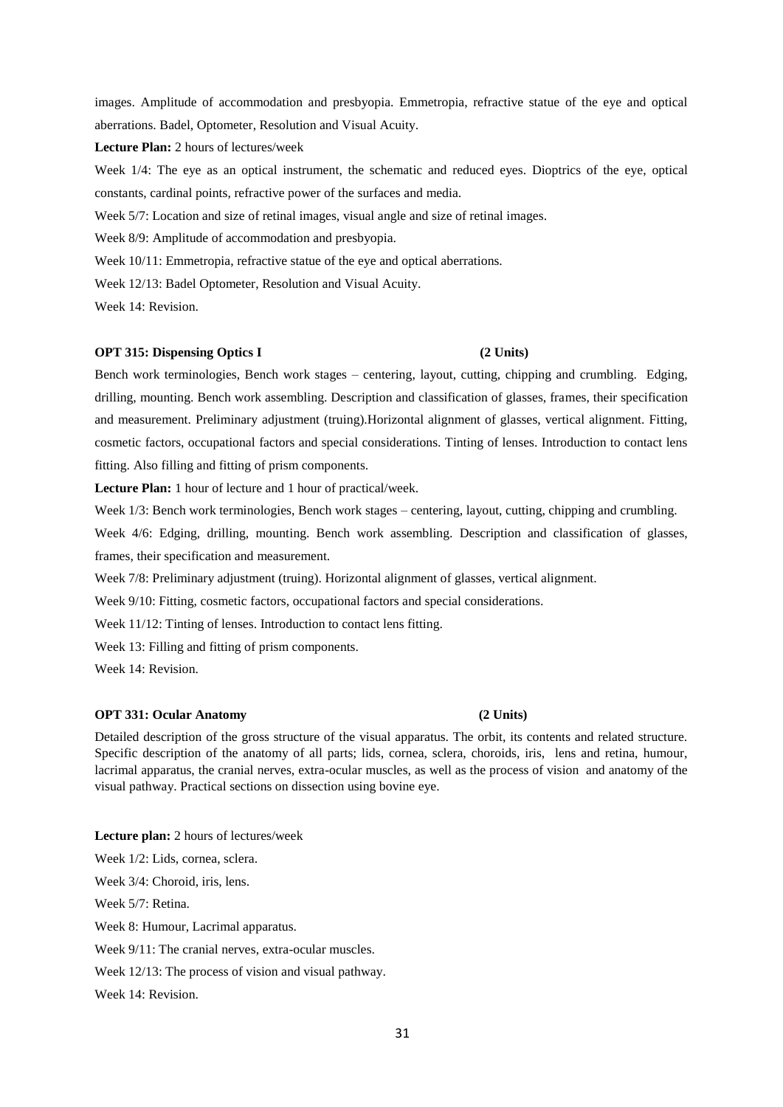images. Amplitude of accommodation and presbyopia. Emmetropia, refractive statue of the eye and optical aberrations. Badel, Optometer, Resolution and Visual Acuity.

**Lecture Plan:** 2 hours of lectures/week

Week 1/4: The eye as an optical instrument, the schematic and reduced eyes. Dioptrics of the eye, optical constants, cardinal points, refractive power of the surfaces and media.

Week 5/7: Location and size of retinal images, visual angle and size of retinal images.

Week 8/9: Amplitude of accommodation and presbyopia.

Week 10/11: Emmetropia, refractive statue of the eye and optical aberrations.

Week 12/13: Badel Optometer, Resolution and Visual Acuity.

Week 14: Revision.

# **OPT 315: Dispensing Optics I (2 Units)**

Bench work terminologies, Bench work stages – centering, layout, cutting, chipping and crumbling. Edging, drilling, mounting. Bench work assembling. Description and classification of glasses, frames, their specification and measurement. Preliminary adjustment (truing).Horizontal alignment of glasses, vertical alignment. Fitting, cosmetic factors, occupational factors and special considerations. Tinting of lenses. Introduction to contact lens fitting. Also filling and fitting of prism components.

**Lecture Plan:** 1 hour of lecture and 1 hour of practical/week.

Week 1/3: Bench work terminologies, Bench work stages – centering, layout, cutting, chipping and crumbling.

Week 4/6: Edging, drilling, mounting. Bench work assembling. Description and classification of glasses, frames, their specification and measurement.

Week 7/8: Preliminary adjustment (truing). Horizontal alignment of glasses, vertical alignment.

Week 9/10: Fitting, cosmetic factors, occupational factors and special considerations.

Week 11/12: Tinting of lenses. Introduction to contact lens fitting.

Week 13: Filling and fitting of prism components.

Week 14: Revision.

## **OPT 331: Ocular Anatomy (2 Units)**

Detailed description of the gross structure of the visual apparatus. The orbit, its contents and related structure. Specific description of the anatomy of all parts; lids, cornea, sclera, choroids, iris, lens and retina, humour, lacrimal apparatus, the cranial nerves, extra-ocular muscles, as well as the process of vision and anatomy of the visual pathway. Practical sections on dissection using bovine eye.

**Lecture plan:** 2 hours of lectures/week Week 1/2: Lids, cornea, sclera. Week 3/4: Choroid, iris, lens. Week 5/7: Retina. Week 8: Humour, Lacrimal apparatus. Week 9/11: The cranial nerves, extra-ocular muscles. Week 12/13: The process of vision and visual pathway. Week 14: Revision.

# 31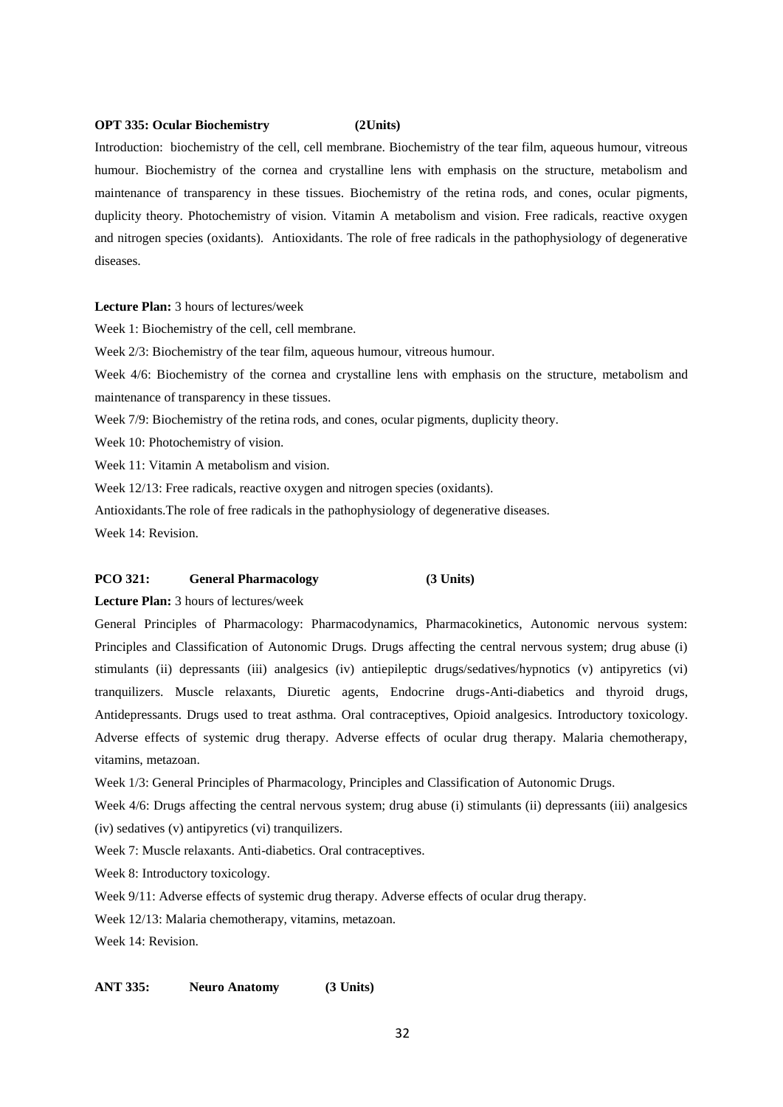### **OPT 335: Ocular Biochemistry (2Units)**

Introduction: biochemistry of the cell, cell membrane. Biochemistry of the tear film, aqueous humour, vitreous humour. Biochemistry of the cornea and crystalline lens with emphasis on the structure, metabolism and maintenance of transparency in these tissues. Biochemistry of the retina rods, and cones, ocular pigments, duplicity theory. Photochemistry of vision. Vitamin A metabolism and vision. Free radicals, reactive oxygen and nitrogen species (oxidants). Antioxidants. The role of free radicals in the pathophysiology of degenerative diseases.

**Lecture Plan:** 3 hours of lectures/week

Week 1: Biochemistry of the cell, cell membrane.

Week 2/3: Biochemistry of the tear film, aqueous humour, vitreous humour.

Week 4/6: Biochemistry of the cornea and crystalline lens with emphasis on the structure, metabolism and maintenance of transparency in these tissues.

Week 7/9: Biochemistry of the retina rods, and cones, ocular pigments, duplicity theory.

Week 10: Photochemistry of vision.

Week 11: Vitamin A metabolism and vision.

Week 12/13: Free radicals, reactive oxygen and nitrogen species (oxidants).

Antioxidants.The role of free radicals in the pathophysiology of degenerative diseases.

Week 14: Revision.

### **PCO 321: General Pharmacology (3 Units)**

**Lecture Plan:** 3 hours of lectures/week

General Principles of Pharmacology: Pharmacodynamics, Pharmacokinetics, Autonomic nervous system: Principles and Classification of Autonomic Drugs. Drugs affecting the central nervous system; drug abuse (i) stimulants (ii) depressants (iii) analgesics (iv) antiepileptic drugs/sedatives/hypnotics (v) antipyretics (vi) tranquilizers. Muscle relaxants, Diuretic agents, Endocrine drugs-Anti-diabetics and thyroid drugs, Antidepressants. Drugs used to treat asthma. Oral contraceptives, Opioid analgesics. Introductory toxicology. Adverse effects of systemic drug therapy. Adverse effects of ocular drug therapy. Malaria chemotherapy, vitamins, metazoan.

Week 1/3: General Principles of Pharmacology, Principles and Classification of Autonomic Drugs.

Week 4/6: Drugs affecting the central nervous system; drug abuse (i) stimulants (ii) depressants (iii) analgesics (iv) sedatives (v) antipyretics (vi) tranquilizers.

Week 7: Muscle relaxants. Anti-diabetics. Oral contraceptives.

Week 8: Introductory toxicology.

Week 9/11: Adverse effects of systemic drug therapy. Adverse effects of ocular drug therapy.

Week 12/13: Malaria chemotherapy, vitamins, metazoan.

Week 14: Revision.

# **ANT 335: Neuro Anatomy (3 Units)**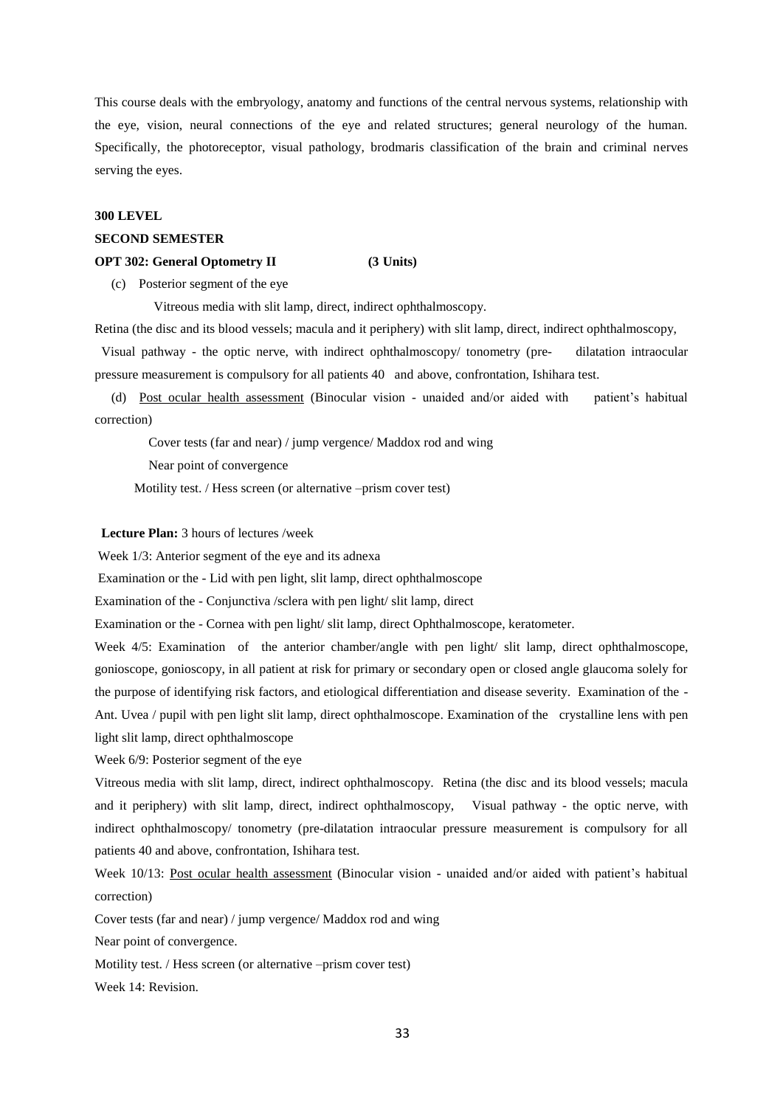This course deals with the embryology, anatomy and functions of the central nervous systems, relationship with the eye, vision, neural connections of the eye and related structures; general neurology of the human. Specifically, the photoreceptor, visual pathology, brodmaris classification of the brain and criminal nerves serving the eyes.

### **300 LEVEL**

## **SECOND SEMESTER**

### **OPT 302: General Optometry II (3 Units)**

(c) Posterior segment of the eye

Vitreous media with slit lamp, direct, indirect ophthalmoscopy.

Retina (the disc and its blood vessels; macula and it periphery) with slit lamp, direct, indirect ophthalmoscopy,

 Visual pathway - the optic nerve, with indirect ophthalmoscopy/ tonometry (pre- dilatation intraocular pressure measurement is compulsory for all patients 40 and above, confrontation, Ishihara test.

 (d) Post ocular health assessment (Binocular vision - unaided and/or aided with patient's habitual correction)

Cover tests (far and near) / jump vergence/ Maddox rod and wing

Near point of convergence

Motility test. / Hess screen (or alternative –prism cover test)

# **Lecture Plan:** 3 hours of lectures /week

Week 1/3: Anterior segment of the eye and its adnexa

Examination or the - Lid with pen light, slit lamp, direct ophthalmoscope

Examination of the - Conjunctiva /sclera with pen light/ slit lamp, direct

Examination or the - Cornea with pen light/ slit lamp, direct Ophthalmoscope, keratometer.

Week 4/5: Examination of the anterior chamber/angle with pen light/ slit lamp, direct ophthalmoscope, gonioscope, gonioscopy, in all patient at risk for primary or secondary open or closed angle glaucoma solely for the purpose of identifying risk factors, and etiological differentiation and disease severity. Examination of the - Ant. Uvea / pupil with pen light slit lamp, direct ophthalmoscope. Examination of the crystalline lens with pen light slit lamp, direct ophthalmoscope

Week 6/9: Posterior segment of the eye

Vitreous media with slit lamp, direct, indirect ophthalmoscopy. Retina (the disc and its blood vessels; macula and it periphery) with slit lamp, direct, indirect ophthalmoscopy, Visual pathway - the optic nerve, with indirect ophthalmoscopy/ tonometry (pre-dilatation intraocular pressure measurement is compulsory for all patients 40 and above, confrontation, Ishihara test.

Week 10/13: Post ocular health assessment (Binocular vision - unaided and/or aided with patient's habitual correction)

Cover tests (far and near) / jump vergence/ Maddox rod and wing

Near point of convergence.

Motility test. / Hess screen (or alternative –prism cover test)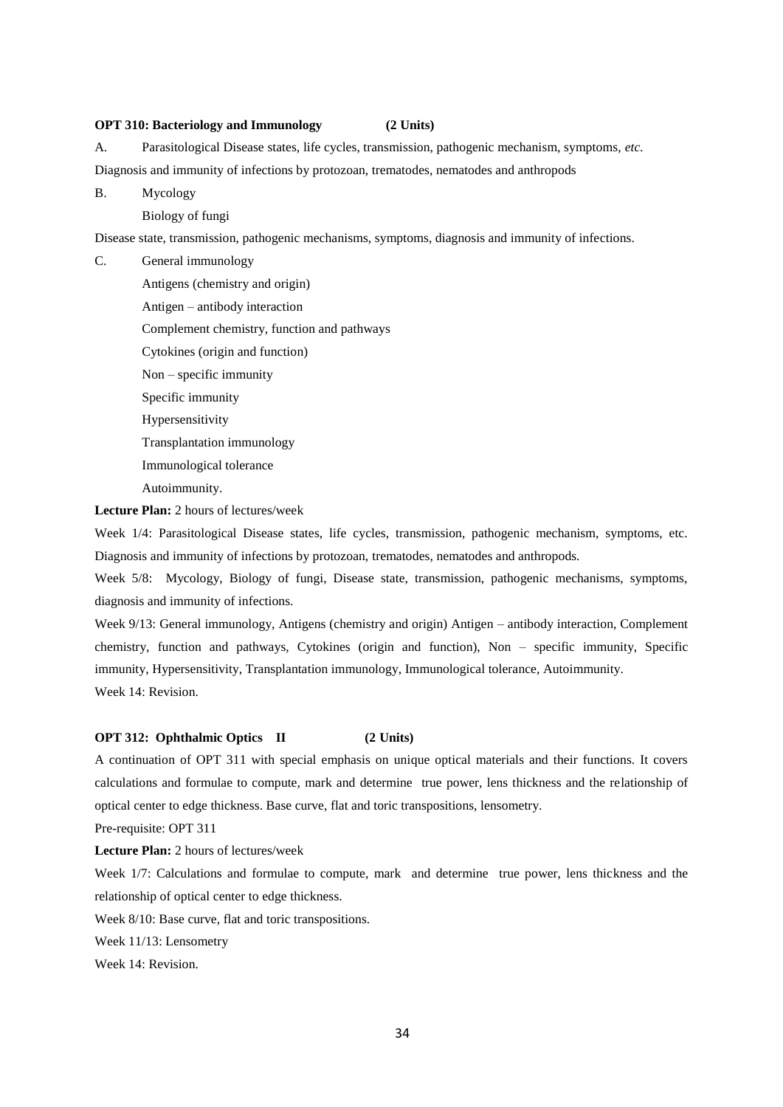# **OPT 310: Bacteriology and Immunology (2 Units)**

A. Parasitological Disease states, life cycles, transmission, pathogenic mechanism, symptoms, *etc.*

Diagnosis and immunity of infections by protozoan, trematodes, nematodes and anthropods

B. Mycology

Biology of fungi

Disease state, transmission, pathogenic mechanisms, symptoms, diagnosis and immunity of infections.

C. General immunology Antigens (chemistry and origin) Antigen – antibody interaction Complement chemistry, function and pathways Cytokines (origin and function) Non – specific immunity Specific immunity Hypersensitivity Transplantation immunology Immunological tolerance Autoimmunity.

**Lecture Plan:** 2 hours of lectures/week

Week 1/4: Parasitological Disease states, life cycles, transmission, pathogenic mechanism, symptoms, etc. Diagnosis and immunity of infections by protozoan, trematodes, nematodes and anthropods.

Week 5/8: Mycology, Biology of fungi, Disease state, transmission, pathogenic mechanisms, symptoms, diagnosis and immunity of infections.

Week 9/13: General immunology, Antigens (chemistry and origin) Antigen – antibody interaction, Complement chemistry, function and pathways, Cytokines (origin and function), Non – specific immunity, Specific immunity, Hypersensitivity, Transplantation immunology, Immunological tolerance, Autoimmunity. Week 14: Revision.

### **OPT 312: Ophthalmic Optics II (2 Units)**

A continuation of OPT 311 with special emphasis on unique optical materials and their functions. It covers calculations and formulae to compute, mark and determine true power, lens thickness and the relationship of optical center to edge thickness. Base curve, flat and toric transpositions, lensometry.

Pre-requisite: OPT 311

**Lecture Plan:** 2 hours of lectures/week

Week 1/7: Calculations and formulae to compute, mark and determine true power, lens thickness and the relationship of optical center to edge thickness.

Week 8/10: Base curve, flat and toric transpositions.

Week 11/13: Lensometry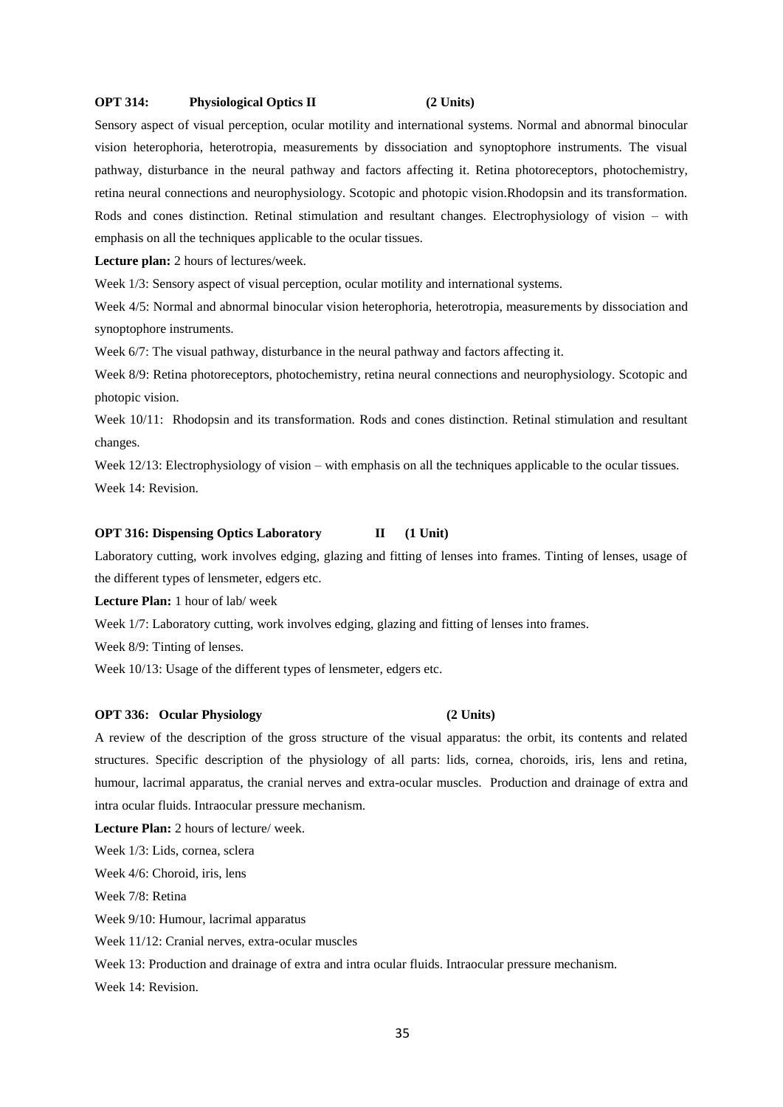### **OPT 314: Physiological Optics II (2 Units)**

Sensory aspect of visual perception, ocular motility and international systems. Normal and abnormal binocular vision heterophoria, heterotropia, measurements by dissociation and synoptophore instruments. The visual pathway, disturbance in the neural pathway and factors affecting it. Retina photoreceptors, photochemistry, retina neural connections and neurophysiology. Scotopic and photopic vision.Rhodopsin and its transformation. Rods and cones distinction. Retinal stimulation and resultant changes. Electrophysiology of vision – with emphasis on all the techniques applicable to the ocular tissues.

**Lecture plan:** 2 hours of lectures/week.

Week  $1/3$ : Sensory aspect of visual perception, ocular motility and international systems.

Week 4/5: Normal and abnormal binocular vision heterophoria, heterotropia, measurements by dissociation and synoptophore instruments.

Week 6/7: The visual pathway, disturbance in the neural pathway and factors affecting it.

Week 8/9: Retina photoreceptors, photochemistry, retina neural connections and neurophysiology. Scotopic and photopic vision.

Week 10/11: Rhodopsin and its transformation. Rods and cones distinction. Retinal stimulation and resultant changes.

Week 12/13: Electrophysiology of vision – with emphasis on all the techniques applicable to the ocular tissues. Week 14: Revision.

### **OPT 316: Dispensing Optics Laboratory II** (1 Unit)

Laboratory cutting, work involves edging, glazing and fitting of lenses into frames. Tinting of lenses, usage of the different types of lensmeter, edgers etc.

**Lecture Plan:** 1 hour of lab/ week

Week 1/7: Laboratory cutting, work involves edging, glazing and fitting of lenses into frames.

Week 8/9: Tinting of lenses.

Week 10/13: Usage of the different types of lensmeter, edgers etc.

### **OPT 336: Ocular Physiology (2 Units)**

A review of the description of the gross structure of the visual apparatus: the orbit, its contents and related structures. Specific description of the physiology of all parts: lids, cornea, choroids, iris, lens and retina, humour, lacrimal apparatus, the cranial nerves and extra-ocular muscles. Production and drainage of extra and intra ocular fluids. Intraocular pressure mechanism.

**Lecture Plan:** 2 hours of lecture/ week.

Week 1/3: Lids, cornea, sclera

Week 4/6: Choroid, iris, lens

Week 7/8: Retina

Week 9/10: Humour, lacrimal apparatus

Week 11/12: Cranial nerves, extra-ocular muscles

Week 13: Production and drainage of extra and intra ocular fluids. Intraocular pressure mechanism.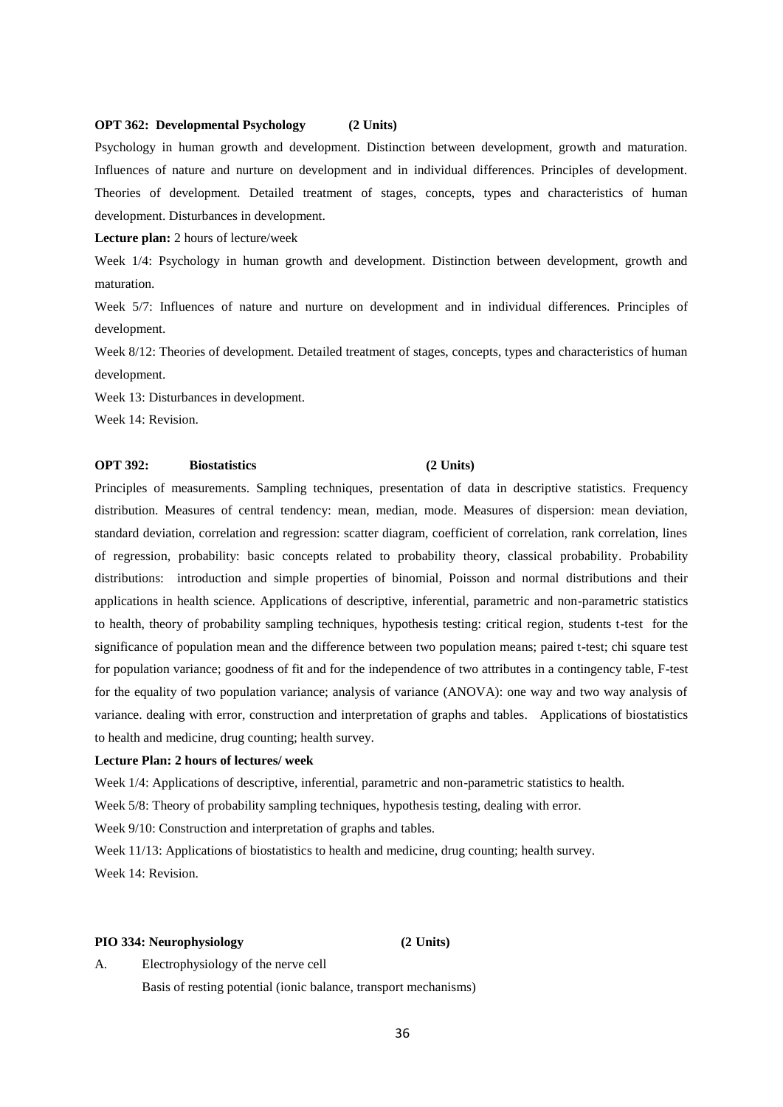## **OPT 362: Developmental Psychology (2 Units)**

Psychology in human growth and development. Distinction between development, growth and maturation. Influences of nature and nurture on development and in individual differences. Principles of development. Theories of development. Detailed treatment of stages, concepts, types and characteristics of human development. Disturbances in development.

**Lecture plan:** 2 hours of lecture/week

Week 1/4: Psychology in human growth and development. Distinction between development, growth and maturation.

Week 5/7: Influences of nature and nurture on development and in individual differences. Principles of development.

Week 8/12: Theories of development. Detailed treatment of stages, concepts, types and characteristics of human development.

Week 13: Disturbances in development.

Week 14: Revision.

### **OPT 392: Biostatistics (2 Units)**

Principles of measurements. Sampling techniques, presentation of data in descriptive statistics. Frequency distribution. Measures of central tendency: mean, median, mode. Measures of dispersion: mean deviation, standard deviation, correlation and regression: scatter diagram, coefficient of correlation, rank correlation, lines of regression, probability: basic concepts related to probability theory, classical probability. Probability distributions: introduction and simple properties of binomial, Poisson and normal distributions and their applications in health science. Applications of descriptive, inferential, parametric and non-parametric statistics to health, theory of probability sampling techniques, hypothesis testing: critical region, students t-test for the significance of population mean and the difference between two population means; paired t-test; chi square test for population variance; goodness of fit and for the independence of two attributes in a contingency table, F-test for the equality of two population variance; analysis of variance (ANOVA): one way and two way analysis of variance. dealing with error, construction and interpretation of graphs and tables. Applications of biostatistics to health and medicine, drug counting; health survey.

### **Lecture Plan: 2 hours of lectures/ week**

Week 1/4: Applications of descriptive, inferential, parametric and non-parametric statistics to health.

Week 5/8: Theory of probability sampling techniques, hypothesis testing, dealing with error.

Week 9/10: Construction and interpretation of graphs and tables.

Week 11/13: Applications of biostatistics to health and medicine, drug counting; health survey. Week 14: Revision.

# **PIO 334: Neurophysiology (2 Units)**

A. Electrophysiology of the nerve cell Basis of resting potential (ionic balance, transport mechanisms)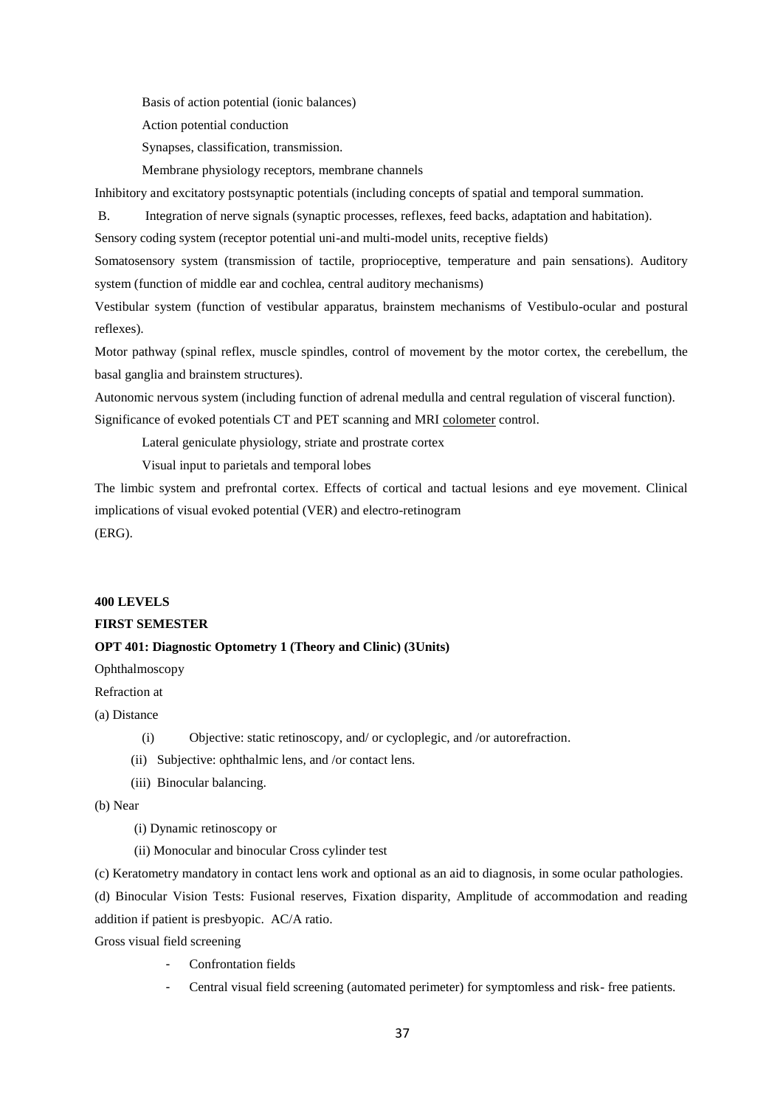Basis of action potential (ionic balances)

Action potential conduction

- Synapses, classification, transmission.
- Membrane physiology receptors, membrane channels

Inhibitory and excitatory postsynaptic potentials (including concepts of spatial and temporal summation.

B. Integration of nerve signals (synaptic processes, reflexes, feed backs, adaptation and habitation).

Sensory coding system (receptor potential uni-and multi-model units, receptive fields)

Somatosensory system (transmission of tactile, proprioceptive, temperature and pain sensations). Auditory system (function of middle ear and cochlea, central auditory mechanisms)

Vestibular system (function of vestibular apparatus, brainstem mechanisms of Vestibulo-ocular and postural reflexes).

Motor pathway (spinal reflex, muscle spindles, control of movement by the motor cortex, the cerebellum, the basal ganglia and brainstem structures).

Autonomic nervous system (including function of adrenal medulla and central regulation of visceral function). Significance of evoked potentials CT and PET scanning and MRI colometer control.

Lateral geniculate physiology, striate and prostrate cortex

Visual input to parietals and temporal lobes

The limbic system and prefrontal cortex. Effects of cortical and tactual lesions and eye movement. Clinical implications of visual evoked potential (VER) and electro-retinogram (ERG).

# **400 LEVELS**

# **FIRST SEMESTER**

# **OPT 401: Diagnostic Optometry 1 (Theory and Clinic) (3Units)**

Ophthalmoscopy

Refraction at

(a) Distance

- (i) Objective: static retinoscopy, and/ or cycloplegic, and /or autorefraction.
- (ii) Subjective: ophthalmic lens, and /or contact lens.
- (iii) Binocular balancing.

(b) Near

- (i) Dynamic retinoscopy or
- (ii) Monocular and binocular Cross cylinder test

(c) Keratometry mandatory in contact lens work and optional as an aid to diagnosis, in some ocular pathologies.

(d) Binocular Vision Tests: Fusional reserves, Fixation disparity, Amplitude of accommodation and reading addition if patient is presbyopic. AC/A ratio.

Gross visual field screening

- Confrontation fields
- Central visual field screening (automated perimeter) for symptomless and risk- free patients.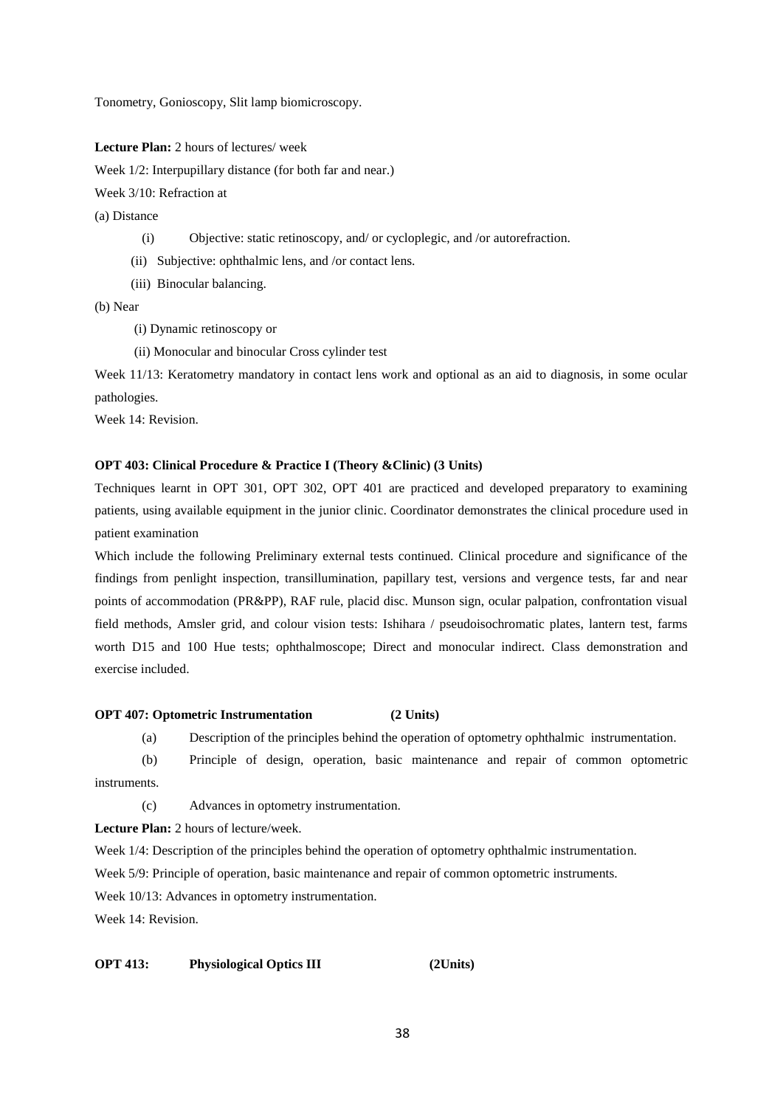Tonometry, Gonioscopy, Slit lamp biomicroscopy.

**Lecture Plan:** 2 hours of lectures/ week

Week  $1/2$ : Interpupillary distance (for both far and near.)

Week 3/10: Refraction at

(a) Distance

- (i) Objective: static retinoscopy, and/ or cycloplegic, and /or autorefraction.
- (ii) Subjective: ophthalmic lens, and /or contact lens.
- (iii) Binocular balancing.

(b) Near

- (i) Dynamic retinoscopy or
- (ii) Monocular and binocular Cross cylinder test

Week 11/13: Keratometry mandatory in contact lens work and optional as an aid to diagnosis, in some ocular pathologies.

Week 14: Revision.

### **OPT 403: Clinical Procedure & Practice I (Theory &Clinic) (3 Units)**

Techniques learnt in OPT 301, OPT 302, OPT 401 are practiced and developed preparatory to examining patients, using available equipment in the junior clinic. Coordinator demonstrates the clinical procedure used in patient examination

Which include the following Preliminary external tests continued. Clinical procedure and significance of the findings from penlight inspection, transillumination, papillary test, versions and vergence tests, far and near points of accommodation (PR&PP), RAF rule, placid disc. Munson sign, ocular palpation, confrontation visual field methods, Amsler grid, and colour vision tests: Ishihara / pseudoisochromatic plates, lantern test, farms worth D15 and 100 Hue tests; ophthalmoscope; Direct and monocular indirect. Class demonstration and exercise included.

# **OPT 407: Optometric Instrumentation (2 Units)**

(a) Description of the principles behind the operation of optometry ophthalmic instrumentation.

(b) Principle of design, operation, basic maintenance and repair of common optometric instruments.

(c) Advances in optometry instrumentation.

**Lecture Plan:** 2 hours of lecture/week.

Week  $1/4$ : Description of the principles behind the operation of optometry ophthalmic instrumentation.

Week 5/9: Principle of operation, basic maintenance and repair of common optometric instruments.

Week 10/13: Advances in optometry instrumentation.

Week 14: Revision.

# **OPT 413: Physiological Optics III (2Units)**

38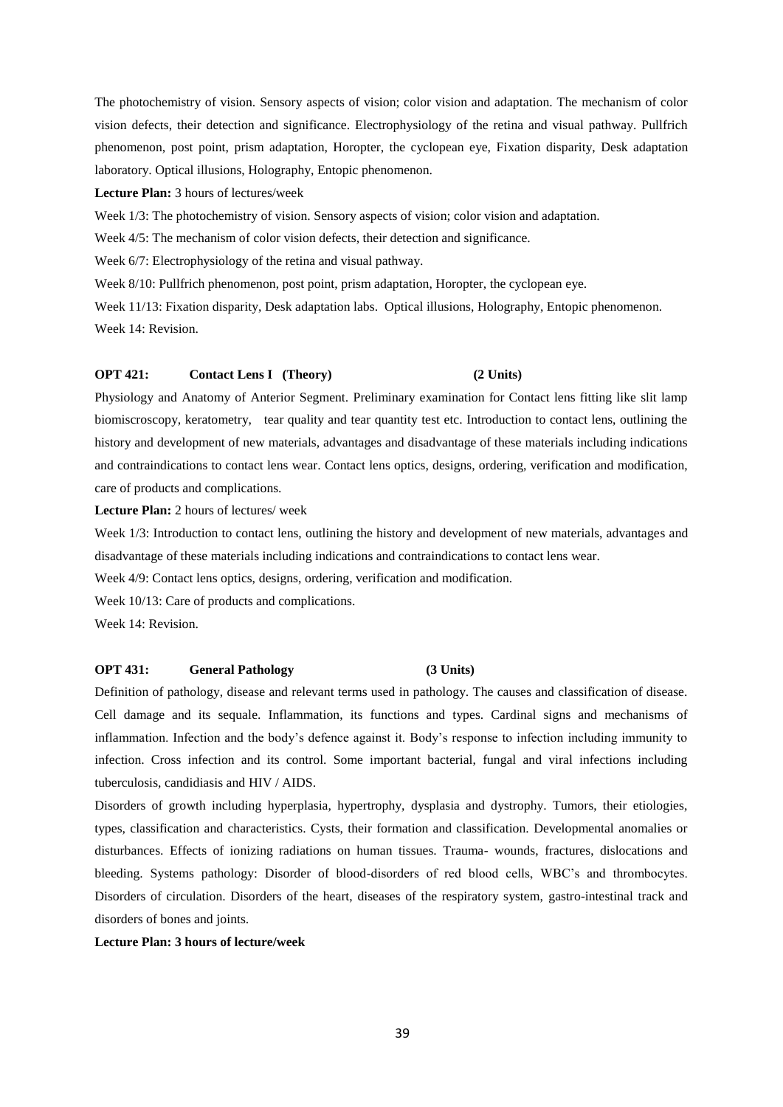The photochemistry of vision. Sensory aspects of vision; color vision and adaptation. The mechanism of color vision defects, their detection and significance. Electrophysiology of the retina and visual pathway. Pullfrich phenomenon, post point, prism adaptation, Horopter, the cyclopean eye, Fixation disparity, Desk adaptation laboratory. Optical illusions, Holography, Entopic phenomenon.

**Lecture Plan:** 3 hours of lectures/week

Week 1/3: The photochemistry of vision. Sensory aspects of vision; color vision and adaptation.

Week  $4/5$ : The mechanism of color vision defects, their detection and significance.

Week  $6/7$ : Electrophysiology of the retina and visual pathway.

Week 8/10: Pullfrich phenomenon, post point, prism adaptation, Horopter, the cyclopean eye.

Week 11/13: Fixation disparity, Desk adaptation labs. Optical illusions, Holography, Entopic phenomenon. Week 14: Revision.

# **OPT 421: Contact Lens I (Theory) (2 Units)**

Physiology and Anatomy of Anterior Segment. Preliminary examination for Contact lens fitting like slit lamp biomiscroscopy, keratometry, tear quality and tear quantity test etc. Introduction to contact lens, outlining the history and development of new materials, advantages and disadvantage of these materials including indications and contraindications to contact lens wear. Contact lens optics, designs, ordering, verification and modification, care of products and complications.

**Lecture Plan:** 2 hours of lectures/ week

Week 1/3: Introduction to contact lens, outlining the history and development of new materials, advantages and disadvantage of these materials including indications and contraindications to contact lens wear.

Week 4/9: Contact lens optics, designs, ordering, verification and modification.

Week 10/13: Care of products and complications.

Week 14: Revision.

# **OPT 431: General Pathology (3 Units)**

Definition of pathology, disease and relevant terms used in pathology. The causes and classification of disease. Cell damage and its sequale. Inflammation, its functions and types. Cardinal signs and mechanisms of inflammation. Infection and the body's defence against it. Body's response to infection including immunity to infection. Cross infection and its control. Some important bacterial, fungal and viral infections including tuberculosis, candidiasis and HIV / AIDS.

Disorders of growth including hyperplasia, hypertrophy, dysplasia and dystrophy. Tumors, their etiologies, types, classification and characteristics. Cysts, their formation and classification. Developmental anomalies or disturbances. Effects of ionizing radiations on human tissues. Trauma- wounds, fractures, dislocations and bleeding. Systems pathology: Disorder of blood-disorders of red blood cells, WBC's and thrombocytes. Disorders of circulation. Disorders of the heart, diseases of the respiratory system, gastro-intestinal track and disorders of bones and joints.

**Lecture Plan: 3 hours of lecture/week**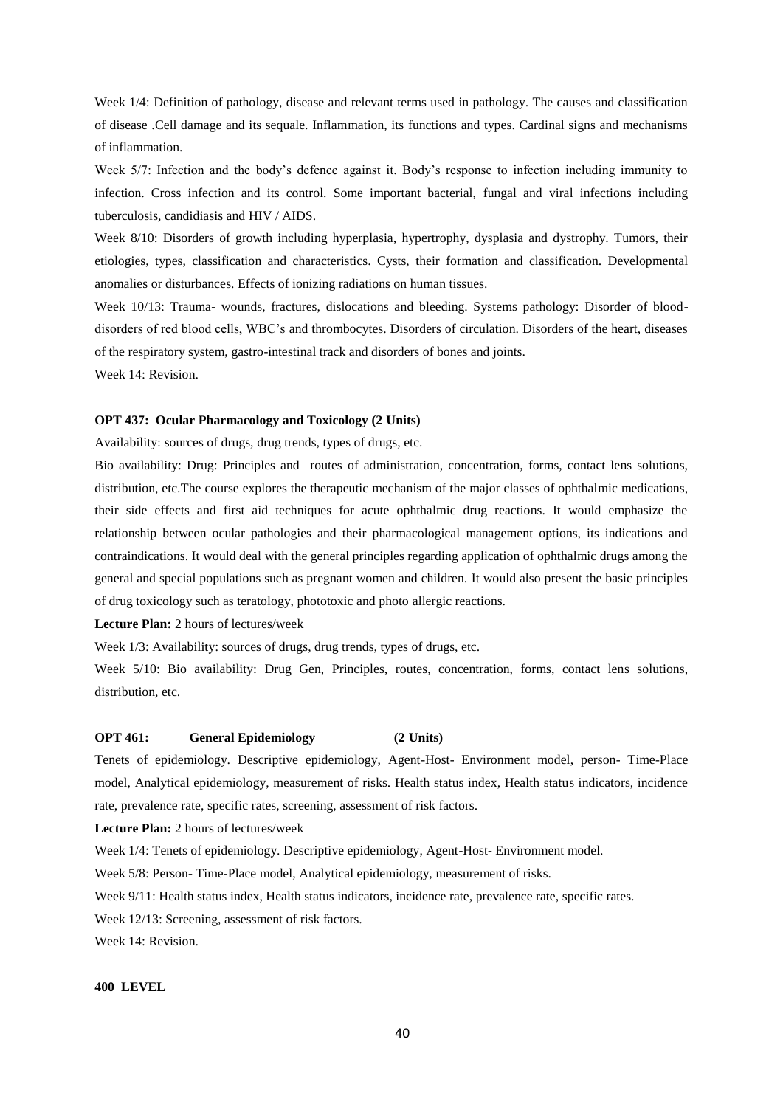Week 1/4: Definition of pathology, disease and relevant terms used in pathology. The causes and classification of disease .Cell damage and its sequale. Inflammation, its functions and types. Cardinal signs and mechanisms of inflammation.

Week 5/7: Infection and the body's defence against it. Body's response to infection including immunity to infection. Cross infection and its control. Some important bacterial, fungal and viral infections including tuberculosis, candidiasis and HIV / AIDS.

Week 8/10: Disorders of growth including hyperplasia, hypertrophy, dysplasia and dystrophy. Tumors, their etiologies, types, classification and characteristics. Cysts, their formation and classification. Developmental anomalies or disturbances. Effects of ionizing radiations on human tissues.

Week 10/13: Trauma- wounds, fractures, dislocations and bleeding. Systems pathology: Disorder of blooddisorders of red blood cells, WBC's and thrombocytes. Disorders of circulation. Disorders of the heart, diseases of the respiratory system, gastro-intestinal track and disorders of bones and joints.

Week 14: Revision.

### **OPT 437: Ocular Pharmacology and Toxicology (2 Units)**

Availability: sources of drugs, drug trends, types of drugs, etc.

Bio availability: Drug: Principles and routes of administration, concentration, forms, contact lens solutions, distribution, etc.The course explores the therapeutic mechanism of the major classes of ophthalmic medications, their side effects and first aid techniques for acute ophthalmic drug reactions. It would emphasize the relationship between ocular pathologies and their pharmacological management options, its indications and contraindications. It would deal with the general principles regarding application of ophthalmic drugs among the general and special populations such as pregnant women and children. It would also present the basic principles of drug toxicology such as teratology, phototoxic and photo allergic reactions.

**Lecture Plan:** 2 hours of lectures/week

Week 1/3: Availability: sources of drugs, drug trends, types of drugs, etc.

Week 5/10: Bio availability: Drug Gen, Principles, routes, concentration, forms, contact lens solutions, distribution, etc.

## **OPT 461: General Epidemiology (2 Units)**

Tenets of epidemiology. Descriptive epidemiology, Agent-Host- Environment model, person- Time-Place model, Analytical epidemiology, measurement of risks. Health status index, Health status indicators, incidence rate, prevalence rate, specific rates, screening, assessment of risk factors.

**Lecture Plan:** 2 hours of lectures/week

Week 1/4: Tenets of epidemiology. Descriptive epidemiology, Agent-Host- Environment model.

Week 5/8: Person- Time-Place model, Analytical epidemiology, measurement of risks.

Week 9/11: Health status index, Health status indicators, incidence rate, prevalence rate, specific rates.

Week 12/13: Screening, assessment of risk factors.

Week 14: Revision.

### **400 LEVEL**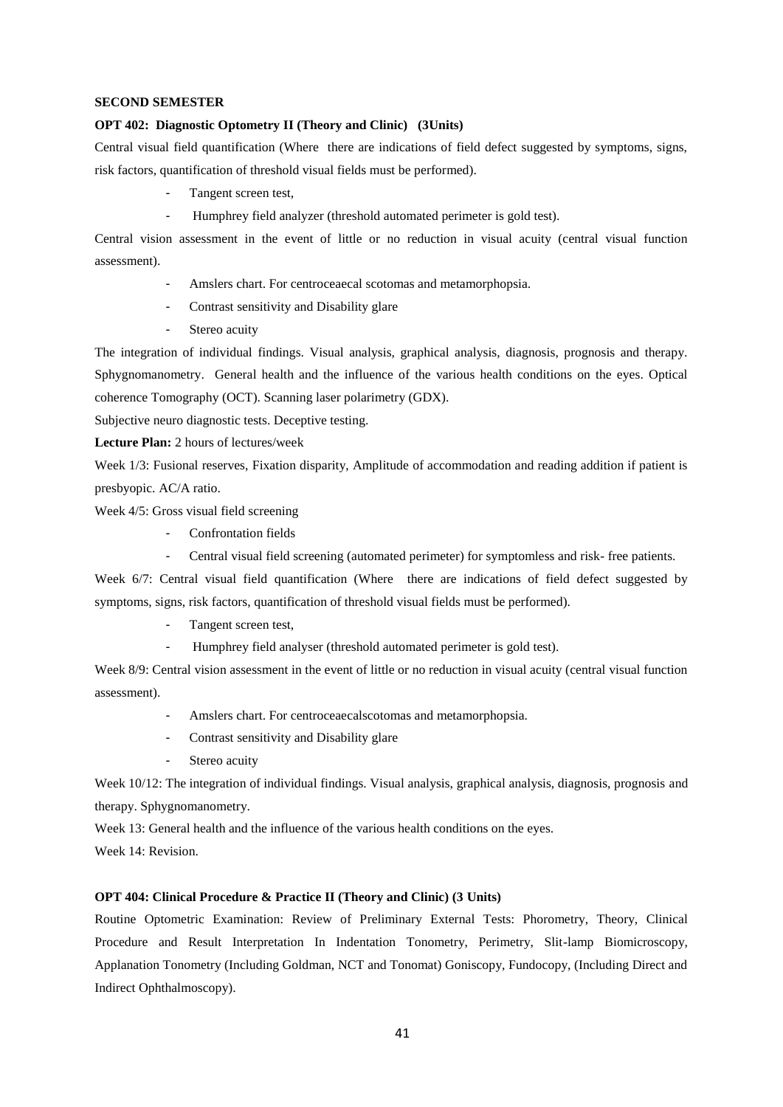### **SECOND SEMESTER**

# **OPT 402: Diagnostic Optometry II (Theory and Clinic) (3Units)**

Central visual field quantification (Where there are indications of field defect suggested by symptoms, signs, risk factors, quantification of threshold visual fields must be performed).

- Tangent screen test,
- Humphrey field analyzer (threshold automated perimeter is gold test).

Central vision assessment in the event of little or no reduction in visual acuity (central visual function assessment).

- Amslers chart. For centroceaecal scotomas and metamorphopsia.
- Contrast sensitivity and Disability glare
- Stereo acuity

The integration of individual findings. Visual analysis, graphical analysis, diagnosis, prognosis and therapy. Sphygnomanometry. General health and the influence of the various health conditions on the eyes. Optical coherence Tomography (OCT). Scanning laser polarimetry (GDX).

Subjective neuro diagnostic tests. Deceptive testing.

**Lecture Plan:** 2 hours of lectures/week

Week 1/3: Fusional reserves, Fixation disparity, Amplitude of accommodation and reading addition if patient is presbyopic. AC/A ratio.

Week 4/5: Gross visual field screening

- Confrontation fields
- Central visual field screening (automated perimeter) for symptomless and risk- free patients.

Week 6/7: Central visual field quantification (Where there are indications of field defect suggested by symptoms, signs, risk factors, quantification of threshold visual fields must be performed).

- Tangent screen test,
- Humphrey field analyser (threshold automated perimeter is gold test).

Week 8/9: Central vision assessment in the event of little or no reduction in visual acuity (central visual function assessment).

- Amslers chart. For centroceaecalscotomas and metamorphopsia.
- Contrast sensitivity and Disability glare
- Stereo acuity

Week 10/12: The integration of individual findings. Visual analysis, graphical analysis, diagnosis, prognosis and therapy. Sphygnomanometry.

Week 13: General health and the influence of the various health conditions on the eyes.

Week 14: Revision.

# **OPT 404: Clinical Procedure & Practice II (Theory and Clinic) (3 Units)**

Routine Optometric Examination: Review of Preliminary External Tests: Phorometry, Theory, Clinical Procedure and Result Interpretation In Indentation Tonometry, Perimetry, Slit-lamp Biomicroscopy, Applanation Tonometry (Including Goldman, NCT and Tonomat) Goniscopy, Fundocopy, (Including Direct and Indirect Ophthalmoscopy).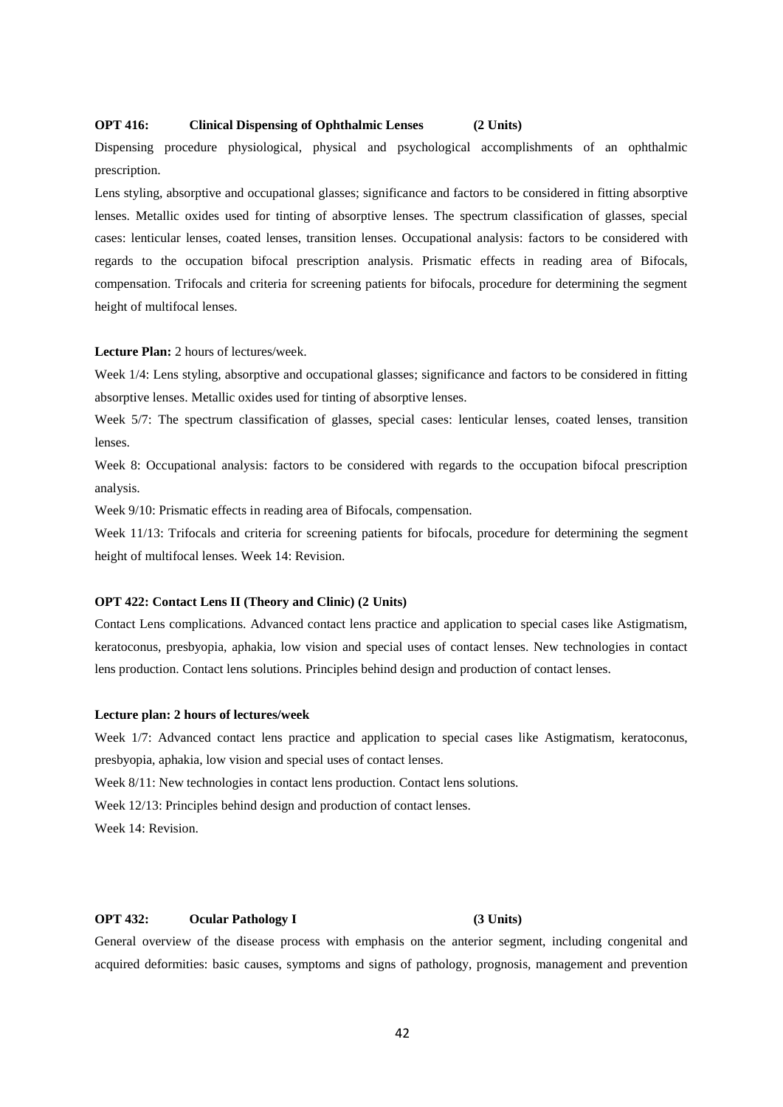# **OPT 416: Clinical Dispensing of Ophthalmic Lenses (2 Units)**

Dispensing procedure physiological, physical and psychological accomplishments of an ophthalmic prescription.

Lens styling, absorptive and occupational glasses; significance and factors to be considered in fitting absorptive lenses. Metallic oxides used for tinting of absorptive lenses. The spectrum classification of glasses, special cases: lenticular lenses, coated lenses, transition lenses. Occupational analysis: factors to be considered with regards to the occupation bifocal prescription analysis. Prismatic effects in reading area of Bifocals, compensation. Trifocals and criteria for screening patients for bifocals, procedure for determining the segment height of multifocal lenses.

### **Lecture Plan:** 2 hours of lectures/week.

Week  $1/4$ : Lens styling, absorptive and occupational glasses; significance and factors to be considered in fitting absorptive lenses. Metallic oxides used for tinting of absorptive lenses.

Week 5/7: The spectrum classification of glasses, special cases: lenticular lenses, coated lenses, transition lenses.

Week 8: Occupational analysis: factors to be considered with regards to the occupation bifocal prescription analysis.

Week 9/10: Prismatic effects in reading area of Bifocals, compensation.

Week 11/13: Trifocals and criteria for screening patients for bifocals, procedure for determining the segment height of multifocal lenses. Week 14: Revision.

# **OPT 422: Contact Lens II (Theory and Clinic) (2 Units)**

Contact Lens complications. Advanced contact lens practice and application to special cases like Astigmatism, keratoconus, presbyopia, aphakia, low vision and special uses of contact lenses. New technologies in contact lens production. Contact lens solutions. Principles behind design and production of contact lenses.

### **Lecture plan: 2 hours of lectures/week**

Week 1/7: Advanced contact lens practice and application to special cases like Astigmatism, keratoconus, presbyopia, aphakia, low vision and special uses of contact lenses.

Week 8/11: New technologies in contact lens production. Contact lens solutions.

Week 12/13: Principles behind design and production of contact lenses.

Week 14: Revision.

# **OPT 432: Ocular Pathology I (3 Units)**

General overview of the disease process with emphasis on the anterior segment, including congenital and acquired deformities: basic causes, symptoms and signs of pathology, prognosis, management and prevention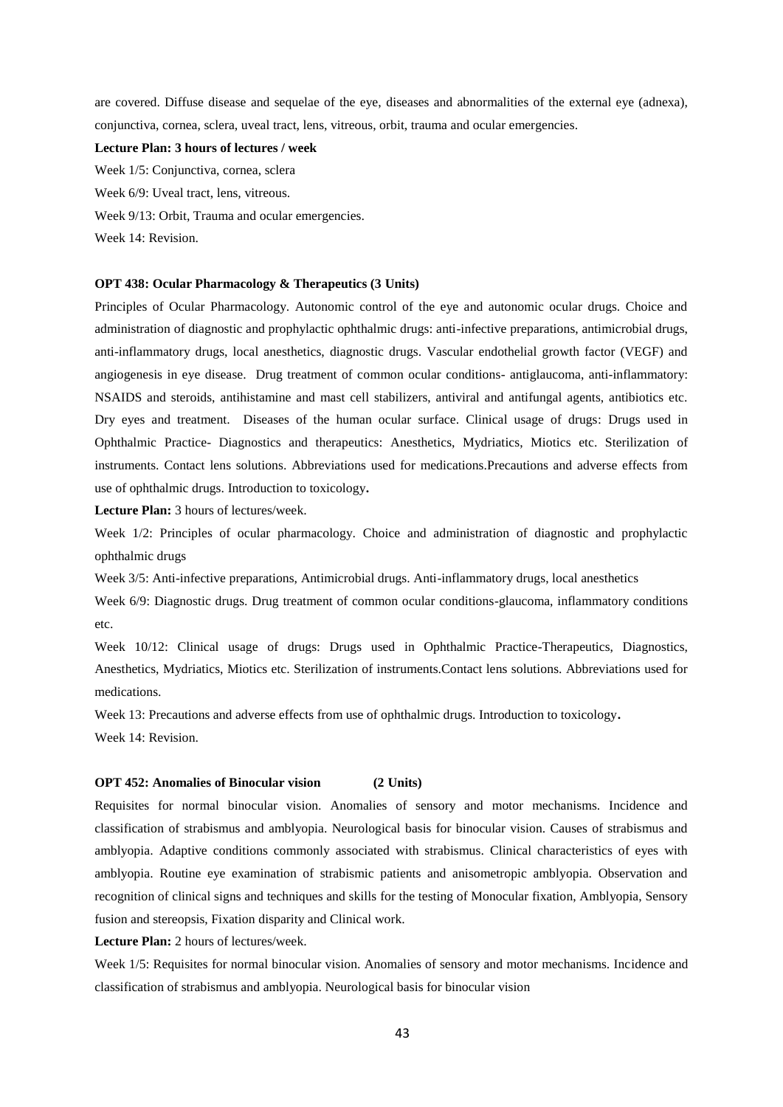are covered. Diffuse disease and sequelae of the eye, diseases and abnormalities of the external eye (adnexa), conjunctiva, cornea, sclera, uveal tract, lens, vitreous, orbit, trauma and ocular emergencies.

### **Lecture Plan: 3 hours of lectures / week**

Week 1/5: Conjunctiva, cornea, sclera Week 6/9: Uveal tract, lens, vitreous. Week 9/13: Orbit, Trauma and ocular emergencies. Week 14: Revision.

# **OPT 438: Ocular Pharmacology & Therapeutics (3 Units)**

Principles of Ocular Pharmacology. Autonomic control of the eye and autonomic ocular drugs. Choice and administration of diagnostic and prophylactic ophthalmic drugs: anti-infective preparations, antimicrobial drugs, anti-inflammatory drugs, local anesthetics, diagnostic drugs. Vascular endothelial growth factor (VEGF) and angiogenesis in eye disease. Drug treatment of common ocular conditions- antiglaucoma, anti-inflammatory: NSAIDS and steroids, antihistamine and mast cell stabilizers, antiviral and antifungal agents, antibiotics etc. Dry eyes and treatment. Diseases of the human ocular surface. Clinical usage of drugs: Drugs used in Ophthalmic Practice- Diagnostics and therapeutics: Anesthetics, Mydriatics, Miotics etc. Sterilization of instruments. Contact lens solutions. Abbreviations used for medications.Precautions and adverse effects from use of ophthalmic drugs. Introduction to toxicology**.**

**Lecture Plan:** 3 hours of lectures/week.

Week 1/2: Principles of ocular pharmacology. Choice and administration of diagnostic and prophylactic ophthalmic drugs

Week 3/5: Anti-infective preparations, Antimicrobial drugs. Anti-inflammatory drugs, local anesthetics

Week 6/9: Diagnostic drugs. Drug treatment of common ocular conditions-glaucoma, inflammatory conditions etc.

Week 10/12: Clinical usage of drugs: Drugs used in Ophthalmic Practice-Therapeutics, Diagnostics, Anesthetics, Mydriatics, Miotics etc. Sterilization of instruments.Contact lens solutions. Abbreviations used for medications.

Week 13: Precautions and adverse effects from use of ophthalmic drugs. Introduction to toxicology**.**

Week 14: Revision.

### **OPT 452: Anomalies of Binocular vision (2 Units)**

Requisites for normal binocular vision. Anomalies of sensory and motor mechanisms. Incidence and classification of strabismus and amblyopia. Neurological basis for binocular vision. Causes of strabismus and amblyopia. Adaptive conditions commonly associated with strabismus. Clinical characteristics of eyes with amblyopia. Routine eye examination of strabismic patients and anisometropic amblyopia. Observation and recognition of clinical signs and techniques and skills for the testing of Monocular fixation, Amblyopia, Sensory fusion and stereopsis, Fixation disparity and Clinical work.

**Lecture Plan:** 2 hours of lectures/week.

Week 1/5: Requisites for normal binocular vision. Anomalies of sensory and motor mechanisms. Incidence and classification of strabismus and amblyopia. Neurological basis for binocular vision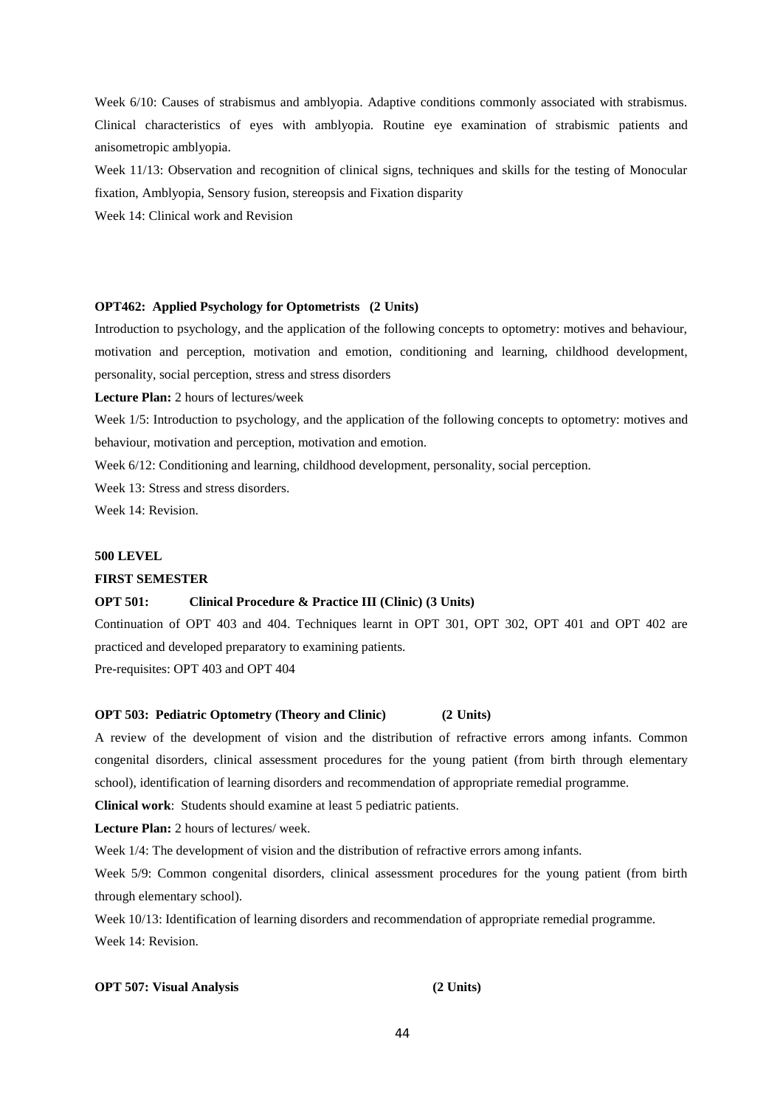Week 6/10: Causes of strabismus and amblyopia. Adaptive conditions commonly associated with strabismus. Clinical characteristics of eyes with amblyopia. Routine eye examination of strabismic patients and anisometropic amblyopia.

Week 11/13: Observation and recognition of clinical signs, techniques and skills for the testing of Monocular fixation, Amblyopia, Sensory fusion, stereopsis and Fixation disparity

Week 14: Clinical work and Revision

# **OPT462: Applied Psychology for Optometrists (2 Units)**

Introduction to psychology, and the application of the following concepts to optometry: motives and behaviour, motivation and perception, motivation and emotion, conditioning and learning, childhood development, personality, social perception, stress and stress disorders

**Lecture Plan:** 2 hours of lectures/week

Week 1/5: Introduction to psychology, and the application of the following concepts to optometry: motives and behaviour, motivation and perception, motivation and emotion.

Week 6/12: Conditioning and learning, childhood development, personality, social perception.

Week 13: Stress and stress disorders.

Week 14: Revision.

# **500 LEVEL**

### **FIRST SEMESTER**

# **OPT 501: Clinical Procedure & Practice III (Clinic) (3 Units)**

Continuation of OPT 403 and 404. Techniques learnt in OPT 301, OPT 302, OPT 401 and OPT 402 are practiced and developed preparatory to examining patients.

Pre-requisites: OPT 403 and OPT 404

# **OPT 503: Pediatric Optometry (Theory and Clinic) (2 Units)**

A review of the development of vision and the distribution of refractive errors among infants. Common congenital disorders, clinical assessment procedures for the young patient (from birth through elementary school), identification of learning disorders and recommendation of appropriate remedial programme.

**Clinical work**: Students should examine at least 5 pediatric patients.

**Lecture Plan:** 2 hours of lectures/ week.

Week  $1/4$ : The development of vision and the distribution of refractive errors among infants.

Week 5/9: Common congenital disorders, clinical assessment procedures for the young patient (from birth through elementary school).

Week 10/13: Identification of learning disorders and recommendation of appropriate remedial programme. Week 14: Revision.

# **OPT 507: Visual Analysis (2 Units)**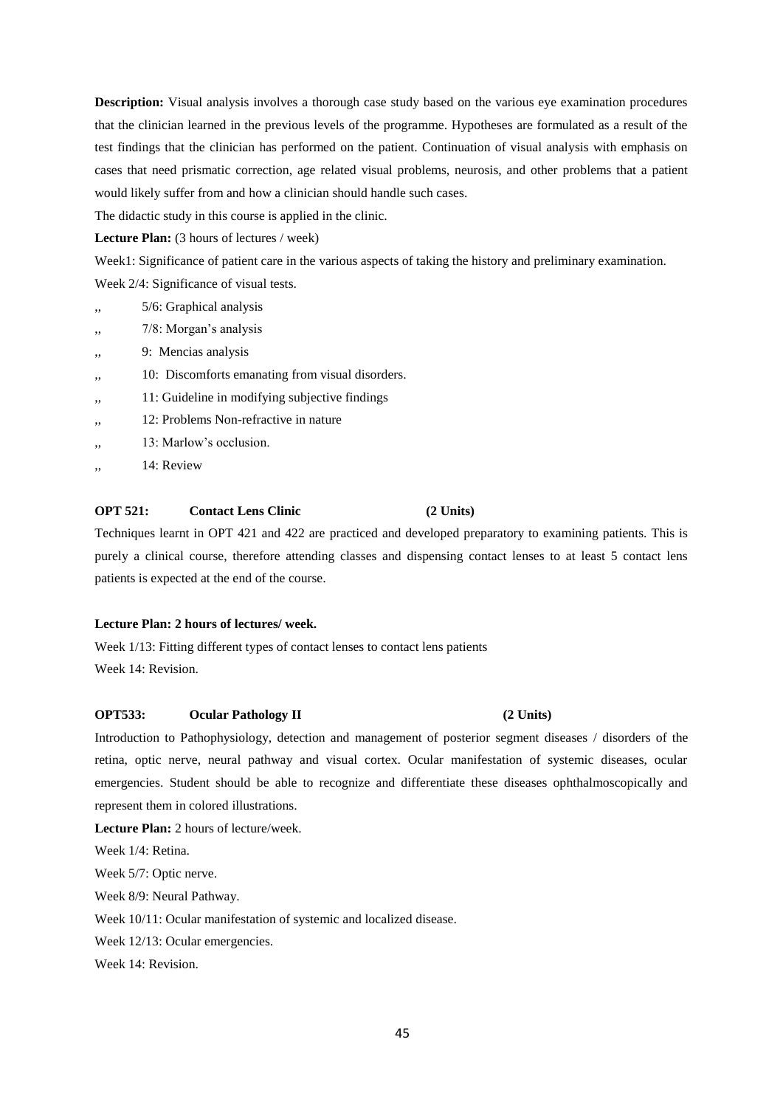**Description:** Visual analysis involves a thorough case study based on the various eye examination procedures that the clinician learned in the previous levels of the programme. Hypotheses are formulated as a result of the test findings that the clinician has performed on the patient. Continuation of visual analysis with emphasis on cases that need prismatic correction, age related visual problems, neurosis, and other problems that a patient would likely suffer from and how a clinician should handle such cases.

The didactic study in this course is applied in the clinic.

Lecture Plan: (3 hours of lectures / week)

Week1: Significance of patient care in the various aspects of taking the history and preliminary examination.

Week 2/4: Significance of visual tests.

- ,, 5/6: Graphical analysis
- 7/8: Morgan's analysis
- 9: Mencias analysis
- ,, 10: Discomforts emanating from visual disorders.
- 11: Guideline in modifying subjective findings
- ,, 12: Problems Non-refractive in nature
- $13:$  Marlow's occlusion.
- ,, 14: Review

# **OPT 521: Contact Lens Clinic (2 Units)**

Techniques learnt in OPT 421 and 422 are practiced and developed preparatory to examining patients. This is purely a clinical course, therefore attending classes and dispensing contact lenses to at least 5 contact lens patients is expected at the end of the course.

# **Lecture Plan: 2 hours of lectures/ week.**

Week 1/13: Fitting different types of contact lenses to contact lens patients Week 14: Revision.

# **OPT533:** Ocular Pathology II (2 Units)

Introduction to Pathophysiology, detection and management of posterior segment diseases / disorders of the retina, optic nerve, neural pathway and visual cortex. Ocular manifestation of systemic diseases, ocular emergencies. Student should be able to recognize and differentiate these diseases ophthalmoscopically and represent them in colored illustrations.

**Lecture Plan:** 2 hours of lecture/week.

Week 1/4: Retina.

Week 5/7: Optic nerve.

Week 8/9: Neural Pathway.

Week 10/11: Ocular manifestation of systemic and localized disease.

Week 12/13: Ocular emergencies.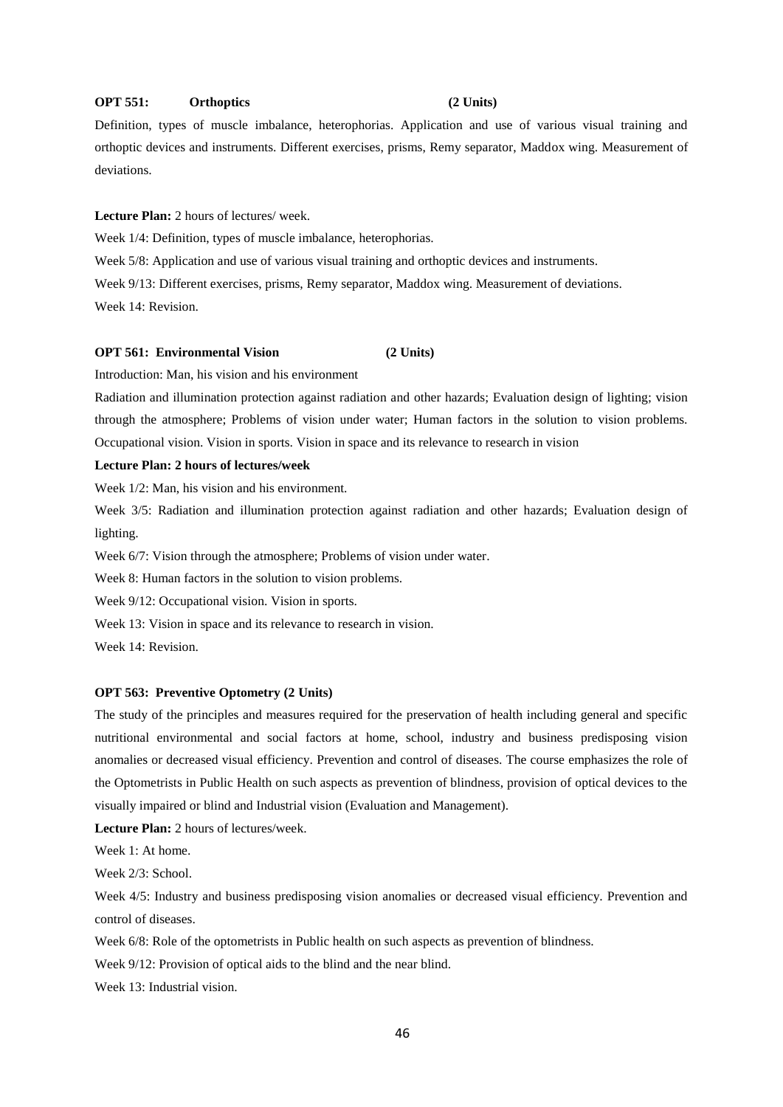### **OPT 551:** Orthoptics (2 Units)

Definition, types of muscle imbalance, heterophorias. Application and use of various visual training and orthoptic devices and instruments. Different exercises, prisms, Remy separator, Maddox wing. Measurement of deviations.

**Lecture Plan:** 2 hours of lectures/ week.

Week 1/4: Definition, types of muscle imbalance, heterophorias.

Week 5/8: Application and use of various visual training and orthoptic devices and instruments.

Week 9/13: Different exercises, prisms, Remy separator, Maddox wing. Measurement of deviations. Week 14: Revision.

# **OPT 561: Environmental Vision (2 Units)**

Introduction: Man, his vision and his environment

Radiation and illumination protection against radiation and other hazards; Evaluation design of lighting; vision through the atmosphere; Problems of vision under water; Human factors in the solution to vision problems. Occupational vision. Vision in sports. Vision in space and its relevance to research in vision

# **Lecture Plan: 2 hours of lectures/week**

Week 1/2: Man, his vision and his environment.

Week 3/5: Radiation and illumination protection against radiation and other hazards; Evaluation design of lighting.

Week  $6/7$ : Vision through the atmosphere; Problems of vision under water.

Week 8: Human factors in the solution to vision problems.

Week 9/12: Occupational vision. Vision in sports.

Week 13: Vision in space and its relevance to research in vision.

Week 14: Revision.

### **OPT 563: Preventive Optometry (2 Units)**

The study of the principles and measures required for the preservation of health including general and specific nutritional environmental and social factors at home, school, industry and business predisposing vision anomalies or decreased visual efficiency. Prevention and control of diseases. The course emphasizes the role of the Optometrists in Public Health on such aspects as prevention of blindness, provision of optical devices to the visually impaired or blind and Industrial vision (Evaluation and Management).

**Lecture Plan:** 2 hours of lectures/week.

Week 1: At home.

Week 2/3: School.

Week 4/5: Industry and business predisposing vision anomalies or decreased visual efficiency. Prevention and control of diseases.

Week 6/8: Role of the optometrists in Public health on such aspects as prevention of blindness.

Week 9/12: Provision of optical aids to the blind and the near blind.

Week 13: Industrial vision.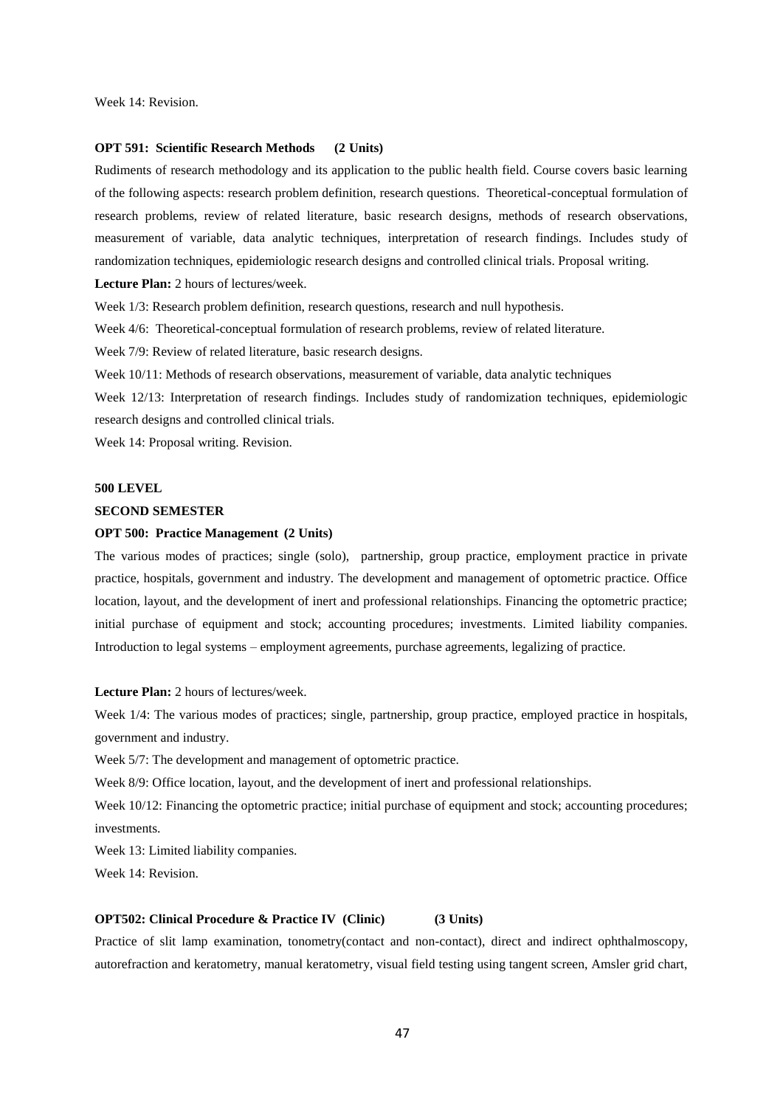### **OPT 591: Scientific Research Methods (2 Units)**

Rudiments of research methodology and its application to the public health field. Course covers basic learning of the following aspects: research problem definition, research questions. Theoretical-conceptual formulation of research problems, review of related literature, basic research designs, methods of research observations, measurement of variable, data analytic techniques, interpretation of research findings. Includes study of randomization techniques, epidemiologic research designs and controlled clinical trials. Proposal writing.

**Lecture Plan:** 2 hours of lectures/week.

Week  $1/3$ : Research problem definition, research questions, research and null hypothesis.

Week 4/6: Theoretical-conceptual formulation of research problems, review of related literature.

Week 7/9: Review of related literature, basic research designs.

Week 10/11: Methods of research observations, measurement of variable, data analytic techniques

Week 12/13: Interpretation of research findings. Includes study of randomization techniques, epidemiologic research designs and controlled clinical trials.

Week 14: Proposal writing. Revision.

# **500 LEVEL**

## **SECOND SEMESTER**

### **OPT 500: Practice Management (2 Units)**

The various modes of practices; single (solo), partnership, group practice, employment practice in private practice, hospitals, government and industry. The development and management of optometric practice. Office location, layout, and the development of inert and professional relationships. Financing the optometric practice; initial purchase of equipment and stock; accounting procedures; investments. Limited liability companies. Introduction to legal systems – employment agreements, purchase agreements, legalizing of practice.

**Lecture Plan:** 2 hours of lectures/week.

Week 1/4: The various modes of practices; single, partnership, group practice, employed practice in hospitals, government and industry.

Week 5/7: The development and management of optometric practice.

Week 8/9: Office location, layout, and the development of inert and professional relationships.

Week 10/12: Financing the optometric practice; initial purchase of equipment and stock; accounting procedures; investments.

Week 13: Limited liability companies.

Week 14: Revision.

### **OPT502: Clinical Procedure & Practice IV (Clinic) (3 Units)**

Practice of slit lamp examination, tonometry(contact and non-contact), direct and indirect ophthalmoscopy, autorefraction and keratometry, manual keratometry, visual field testing using tangent screen, Amsler grid chart,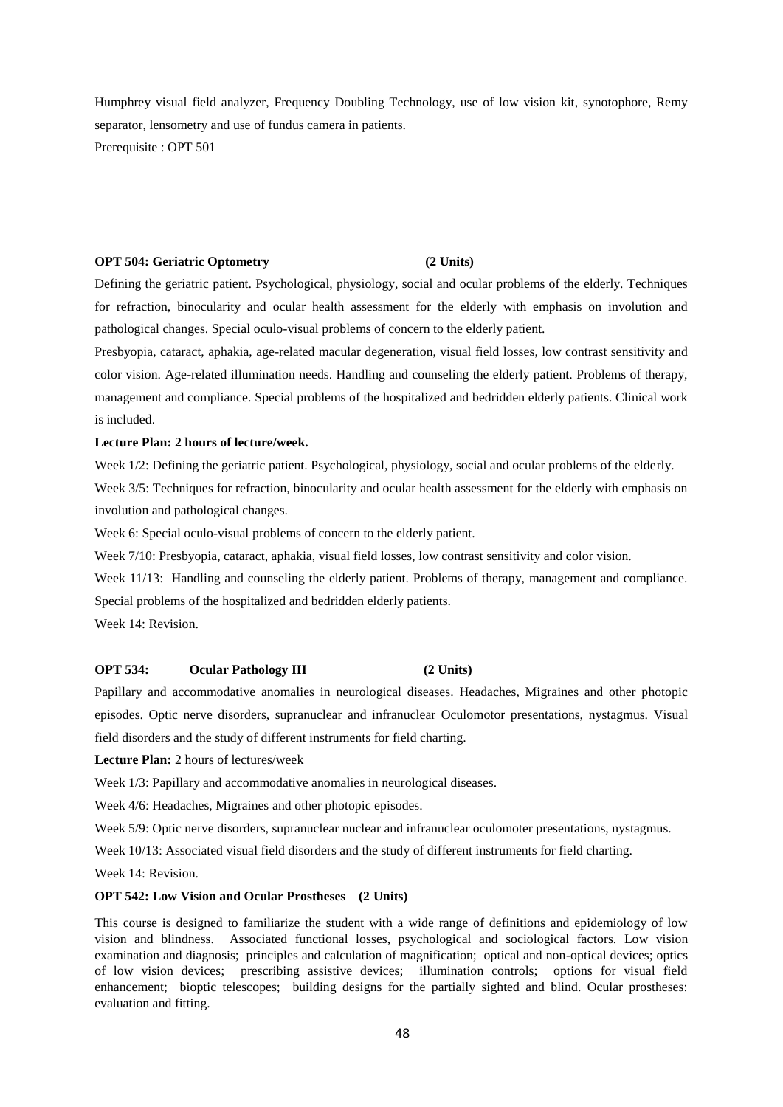Humphrey visual field analyzer, Frequency Doubling Technology, use of low vision kit, synotophore, Remy separator, lensometry and use of fundus camera in patients. Prerequisite : OPT 501

### **OPT 504: Geriatric Optometry (2 Units)**

Defining the geriatric patient. Psychological, physiology, social and ocular problems of the elderly. Techniques for refraction, binocularity and ocular health assessment for the elderly with emphasis on involution and pathological changes. Special oculo-visual problems of concern to the elderly patient.

Presbyopia, cataract, aphakia, age-related macular degeneration, visual field losses, low contrast sensitivity and color vision. Age-related illumination needs. Handling and counseling the elderly patient. Problems of therapy, management and compliance. Special problems of the hospitalized and bedridden elderly patients. Clinical work is included.

### **Lecture Plan: 2 hours of lecture/week.**

Week 1/2: Defining the geriatric patient. Psychological, physiology, social and ocular problems of the elderly.

Week 3/5: Techniques for refraction, binocularity and ocular health assessment for the elderly with emphasis on involution and pathological changes.

Week 6: Special oculo-visual problems of concern to the elderly patient.

Week 7/10: Presbyopia, cataract, aphakia, visual field losses, low contrast sensitivity and color vision.

Week 11/13: Handling and counseling the elderly patient. Problems of therapy, management and compliance. Special problems of the hospitalized and bedridden elderly patients.

Week 14: Revision.

# **OPT 534: Ocular Pathology III (2 Units)**

Papillary and accommodative anomalies in neurological diseases. Headaches, Migraines and other photopic episodes. Optic nerve disorders, supranuclear and infranuclear Oculomotor presentations, nystagmus. Visual field disorders and the study of different instruments for field charting.

**Lecture Plan:** 2 hours of lectures/week

Week 1/3: Papillary and accommodative anomalies in neurological diseases.

Week 4/6: Headaches, Migraines and other photopic episodes.

Week 5/9: Optic nerve disorders, supranuclear nuclear and infranuclear oculomoter presentations, nystagmus.

Week 10/13: Associated visual field disorders and the study of different instruments for field charting.

Week 14: Revision.

### **OPT 542: Low Vision and Ocular Prostheses (2 Units)**

This course is designed to familiarize the student with a wide range of definitions and epidemiology of low vision and blindness. Associated functional losses, psychological and sociological factors. Low vision examination and diagnosis; principles and calculation of magnification; optical and non-optical devices; optics of low vision devices; prescribing assistive devices; illumination controls; options for visual field enhancement; bioptic telescopes; building designs for the partially sighted and blind. Ocular prostheses: evaluation and fitting.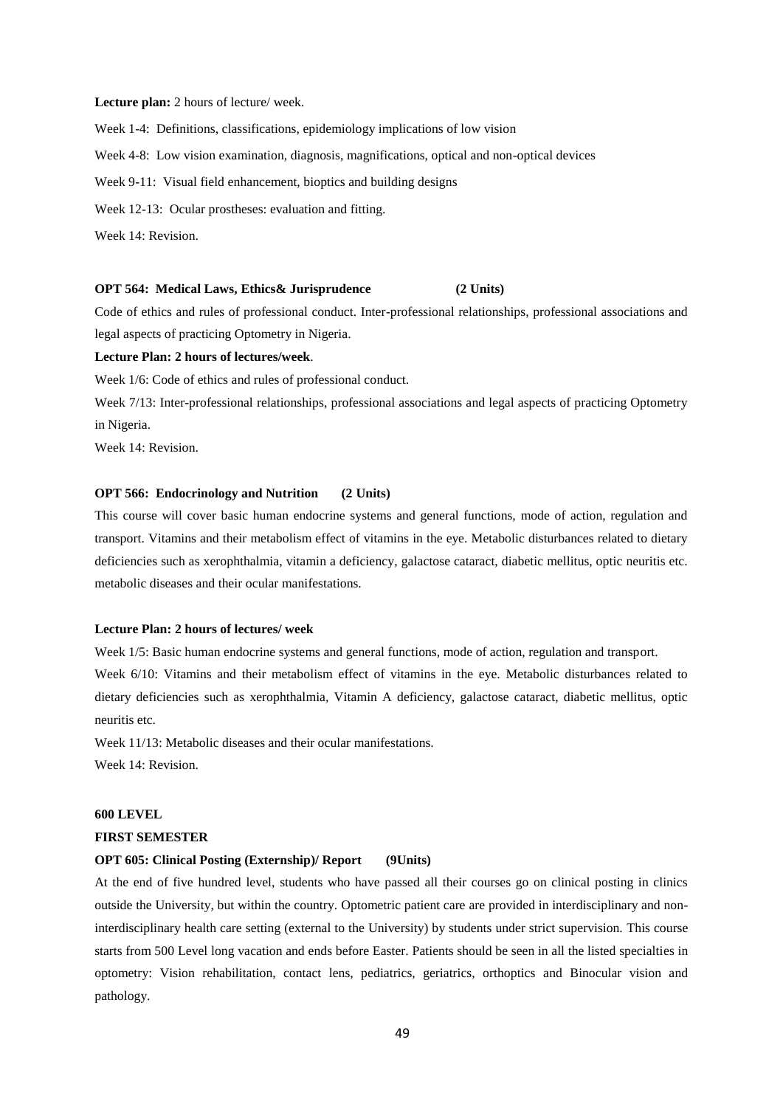### **Lecture plan:** 2 hours of lecture/ week.

Week 1-4: Definitions, classifications, epidemiology implications of low vision Week 4-8: Low vision examination, diagnosis, magnifications, optical and non-optical devices Week 9-11: Visual field enhancement, bioptics and building designs Week 12-13: Ocular prostheses: evaluation and fitting.

Week 14: Revision.

### **OPT 564: Medical Laws, Ethics& Jurisprudence (2 Units)**

Code of ethics and rules of professional conduct. Inter-professional relationships, professional associations and legal aspects of practicing Optometry in Nigeria.

### **Lecture Plan: 2 hours of lectures/week**.

Week 1/6: Code of ethics and rules of professional conduct.

Week 7/13: Inter-professional relationships, professional associations and legal aspects of practicing Optometry in Nigeria.

Week 14: Revision.

### **OPT 566: Endocrinology and Nutrition (2 Units)**

This course will cover basic human endocrine systems and general functions, mode of action, regulation and transport. Vitamins and their metabolism effect of vitamins in the eye. Metabolic disturbances related to dietary deficiencies such as xerophthalmia, vitamin a deficiency, galactose cataract, diabetic mellitus, optic neuritis etc. metabolic diseases and their ocular manifestations.

# **Lecture Plan: 2 hours of lectures/ week**

Week 1/5: Basic human endocrine systems and general functions, mode of action, regulation and transport. Week 6/10: Vitamins and their metabolism effect of vitamins in the eye. Metabolic disturbances related to dietary deficiencies such as xerophthalmia, Vitamin A deficiency, galactose cataract, diabetic mellitus, optic neuritis etc.

Week 11/13: Metabolic diseases and their ocular manifestations. Week 14: Revision.

### **600 LEVEL**

### **FIRST SEMESTER**

# **OPT 605: Clinical Posting (Externship)/ Report (9Units)**

At the end of five hundred level, students who have passed all their courses go on clinical posting in clinics outside the University, but within the country. Optometric patient care are provided in interdisciplinary and noninterdisciplinary health care setting (external to the University) by students under strict supervision. This course starts from 500 Level long vacation and ends before Easter. Patients should be seen in all the listed specialties in optometry: Vision rehabilitation, contact lens, pediatrics, geriatrics, orthoptics and Binocular vision and pathology.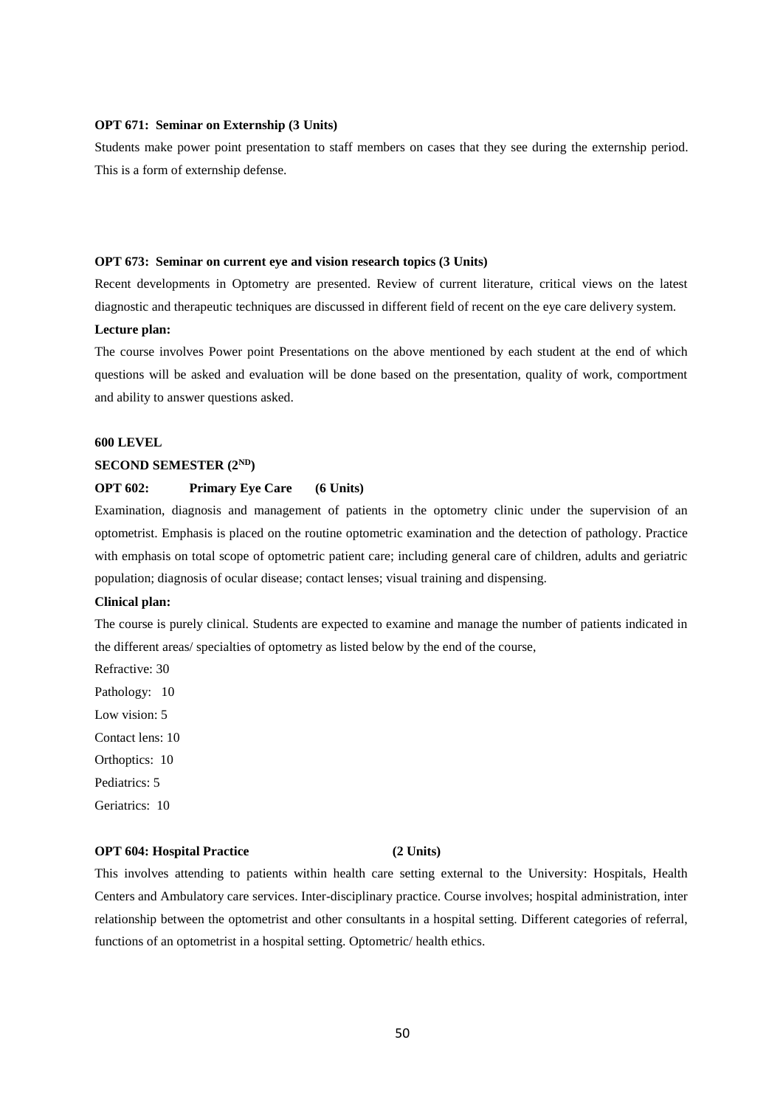## **OPT 671: Seminar on Externship (3 Units)**

Students make power point presentation to staff members on cases that they see during the externship period. This is a form of externship defense.

### **OPT 673: Seminar on current eye and vision research topics (3 Units)**

Recent developments in Optometry are presented. Review of current literature, critical views on the latest diagnostic and therapeutic techniques are discussed in different field of recent on the eye care delivery system.

### **Lecture plan:**

The course involves Power point Presentations on the above mentioned by each student at the end of which questions will be asked and evaluation will be done based on the presentation, quality of work, comportment and ability to answer questions asked.

### **600 LEVEL**

### **SECOND SEMESTER (2ND)**

# **OPT 602: Primary Eye Care (6 Units)**

Examination, diagnosis and management of patients in the optometry clinic under the supervision of an optometrist. Emphasis is placed on the routine optometric examination and the detection of pathology. Practice with emphasis on total scope of optometric patient care; including general care of children, adults and geriatric population; diagnosis of ocular disease; contact lenses; visual training and dispensing.

# **Clinical plan:**

The course is purely clinical. Students are expected to examine and manage the number of patients indicated in the different areas/ specialties of optometry as listed below by the end of the course,

Refractive: 30

Pathology: 10

Low vision: 5

Contact lens: 10

Orthoptics: 10

Pediatrics: 5

Geriatrics: 10

### **OPT 604: Hospital Practice (2 Units)**

This involves attending to patients within health care setting external to the University: Hospitals, Health Centers and Ambulatory care services. Inter-disciplinary practice. Course involves; hospital administration, inter relationship between the optometrist and other consultants in a hospital setting. Different categories of referral, functions of an optometrist in a hospital setting. Optometric/ health ethics.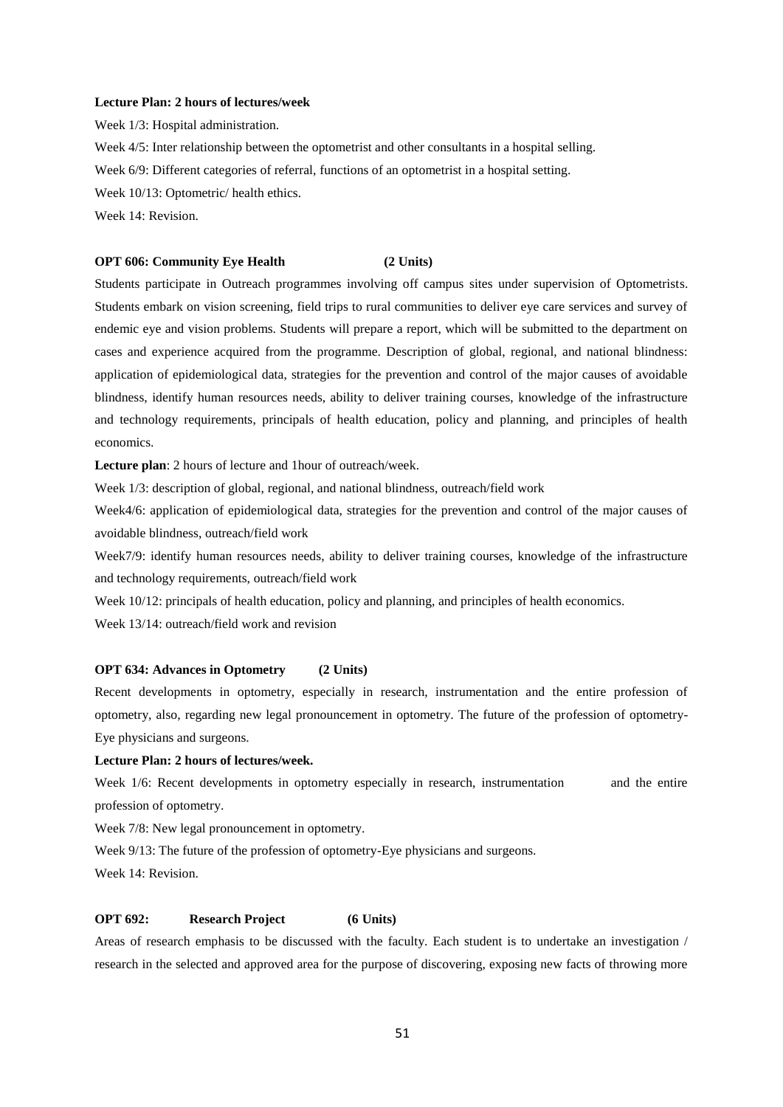### **Lecture Plan: 2 hours of lectures/week**

Week 1/3: Hospital administration. Week 4/5: Inter relationship between the optometrist and other consultants in a hospital selling. Week 6/9: Different categories of referral, functions of an optometrist in a hospital setting. Week 10/13: Optometric/ health ethics. Week 14: Revision.

### **OPT 606: Community Eye Health (2 Units)**

Students participate in Outreach programmes involving off campus sites under supervision of Optometrists. Students embark on vision screening, field trips to rural communities to deliver eye care services and survey of endemic eye and vision problems. Students will prepare a report, which will be submitted to the department on cases and experience acquired from the programme. Description of global, regional, and national blindness: application of epidemiological data, strategies for the prevention and control of the major causes of avoidable blindness, identify human resources needs, ability to deliver training courses, knowledge of the infrastructure and technology requirements, principals of health education, policy and planning, and principles of health economics.

**Lecture plan**: 2 hours of lecture and 1hour of outreach/week.

Week 1/3: description of global, regional, and national blindness, outreach/field work

Week4/6: application of epidemiological data, strategies for the prevention and control of the major causes of avoidable blindness, outreach/field work

Week7/9: identify human resources needs, ability to deliver training courses, knowledge of the infrastructure and technology requirements, outreach/field work

Week  $10/12$ : principals of health education, policy and planning, and principles of health economics.

Week 13/14: outreach/field work and revision

# **OPT 634: Advances in Optometry (2 Units)**

Recent developments in optometry, especially in research, instrumentation and the entire profession of optometry, also, regarding new legal pronouncement in optometry. The future of the profession of optometry-Eye physicians and surgeons.

# **Lecture Plan: 2 hours of lectures/week.**

Week 1/6: Recent developments in optometry especially in research, instrumentation and the entire profession of optometry.

Week 7/8: New legal pronouncement in optometry.

Week  $9/13$ : The future of the profession of optometry-Eye physicians and surgeons.

Week 14: Revision.

# **OPT 692: Research Project (6 Units)**

Areas of research emphasis to be discussed with the faculty. Each student is to undertake an investigation / research in the selected and approved area for the purpose of discovering, exposing new facts of throwing more